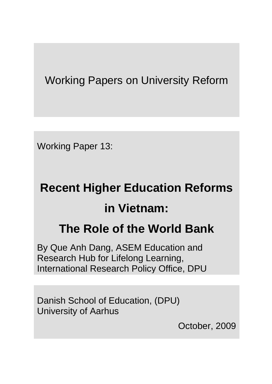Working Papers on University Reform

Working Paper 13:

# **Recent Higher Education Reforms in Vietnam:**

# **The Role of the World Bank**

By Que Anh Dang, ASEM Education and Research Hub for Lifelong Learning, International Research Policy Office, DPU

Danish School of Education, (DPU) University of Aarhus

October, 2009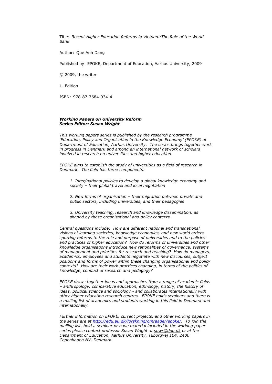Title: *Recent Higher Education Reforms in Vietnam:The Role of the World Bank*

Author: Que Anh Dang

Published by: EPOKE, Department of Education, Aarhus University, 2009

© 2009, the writer

1. Edition

ISBN: 978-87-7684-934-4

#### *Working Papers on University Reform Series Editor: Susan Wright*

*This working papers series is published by the research programme 'Education, Policy and Organisation in the Knowledge Economy' (EPOKE) at Department of Education, Aarhus University. The series brings together work in progress in Denmark and among an international network of scholars involved in research on universities and higher education.*

*EPOKE aims to establish the study of universities as a field of research in Denmark. The field has three components:* 

*1. Inter/national policies to develop a global knowledge economy and society – their global travel and local negotiation*

*2. New forms of organisation – their migration between private and public sectors, including universities, and their pedagogies*

*3. University teaching, research and knowledge dissemination, as shaped by these organisational and policy contexts.*

*Central questions include: How are different national and transnational visions of learning societies, knowledge economies, and new world orders spurring reforms to the role and purpose of universities and to the policies and practices of higher education? How do reforms of universities and other knowledge organisations introduce new rationalities of governance, systems of management and priorities for research and teaching? How do managers, academics, employees and students negotiate with new discourses, subject positions and forms of power within these changing organisational and policy contexts? How are their work practices changing, in terms of the politics of knowledge, conduct of research and pedagogy?*

*EPOKE draws together ideas and approaches from a range of academic fields – anthropology, comparative education, ethnology, history, the history of ideas, political science and sociology - and collaborates internationally with other higher education research centres. EPOKE holds seminars and there is a mailing list of academics and students working in this field in Denmark and internationally.*

*Further information on EPOKE, current projects, and other working papers in the series are at [http://edu.au.dk/forskning/omraader/epoke/.](http://edu.au.dk/forskning/omraader/epoke/) To join the mailing list, hold a seminar or have material included in the working paper series please contact professor Susan Wright at [suwr@dpu.dk](mailto:suwr@dpu.dk) or at the Department of Education, Aarhus University, Tuborgvej 164, 2400 Copenhagen NV, Denmark.*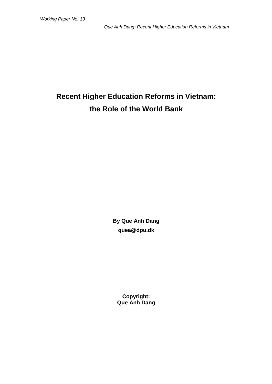# **Recent Higher Education Reforms in Vietnam: the Role of the World Bank**

**By Que Anh Dang quea@dpu.dk**

**Copyright: Que Anh Dang**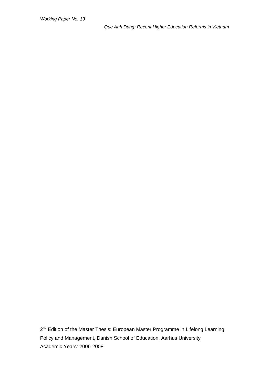2<sup>nd</sup> Edition of the Master Thesis: European Master Programme in Lifelong Learning: Academic Years: 2006-2008 Policy and Management, Danish School of Education, Aarhus University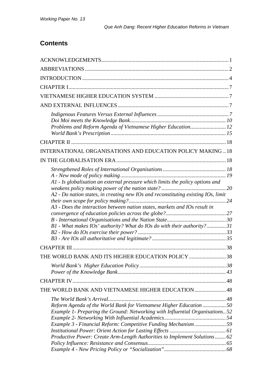# **Contents**

| Problems and Reform Agenda of Vietnamese Higher Education 12                                                                                                        |  |
|---------------------------------------------------------------------------------------------------------------------------------------------------------------------|--|
|                                                                                                                                                                     |  |
| INTERNATIONAL ORGANISATIONS AND EDUCATION POLICY MAKING  18                                                                                                         |  |
|                                                                                                                                                                     |  |
|                                                                                                                                                                     |  |
| A1 - Is globalisation an external pressure which limits the policy options and<br>A2 - Do nation states, in creating new IOs and reconstituting existing IOs, limit |  |
| A3 - Does the interaction between nation states, markets and IOs result in                                                                                          |  |
|                                                                                                                                                                     |  |
| B1 - What makes IOs' authority? What do IOs do with their authority?31                                                                                              |  |
|                                                                                                                                                                     |  |
|                                                                                                                                                                     |  |
|                                                                                                                                                                     |  |
| THE WORLD BANK AND ITS HIGHER EDUCATION POLICY 38                                                                                                                   |  |
|                                                                                                                                                                     |  |
|                                                                                                                                                                     |  |
| THE WORLD BANK AND VIETNAMESE HIGHER EDUCATION 48                                                                                                                   |  |
|                                                                                                                                                                     |  |
| Reform Agenda of the World Bank for Vietnamese Higher Education 50                                                                                                  |  |
| Example 1- Preparing the Ground: Networking with Influential Organisations 52                                                                                       |  |
|                                                                                                                                                                     |  |
| Example 3 - Financial Reform: Competitive Funding Mechanism59                                                                                                       |  |
| Productive Power: Create Arm-Length Authorities to Implement Solutions 62                                                                                           |  |
|                                                                                                                                                                     |  |
|                                                                                                                                                                     |  |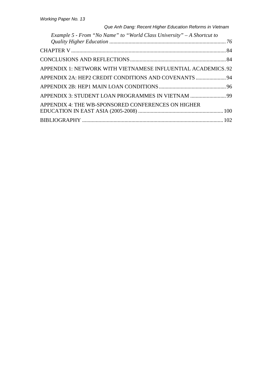| Que Anh Dang: Recent Higher Education Reforms in Vietnam               |  |
|------------------------------------------------------------------------|--|
| Example 5 - From "No Name" to "World Class University" - A Shortcut to |  |
|                                                                        |  |
|                                                                        |  |
| APPENDIX 1: NETWORK WITH VIETNAMESE INFLUENTIAL ACADEMICS.92           |  |
|                                                                        |  |
|                                                                        |  |
| APPENDIX 3: STUDENT LOAN PROGRAMMES IN VIETNAM  99                     |  |
| APPENDIX 4: THE WB-SPONSORED CONFERENCES ON HIGHER                     |  |
|                                                                        |  |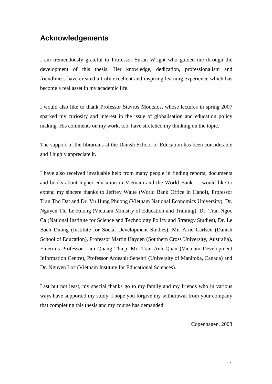# <span id="page-6-0"></span>**Acknowledgements**

I am tremendously grateful to Professor Susan Wright who guided me through the development of this thesis. Her knowledge, dedication, professionalism and friendliness have created a truly excellent and inspiring learning experience which has become a real asset in my academic life.

I would also like to thank Professor Stavros Moutsios, whose lectures in spring 2007 sparked my curiosity and interest in the issue of globalisation and education policy making. His comments on my work, too, have stretched my thinking on the topic.

The support of the librarians at the Danish School of Education has been considerable and I highly appreciate it.

I have also received invaluable help from many people in finding reports, documents and books about higher education in Vietnam and the World Bank. I would like to extend my sincere thanks to Jeffrey Waite (World Bank Office in Hanoi), Professor Tran Tho Dat and Dr. Vu Hung Phuong (Vietnam National Economics University), Dr. Nguyen Thi Le Huong (Vietnam Ministry of Education and Training), Dr. Tran Ngoc Ca (National Institute for Science and Technology Policy and Strategy Studies), Dr. Le Bach Duong (Institute for Social Development Studies), Mr. Arne Carlsen (Danish School of Education), Professor Martin Hayden (Southern Cross University, Australia), Emeritus Professor Lam Quang Thiep, Mr. Tran Anh Quan (Vietnam Development Information Centre), Professor Ardeshir Sepehri (University of Manitoba, Canada) and Dr. Nguyen Loc (Vietnam Institute for Educational Sciences).

Last but not least, my special thanks go to my family and my friends who in various ways have supported my study. I hope you forgive my withdrawal from your company that completing this thesis and my course has demanded.

Copenhagen, 2008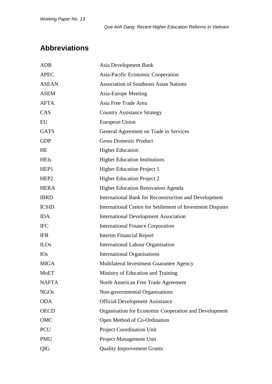# <span id="page-7-0"></span>**Abbreviations**

| <b>ADB</b>       | Asia Development Bank                                        |
|------------------|--------------------------------------------------------------|
| <b>APEC</b>      | Asia-Pacific Economic Cooperation                            |
| <b>ASEAN</b>     | <b>Association of Southeast Asian Nations</b>                |
| <b>ASEM</b>      | Asia-Europe Meeting                                          |
| <b>AFTA</b>      | Asia Free Trade Area                                         |
| CAS              | <b>Country Assistance Strategy</b>                           |
| EU               | European Union                                               |
| <b>GATS</b>      | General Agreement on Trade in Services                       |
| <b>GDP</b>       | <b>Gross Domestic Product</b>                                |
| HE               | <b>Higher Education</b>                                      |
| <b>HEIs</b>      | <b>Higher Education Institutions</b>                         |
| HEP1             | <b>Higher Education Project 1</b>                            |
| HEP <sub>2</sub> | <b>Higher Education Project 2</b>                            |
| <b>HERA</b>      | <b>Higher Education Renovation Agenda</b>                    |
| <b>IBRD</b>      | <b>International Bank for Reconstruction and Development</b> |
| <b>ICSID</b>     | International Centre for Settlement of Investment Disputes   |
| <b>IDA</b>       | <b>International Development Association</b>                 |
| <b>IFC</b>       | <b>International Finance Corporation</b>                     |
| <b>IFR</b>       | <b>Interim Financial Report</b>                              |
| <b>ILOs</b>      | <b>International Labour Organisation</b>                     |
| <b>IOs</b>       | <b>International Organisations</b>                           |
| <b>MIGA</b>      | Multilateral Investment Guarantee Agency                     |
| <b>MoET</b>      | Ministry of Education and Training                           |
| <b>NAFTA</b>     | North American Free Trade Agreement                          |
| <b>NGOs</b>      | Non-governmental Organisations                               |
| <b>ODA</b>       | <b>Official Development Assistance</b>                       |
| <b>OECD</b>      | Organisation for Economic Cooperation and Development        |
| OMC              | Open Method of Co-Ordination                                 |
| PCU              | <b>Project Coordination Unit</b>                             |
| <b>PMU</b>       | Project Management Unit                                      |
| QIG              | <b>Quality Improvement Grants</b>                            |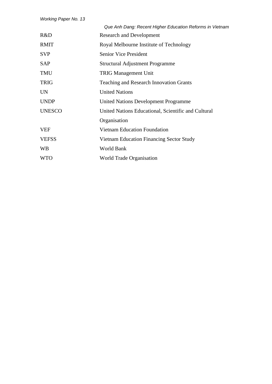|               | Que Anh Dang: Recent Higher Education Reforms in Vietnam |
|---------------|----------------------------------------------------------|
| R&D           | <b>Research and Development</b>                          |
| <b>RMIT</b>   | Royal Melbourne Institute of Technology                  |
| <b>SVP</b>    | <b>Senior Vice President</b>                             |
| <b>SAP</b>    | <b>Structural Adjustment Programme</b>                   |
| <b>TMU</b>    | <b>TRIG Management Unit</b>                              |
| <b>TRIG</b>   | <b>Teaching and Research Innovation Grants</b>           |
| <b>UN</b>     | <b>United Nations</b>                                    |
| <b>UNDP</b>   | <b>United Nations Development Programme</b>              |
| <b>UNESCO</b> | United Nations Educational, Scientific and Cultural      |
|               | Organisation                                             |
| <b>VEF</b>    | <b>Vietnam Education Foundation</b>                      |
| <b>VEFSS</b>  | Vietnam Education Financing Sector Study                 |
| <b>WB</b>     | World Bank                                               |
| <b>WTO</b>    | <b>World Trade Organisation</b>                          |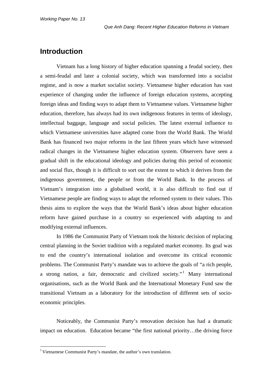## <span id="page-9-0"></span>**Introduction**

Vietnam has a long history of higher education spanning a feudal society, then a semi-feudal and later a colonial society, which was transformed into a socialist regime, and is now a market socialist society. Vietnamese higher education has vast experience of changing under the influence of foreign education systems, accepting foreign ideas and finding ways to adapt them to Vietnamese values. Vietnamese higher education, therefore, has always had its own indigenous features in terms of ideology, intellectual baggage, language and social policies. The latest external influence to which Vietnamese universities have adapted come from the World Bank. The World Bank has financed two major reforms in the last fifteen years which have witnessed radical changes in the Vietnamese higher education system. Observers have seen a gradual shift in the educational ideology and policies during this period of economic and social flux, though it is difficult to sort out the extent to which it derives from the indigenous government, the people or from the World Bank. In the process of Vietnam's integration into a globalised world, it is also difficult to find out if Vietnamese people are finding ways to adapt the reformed system to their values. This thesis aims to explore the ways that the World Bank's ideas about higher education reform have gained purchase in a country so experienced with adapting to and modifying external influences.

In 1986 the Communist Party of Vietnam took the historic decision of replacing central planning in the Soviet tradition with a regulated market economy. Its goal was to end the country's international isolation and overcome its critical economic problems. The Communist Party's mandate was to achieve the goals of "a rich people, a strong nation, a fair, democratic and civilized society." Many international organisations, such as the World Bank and the International Monetary Fund saw the transitional Vietnam as a laboratory for the introduction of different sets of socioeconomic principles.

Noticeably, the Communist Party's renovation decision has had a dramatic impact on education. Education became "the first national priority…the driving force

<span id="page-9-1"></span><sup>&</sup>lt;sup>1</sup> Vietnamese Communist Party's mandate, the author's own translation.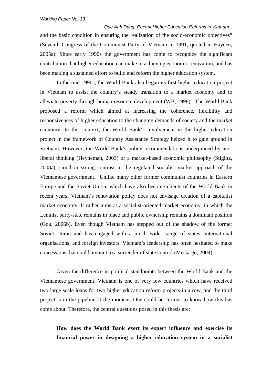*Que Anh Dang: Recent Higher Education Reforms in Vietnam* and the basic condition in ensuring the realization of the socio-economic objectives" (Seventh Congress of the Communist Party of Vietnam in 1991, quoted in Hayden, 2005a). Since early 1990s the government has come to recognize the significant contribution that higher education can make to achieving economic renovation, and has been making a sustained effort to build and reform the higher education system.

In the mid 1990s, the World Bank also began its first higher education project in Vietnam to assist the country's steady transition to a market economy and to alleviate poverty through human resource development (WB, 1998). The World Bank proposed a reform which aimed at increasing the coherence, flexibility and responsiveness of higher education to the changing demands of society and the market economy. In this context, the World Bank's involvement in the higher education project in the framework of Country Assistance Strategy helped it to gain ground in Vietnam. However, the World Bank's policy recommendations underpinned by neoliberal thinking (Heyneman, 2003) or a market-based economic philosophy (Stiglitz, 2008a), stood in strong contrast to the regulated socialist market approach of the Vietnamese government. Unlike many other former communist countries in Eastern Europe and the Soviet Union, which have also become clients of the World Bank in recent years, Vietnam's renovation policy does not envisage creation of a capitalist market economy. It rather aims at a socialist-oriented market economy, in which the Leninist party-state remains in place and public ownership remains a dominant position (Gou, 2006b). Even though Vietnam has stepped out of the shadow of the former Soviet Union and has engaged with a much wider range of states, international organisations, and foreign investors, Vietnam's leadership has often hesitated to make concessions that could amount to a surrender of state control (McCargo, 2004).

Given the difference in political standpoints between the World Bank and the Vietnamese government, Vietnam is one of very few countries which have received two large scale loans for two higher education reform projects in a row, and the third project is in the pipeline at the moment. One could be curious to know how this has come about. Therefore, the central questions posed in this thesis are:

**How does the World Bank exert its expert influence and exercise its financial power in designing a higher education system in a socialist**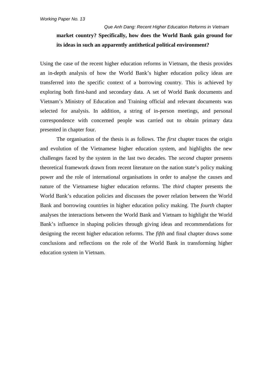# *Que Anh Dang: Recent Higher Education Reforms in Vietnam* **market country? Specifically, how does the World Bank gain ground for its ideas in such an apparently antithetical political environment?**

Using the case of the recent higher education reforms in Vietnam, the thesis provides an in-depth analysis of how the World Bank's higher education policy ideas are transferred into the specific context of a borrowing country. This is achieved by exploring both first-hand and secondary data. A set of World Bank documents and Vietnam's Ministry of Education and Training official and relevant documents was selected for analysis. In addition, a string of in-person meetings, and personal correspondence with concerned people was carried out to obtain primary data presented in chapter four.

The organisation of the thesis is as follows. The *first* chapter traces the origin and evolution of the Vietnamese higher education system, and highlights the new challenges faced by the system in the last two decades. The *second* chapter presents theoretical framework drawn from recent literature on the nation state's policy making power and the role of international organisations in order to analyse the causes and nature of the Vietnamese higher education reforms. The *third* chapter presents the World Bank's education policies and discusses the power relation between the World Bank and borrowing countries in higher education policy making. The *fourth* chapter analyses the interactions between the World Bank and Vietnam to highlight the World Bank's influence in shaping policies through giving ideas and recommendations for designing the recent higher education reforms. The *fifth* and final chapter draws some conclusions and reflections on the role of the World Bank in transforming higher education system in Vietnam.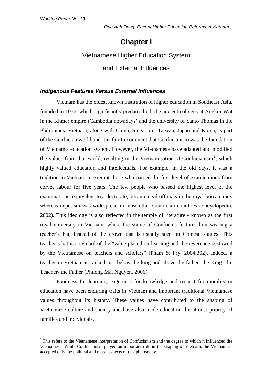# **Chapter I**

# <span id="page-12-0"></span>Vietnamese Higher Education System and External Influences

#### <span id="page-12-3"></span><span id="page-12-2"></span><span id="page-12-1"></span>*Indigenous Features Versus External Influences*

Vietnam has the oldest known institution of higher education in Southeast Asia, founded in 1076, which significantly predates both the ancient colleges at Angkor Wat in the Khmer empire (Cambodia nowadays) and the university of Santo Thomas in the Philippines. Vietnam, along with China, Singapore, Taiwan, Japan and Korea, is part of the Confucian world and it is fair to comment that Confucianism was the foundation of Vietnam's education system. However, the Vietnamese have adapted and modified the values from that world, resulting in the Vietnamisation of Confucianism<sup>[2](#page-12-4)</sup>, which highly valued education and intellectuals. For example, in the old days, it was a tradition in Vietnam to exempt those who passed the first level of examinations from corvée labour for five years. The few people who passed the highest level of the examinations, equivalent to a doctorate, became civil officials in the royal bureaucracy whereas nepotism was widespread in most other Confucian countries (Encyclopedia, 2002). This ideology is also reflected in the temple of literature - known as the first royal university in Vietnam, where the statue of Confucius features him wearing a teacher's hat, instead of the crown that is usually seen on Chinese statues. This teacher's hat is a symbol of the "value placed on learning and the reverence bestowed by the Vietnamese on teachers and scholars" (Pham & Fry, 2004:302). Indeed, a teacher in Vietnam is ranked just below the king and above the father: the King- the Teacher- the Father (Phuong Mai Nguyen, 2006).

Fondness for learning, eagerness for knowledge and respect for morality in education have been enduring traits in Vietnam and important traditional Vietnamese values throughout its history. These values have contributed to the shaping of Vietnamese culture and society and have also made education the utmost priority of families and individuals.

<span id="page-12-4"></span><sup>&</sup>lt;sup>2</sup> This refers to the Vietnamese interpretation of Confucianism and the degree to which it influenced the Vietnamese. While Confucianism played an important role in the shaping of Vietnam, the Vietnamese accepted only the political and moral aspects of this philosophy.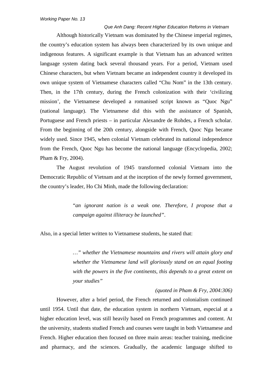Although historically Vietnam was dominated by the Chinese imperial regimes, the country's education system has always been characterized by its own unique and indigenous features. A significant example is that Vietnam has an advanced written language system dating back several thousand years. For a period, Vietnam used Chinese characters, but when Vietnam became an independent country it developed its own unique system of Vietnamese characters called "Chu Nom" in the 13th century. Then, in the 17th century, during the French colonization with their 'civilizing mission', the Vietnamese developed a romanised script known as "Quoc Ngu" (national language). The Vietnamese did this with the assistance of Spanish, Portuguese and French priests – in particular Alexandre de Rohdes, a French scholar. From the beginning of the 20th century, alongside with French, Quoc Ngu became widely used. Since 1945, when colonial Vietnam celebrated its national independence from the French, Quoc Ngu has become the national language (Encyclopedia, 2002; Pham & Fry, 2004).

The August revolution of 1945 transformed colonial Vietnam into the Democratic Republic of Vietnam and at the inception of the newly formed government, the country's leader, Ho Chi Minh, made the following declaration:

> "*an ignorant nation is a weak one. Therefore, I propose that a campaign against illiteracy be launched"*.

Also, in a special letter written to Vietnamese students, he stated that:

*…" whether the Vietnamese mountains and rivers will attain glory and whether the Vietnamese land will gloriously stand on an equal footing with the powers in the five continents, this depends to a great extent on your studies"* 

*(quoted in Pham & Fry, 2004:306)*

However, after a brief period, the French returned and colonialism continued until 1954. Until that date, the education system in northern Vietnam, especial at a higher education level, was still heavily based on French programmes and content. At the university, students studied French and courses were taught in both Vietnamese and French. Higher education then focused on three main areas: teacher training, medicine and pharmacy, and the sciences. Gradually, the academic language shifted to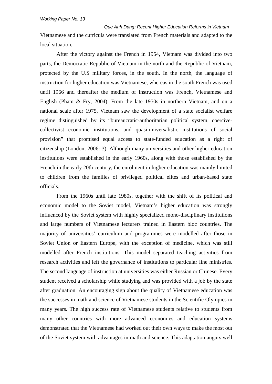*Que Anh Dang: Recent Higher Education Reforms in Vietnam* Vietnamese and the curricula were translated from French materials and adapted to the local situation.

After the victory against the French in 1954, Vietnam was divided into two parts, the Democratic Republic of Vietnam in the north and the Republic of Vietnam, protected by the U.S military forces, in the south. In the north, the language of instruction for higher education was Vietnamese, whereas in the south French was used until 1966 and thereafter the medium of instruction was French, Vietnamese and English (Pham & Fry, 2004). From the late 1950s in northern Vietnam, and on a national scale after 1975, Vietnam saw the development of a state socialist welfare regime distinguished by its "bureaucratic-authoritarian political system, coercivecollectivist economic institutions, and quasi-universalistic institutions of social provision" that promised equal access to state-funded education as a right of citizenship (London, 2006: 3). Although many universities and other higher education institutions were established in the early 1960s, along with those established by the French in the early 20th century, the enrolment in higher education was mainly limited to children from the families of privileged political elites and urban-based state officials.

From the 1960s until late 1980s, together with the shift of its political and economic model to the Soviet model, Vietnam's higher education was strongly influenced by the Soviet system with highly specialized mono-disciplinary institutions and large numbers of Vietnamese lecturers trained in Eastern bloc countries. The majority of universities' curriculum and programmes were modelled after those in Soviet Union or Eastern Europe, with the exception of medicine, which was still modelled after French institutions. This model separated teaching activities from research activities and left the governance of institutions to particular line ministries. The second language of instruction at universities was either Russian or Chinese. Every student received a scholarship while studying and was provided with a job by the state after graduation. An encouraging sign about the quality of Vietnamese education was the successes in math and science of Vietnamese students in the Scientific Olympics in many years. The high success rate of Vietnamese students relative to students from many other countries with more advanced economies and education systems demonstrated that the Vietnamese had worked out their own ways to make the most out of the Soviet system with advantages in math and science. This adaptation augurs well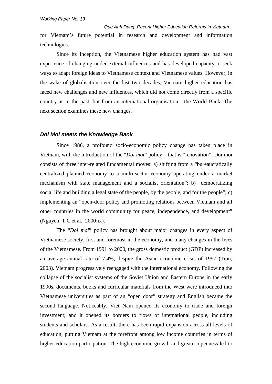*Que Anh Dang: Recent Higher Education Reforms in Vietnam* for Vietnam's future potential in research and development and information technologies.

Since its inception, the Vietnamese higher education system has had vast experience of changing under external influences and has developed capacity to seek ways to adapt foreign ideas to Vietnamese context and Vietnamese values. However, in the wake of globalisation over the last two decades, Vietnam higher education has faced new challenges and new influences, which did not come directly from a specific country as in the past, but from an international organisation - the World Bank. The next section examines these new changes.

#### <span id="page-15-0"></span>*Doi Moi meets the Knowledge Bank*

Since 1986, a profound socio-economic policy change has taken place in Vietnam, with the introduction of the "*Doi moi*" policy – that is "renovation". Doi moi consists of three inter-related fundamental moves: a) shifting from a "bureaucratically centralized planned economy to a multi-sector economy operating under a market mechanism with state management and a socialist orientation"; b) "democratizing social life and building a legal state of the people, by the people, and for the people"; c) implementing an "open-door policy and promoting relations between Vietnam and all other countries in the world community for peace, independence, and development" (Nguyen, T.C et al., 2000:ix).

The "*Doi moi*" policy has brought about major changes in every aspect of Vietnamese society, first and foremost in the economy, and many changes in the lives of the Vietnamese. From 1991 to 2000, the gross domestic product (GDP) increased by an average annual rate of 7.4%, despite the Asian economic crisis of 1997 (Tran, 2003). Vietnam progressively reengaged with the international economy. Following the collapse of the socialist systems of the Soviet Union and Eastern Europe in the early 1990s, documents, books and curricular materials from the West were introduced into Vietnamese universities as part of an "open door" strategy and English became the second language. Noticeably, Viet Nam opened its economy to trade and foreign investment; and it opened its borders to flows of international people, including students and scholars. As a result, there has been rapid expansion across all levels of education, putting Vietnam at the forefront among low income countries in terms of higher education participation. The high economic growth and greater openness led to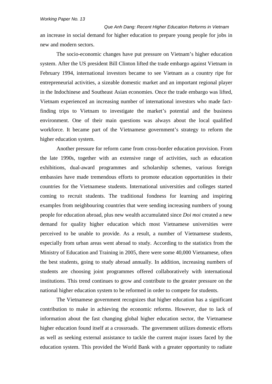*Que Anh Dang: Recent Higher Education Reforms in Vietnam* an increase in social demand for higher education to prepare young people for jobs in new and modern sectors.

The socio-economic changes have put pressure on Vietnam's higher education system. After the US president Bill Clinton lifted the trade embargo against Vietnam in February 1994, international investors became to see Vietnam as a country ripe for entrepreneurial activities, a sizeable domestic market and an important regional player in the Indochinese and Southeast Asian economies. Once the trade embargo was lifted, Vietnam experienced an increasing number of international investors who made factfinding trips to Vietnam to investigate the market's potential and the business environment. One of their main questions was always about the local qualified workforce. It became part of the Vietnamese government's strategy to reform the higher education system.

Another pressure for reform came from cross-border education provision. From the late 1990s, together with an extensive range of activities, such as education exhibitions, dual-award programmes and scholarship schemes, various foreign embassies have made tremendous efforts to promote education opportunities in their countries for the Vietnamese students. International universities and colleges started coming to recruit students. The traditional fondness for learning and inspiring examples from neighbouring countries that were sending increasing numbers of young people for education abroad, plus new wealth accumulated since *Doi moi* created a new demand for quality higher education which most Vietnamese universities were perceived to be unable to provide. As a result, a number of Vietnamese students, especially from urban areas went abroad to study. According to the statistics from the Ministry of Education and Training in 2005, there were some 40,000 Vietnamese, often the best students, going to study abroad annually. In addition, increasing numbers of students are choosing joint programmes offered collaboratively with international institutions. This trend continues to grow and contribute to the greater pressure on the national higher education system to be reformed in order to compete for students.

The Vietnamese government recognizes that higher education has a significant contribution to make in achieving the economic reforms. However, due to lack of information about the fast changing global higher education sector, the Vietnamese higher education found itself at a crossroads. The government utilizes domestic efforts as well as seeking external assistance to tackle the current major issues faced by the education system. This provided the World Bank with a greater opportunity to radiate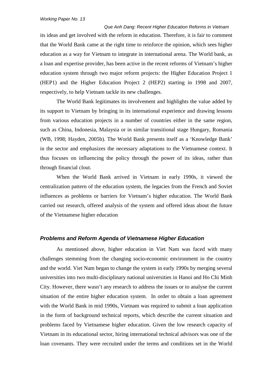*Que Anh Dang: Recent Higher Education Reforms in Vietnam* its ideas and get involved with the reform in education. Therefore, it is fair to comment that the World Bank came at the right time to reinforce the opinion, which sees higher education as a way for Vietnam to integrate in international arena. The World bank, as a loan and expertise provider, has been active in the recent reforms of Vietnam's higher education system through two major reform projects: the Higher Education Project 1 (HEP1) and the Higher Education Project 2 (HEP2) starting in 1998 and 2007, respectively, to help Vietnam tackle its new challenges.

The World Bank legitimates its involvement and highlights the value added by its support to Vietnam by bringing in its international experience and drawing lessons from various education projects in a number of countries either in the same region, such as China, Indonesia, Malaysia or in similar transitional stage Hungary, Romania (WB, 1998; Hayden, 2005b). The World Bank presents itself as a 'Knowledge Bank' in the sector and emphasizes the necessary adaptations to the Vietnamese context. It thus focuses on influencing the policy through the power of its ideas, rather than through financial clout.

When the World Bank arrived in Vietnam in early 1990s, it viewed the centralization pattern of the education system, the legacies from the French and Soviet influences as problems or barriers for Vietnam's higher education. The World Bank carried out research, offered analysis of the system and offered ideas about the future of the Vietnamese higher education

#### <span id="page-17-0"></span>*Problems and Reform Agenda of Vietnamese Higher Education*

As mentioned above, higher education in Viet Nam was faced with many challenges stemming from the changing socio-economic environment in the country and the world. Viet Nam began to change the system in early 1990s by merging several universities into two multi-disciplinary national universities in Hanoi and Ho Chi Minh City. However, there wasn't any research to address the issues or to analyse the current situation of the entire higher education system. In order to obtain a loan agreement with the World Bank in mid 1990s, Vietnam was required to submit a loan application in the form of background technical reports, which describe the current situation and problems faced by Vietnamese higher education. Given the low research capacity of Vietnam in its educational sector, hiring international technical advisors was one of the loan covenants. They were recruited under the terms and conditions set in the World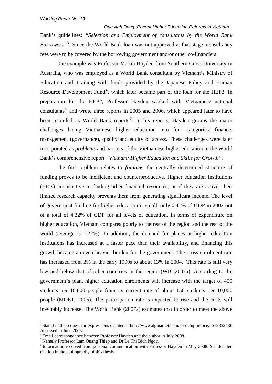*Que Anh Dang: Recent Higher Education Reforms in Vietnam* Bank's guidelines: *"Selection and Employment of consultants by the World Bank Borrowers"*[3](#page-18-0) *.* Since the World Bank loan was not approved at that stage, consultancy fees were to be covered by the borrowing government and/or other co-financiers.

One example was Professor Martin Hayden from Southern Cross University in Australia, who was employed as a World Bank consultant by Vietnam's Ministry of Education and Training with funds provided by the Japanese Policy and Human Resource Development Fund<sup>[4](#page-18-1)</sup>, which later became part of the loan for the HEP2. In preparation for the HEP2, Professor Hayden worked with Vietnamese national consultants<sup>[5](#page-18-2)</sup> and wrote three reports in 2005 and 2006, which appeared later to have been recorded as World Bank reports<sup>[6](#page-18-3)</sup>. In his reports, Hayden groups the major challenges facing Vietnamese higher education into four categories: finance, management (governance), quality and equity of access. These challenges were later incorporated as *problems* and barriers of the Vietnamese higher education in the World Bank's comprehensive report *"Vietnam: Higher Education and Skills for Growth".*

The first problem relates to *finance*: the centrally determined structure of funding proves to be inefficient and counterproductive. Higher education institutions (HEIs) are inactive in finding other financial resources, or if they are active, their limited research capacity prevents them from generating significant income. The level of government funding for higher education is small, only 0.41% of GDP in 2002 out of a total of 4.22% of GDP for all levels of education. In terms of expenditure on higher education, Vietnam compares poorly to the rest of the region and the rest of the world (average is 1.22%). In addition, the demand for places at higher education institutions has increased at a faster pace than their availability, and financing this growth became an even heavier burden for the government. The gross enrolment rate has increased from 2% in the early 1990s to about 13% in 2004. This rate is still very low and below that of other countries in the region (WB, 2007a). According to the government's plan, higher education enrolments will increase with the target of 450 students per 10,000 people from its current rate of about 150 students per 10,000 people (MOET, 2005). The participation rate is expected to rise and the costs will inevitably increase. The World Bank (2007a) estimates that in order to meet the above

<span id="page-18-0"></span> <sup>3</sup> Stated in the request for expressions of interest<http://www.dgmarket.com/eproc/np-notice.do~2352480> Accessed in June 2008.

<sup>&</sup>lt;sup>4</sup> Email correspondence between Professor Hayden and the author in July 2008.

<span id="page-18-2"></span><span id="page-18-1"></span><sup>5</sup> Namely Professor Lam Quang Thiep and Dr Le Thi Bich Ngoc.

<span id="page-18-3"></span><sup>&</sup>lt;sup>6</sup> Information received from personal communication with Professor Hayden in May 2008. See detailed citation in the bibliography of this thesis.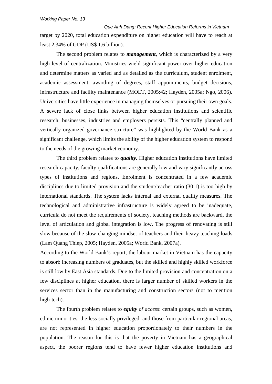*Que Anh Dang: Recent Higher Education Reforms in Vietnam* target by 2020, total education expenditure on higher education will have to reach at least 2.34% of GDP (US\$ 1.6 billion).

The second problem relates to *management*, which is characterized by a very high level of centralization. Ministries wield significant power over higher education and determine matters as varied and as detailed as the curriculum, student enrolment, academic assessment, awarding of degrees, staff appointments, budget decisions, infrastructure and facility maintenance (MOET, 2005:42; Hayden, 2005a; Ngo, 2006). Universities have little experience in managing themselves or pursuing their own goals. A severe lack of close links between higher education institutions and scientific research, businesses, industries and employers persists. This "centrally planned and vertically organized governance structure" was highlighted by the World Bank as a significant challenge, which limits the ability of the higher education system to respond to the needs of the growing market economy.

The third problem relates to *quality.* Higher education institutions have limited research capacity, faculty qualifications are generally low and vary significantly across types of institutions and regions. Enrolment is concentrated in a few academic disciplines due to limited provision and the student/teacher ratio (30:1) is too high by international standards. The system lacks internal and external quality measures. The technological and administrative infrastructure is widely agreed to be inadequate, curricula do not meet the requirements of society, teaching methods are backward, the level of articulation and global integration is low. The progress of renovating is still slow because of the slow-changing mindset of teachers and their heavy teaching loads (Lam Quang Thiep, 2005; Hayden, 2005a; World Bank, 2007a).

According to the World Bank's report, the labour market in Vietnam has the capacity to absorb increasing numbers of graduates, but the skilled and highly skilled workforce is still low by East Asia standards. Due to the limited provision and concentration on a few disciplines at higher education, there is larger number of skilled workers in the services sector than in the manufacturing and construction sectors (not to mention high-tech).

The fourth problem relates to *equity of access*: certain groups, such as women, ethnic minorities, the less socially privileged, and those from particular regional areas, are not represented in higher education proportionately to their numbers in the population. The reason for this is that the poverty in Vietnam has a geographical aspect, the poorer regions tend to have fewer higher education institutions and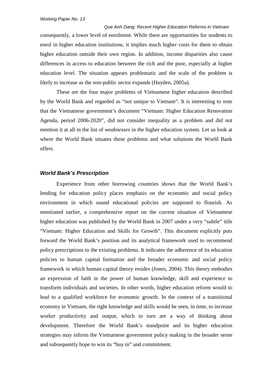*Que Anh Dang: Recent Higher Education Reforms in Vietnam* consequently, a lower level of enrolment. While there are opportunities for students to enrol in higher education institutions, it implies much higher costs for them to obtain higher education outside their own region. In addition, income disparities also cause differences in access to education between the rich and the poor, especially at higher education level. The situation appears problematic and the scale of the problem is likely to increase as the non-public sector expands (Hayden, 2005a).

These are the four major problems of Vietnamese higher education described by the World Bank and regarded as "not unique to Vietnam". It is interesting to note that the Vietnamese government's document "Vietnam: Higher Education Renovation Agenda, period 2006-2020", did not consider inequality as a problem and did not mention it at all in the list of *weaknesses* in the higher education system. Let us look at where the World Bank situates these problems and what solutions the World Bank offers.

#### <span id="page-20-0"></span>*World Bank's Prescription*

Experience from other borrowing countries shows that the World Bank's lending for education policy places emphasis on the economic and social policy environment in which sound educational policies are supposed to flourish. As mentioned earlier, a comprehensive report on the current situation of Vietnamese higher education was published by the World Bank in 2007 under a very "subtle" title "Vietnam: Higher Education and Skills for Growth". This document explicitly puts forward the World Bank's position and its analytical framework used to recommend policy prescriptions to the existing problems. It indicates the adherence of its education policies to human capital formation and the broader economic and social policy framework in which human capital theory resides (Jones, 2004). This theory embodies an expression of faith in the power of human knowledge, skill and experience to transform individuals and societies. In other words, higher education reform would to lead to a qualified workforce for economic growth. In the context of a transitional economy in Vietnam, the right knowledge and skills would be seen, in time, to increase worker productivity and output, which in turn are a way of thinking about development. Therefore the World Bank's standpoint and its higher education strategies may inform the Vietnamese government policy making in the broader sense and subsequently hope to win its "buy in" and commitment.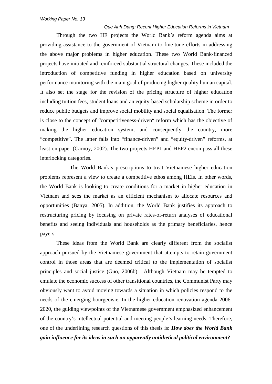Through the two HE projects the World Bank's reform agenda aims at providing assistance to the government of Vietnam to fine-tune efforts in addressing the above major problems in higher education. These two World Bank-financed projects have initiated and reinforced substantial structural changes. These included the introduction of competitive funding in higher education based on university performance monitoring with the main goal of producing higher quality human capital. It also set the stage for the revision of the pricing structure of higher education including tuition fees, student loans and an equity-based scholarship scheme in order to reduce public budgets and improve social mobility and social equalisation. The former is close to the concept of "competitiveness-driven" reform which has the objective of making the higher education system, and consequently the country, more "competitive". The latter falls into "finance-driven" and "equity-driven" reforms, at least on paper (Carnoy, 2002). The two projects HEP1 and HEP2 encompass all these interlocking categories.

The World Bank's prescriptions to treat Vietnamese higher education problems represent a view to create a competitive ethos among HEIs. In other words, the World Bank is looking to create conditions for a market in higher education in Vietnam and sees the market as an efficient mechanism to allocate resources and opportunities (Banya, 2005). In addition, the World Bank justifies its approach to restructuring pricing by focusing on private rates-of-return analyses of educational benefits and seeing individuals and households as the primary beneficiaries, hence payers.

These ideas from the World Bank are clearly different from the socialist approach pursued by the Vietnamese government that attempts to retain government control in those areas that are deemed critical to the implementation of socialist principles and social justice (Guo, 2006b). Although Vietnam may be tempted to emulate the economic success of other transitional countries, the Communist Party may obviously want to avoid moving towards a situation in which policies respond to the needs of the emerging bourgeoisie. In the higher education renovation agenda 2006- 2020, the guiding viewpoints of the Vietnamese government emphasized enhancement of the country's intellectual potential and meeting people's learning needs. Therefore, one of the underlining research questions of this thesis is: *How does the World Bank gain influence for its ideas in such an apparently antithetical political environment?*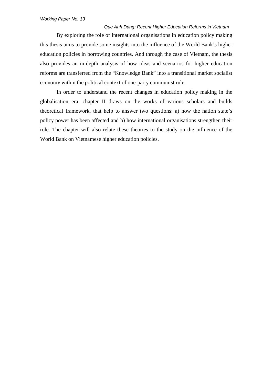By exploring the role of international organisations in education policy making this thesis aims to provide some insights into the influence of the World Bank's higher education policies in borrowing countries. And through the case of Vietnam, the thesis also provides an in-depth analysis of how ideas and scenarios for higher education reforms are transferred from the "Knowledge Bank" into a transitional market socialist economy within the political context of one-party communist rule.

In order to understand the recent changes in education policy making in the globalisation era, chapter II draws on the works of various scholars and builds theoretical framework, that help to answer two questions: a) how the nation state's policy power has been affected and b) how international organisations strengthen their role. The chapter will also relate these theories to the study on the influence of the World Bank on Vietnamese higher education policies.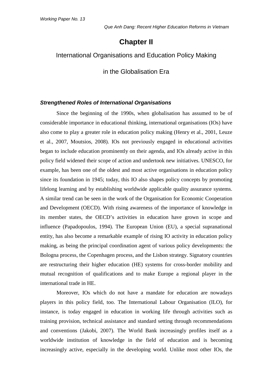# **Chapter II**

#### <span id="page-23-2"></span><span id="page-23-1"></span><span id="page-23-0"></span>International Organisations and Education Policy Making

in the Globalisation Era

#### <span id="page-23-3"></span>*Strengthened Roles of International Organisations*

Since the beginning of the 1990s, when globalisation has assumed to be of considerable importance in educational thinking, international organisations (IOs) have also come to play a greater role in education policy making (Henry et al., 2001, Leuze et al., 2007, Moutsios, 2008). IOs not previously engaged in educational activities began to include education prominently on their agenda, and IOs already active in this policy field widened their scope of action and undertook new initiatives. UNESCO, for example, has been one of the oldest and most active organisations in education policy since its foundation in 1945; today, this IO also shapes policy concepts by promoting lifelong learning and by establishing worldwide applicable quality assurance systems. A similar trend can be seen in the work of the Organisation for Economic Cooperation and Development (OECD). With rising awareness of the importance of knowledge in its member states, the OECD's activities in education have grown in scope and influence (Papadopoulos, 1994). The European Union (EU), a special supranational entity, has also become a remarkable example of rising IO activity in education policy making, as being the principal coordination agent of various policy developments: the Bologna process, the Copenhagen process, and the Lisbon strategy. Signatory countries are restructuring their higher education (HE) systems for cross-border mobility and mutual recognition of qualifications and to make Europe a regional player in the international trade in HE.

Moreover, IOs which do not have a mandate for education are nowadays players in this policy field, too. The International Labour Organisation (ILO), for instance, is today engaged in education in working life through activities such as training provision, technical assistance and standard setting through recommendations and conventions (Jakobi, 2007). The World Bank increasingly profiles itself as a worldwide institution of knowledge in the field of education and is becoming increasingly active, especially in the developing world. Unlike most other IOs, the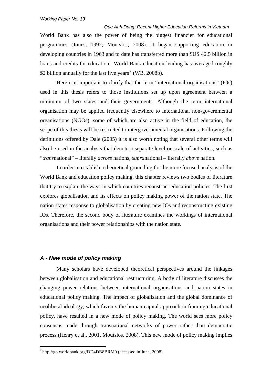*Que Anh Dang: Recent Higher Education Reforms in Vietnam* World Bank has also the power of being the biggest financier for educational programmes (Jones, 1992; Moutsios, 2008). It began supporting education in developing countries in 1963 and to date has transferred more than \$US 42.5 billion in loans and credits for education. World Bank education lending has averaged roughly \$2 billion annually for the last five years<sup>[7](#page-24-1)</sup> (WB, 2008b).

Here it is important to clarify that the term "international organisations" (IOs) used in this thesis refers to those institutions set up upon agreement between a minimum of two states and their governments. Although the term international organisation may be applied frequently elsewhere to international non-governmental organisations (NGOs), some of which are also active in the field of education, the scope of this thesis will be restricted to intergovernmental organisations. Following the definitions offered by Dale (2005) it is also worth noting that several other terms will also be used in the analysis that denote a separate level or scale of activities, such as "*trans*national" – literally *across* nations, *supra*national – literally *above* nation.

In order to establish a theoretical grounding for the more focused analysis of the World Bank and education policy making, this chapter reviews two bodies of literature that try to explain the ways in which countries reconstruct education policies. The first explores globalisation and its effects on policy making power of the nation state. The nation states response to globalisation by creating new IOs and reconstructing existing IOs. Therefore, the second body of literature examines the workings of international organisations and their power relationships with the nation state.

#### <span id="page-24-0"></span>*A - New mode of policy making*

Many scholars have developed theoretical perspectives around the linkages between globalisation and educational restructuring. A body of literature discusses the changing power relations between international organisations and nation states in educational policy making. The impact of globalisation and the global dominance of neoliberal ideology, which favours the human capital approach in framing educational policy, have resulted in a new mode of policy making. The world sees more policy consensus made through transnational networks of power rather than democratic process (Henry et al., 2001, Moutsios, 2008). This new mode of policy making implies

<span id="page-24-1"></span> <sup>7</sup> <http://go.worldbank.org/DD4DB8BRM0> (accessed in June, 2008).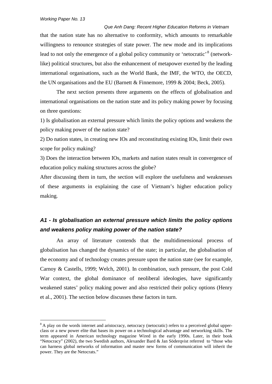*Que Anh Dang: Recent Higher Education Reforms in Vietnam* that the nation state has no alternative to conformity, which amounts to remarkable willingness to renounce strategies of state power. The new mode and its implications lead to not only the emergence of a global policy community or 'netocratic' <sup>[8](#page-25-1)</sup> (networklike) political structures, but also the enhancement of metapower exerted by the leading international organisations, such as the World Bank, the IMF, the WTO, the OECD, the UN organisations and the EU (Barnett & Finnemore, 1999 & 2004; Beck, 2005).

The next section presents three arguments on the effects of globalisation and international organisations on the nation state and its policy making power by focusing on three questions:

1) Is globalisation an external pressure which limits the policy options and weakens the policy making power of the nation state?

2) Do nation states, in creating new IOs and reconstituting existing IOs, limit their own scope for policy making?

3) Does the interaction between IOs, markets and nation states result in convergence of education policy making structures across the globe?

After discussing them in turn, the section will explore the usefulness and weaknesses of these arguments in explaining the case of Vietnam's higher education policy making.

## <span id="page-25-0"></span>*A1 - Is globalisation an external pressure which limits the policy options and weakens policy making power of the nation state?*

An array of literature contends that the multidimensional process of globalisation has changed the dynamics of the state; in particular, the globalisation of the economy and of technology creates pressure upon the nation state (see for example, Carnoy & Castells, 1999; Welch, 2001). In combination, such pressure, the post Cold War context, the global dominance of neoliberal ideologies, have significantly weakened states' policy making power and also restricted their policy options (Henry et al., 2001). The section below discusses these factors in turn.

<span id="page-25-1"></span><sup>&</sup>lt;sup>8</sup> A play on the words [internet](http://en.wikipedia.org/wiki/Internet) and [aristocracy,](http://en.wikipedia.org/wiki/Aristocracy) netocracy (netocratic) refers to a perceived global upperclass or a new power elite that bases its power on a technological advantage and networking skills. The term appeared in American technology magazine [Wired](http://en.wikipedia.org/wiki/Wired_magazine) in the early 1990s. Later, in their book "Netocracy" (2002), the two Swedish authors, Alexander Bard & Jan Söderqvist referred to "those who can harness global networks of information and master new forms of communication will inherit the power. They are the Netocrats."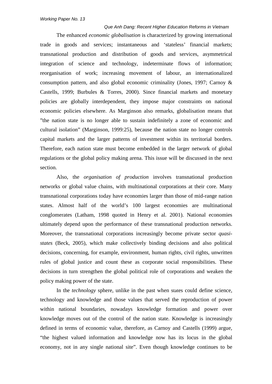The enhanced *economic globalisation* is characterized by growing international trade in goods and services; instantaneous and 'stateless' financial markets; transnational production and distribution of goods and services, asymmetrical integration of science and technology, indeterminate flows of information; reorganisation of work; increasing movement of labour, an internationalized consumption pattern, and also global economic criminality (Jones, 1997; Carnoy & Castells, 1999; Burbules & Torres, 2000). Since financial markets and monetary policies are globally interdependent, they impose major constraints on national economic policies elsewhere. As Marginson also remarks, globalisation means that "the nation state is no longer able to sustain indefinitely a zone of economic and cultural isolation" (Marginson, 1999:25), because the nation state no longer controls capital markets and the larger patterns of investment within its territorial borders. Therefore, each nation state must become embedded in the larger network of global regulations or the global policy making arena. This issue will be discussed in the next section.

Also, the *organisation of production* involves transnational production networks or global value chains, with multinational corporations at their core. Many transnational corporations today have economies larger than those of mid-range nation states. Almost half of the world's 100 largest economies are multinational conglomerates (Latham, 1998 quoted in Henry et al. 2001). National economies ultimately depend upon the performance of these transnational production networks. Moreover, the transnational corporations increasingly become private sector *quasistates* (Beck, 2005)*,* which make collectively binding decisions and also political decisions, concerning, for example, environment, human rights, civil rights, unwritten rules of global justice and count these as corporate social responsibilities. These decisions in turn strengthen the global political role of corporations and weaken the policy making power of the state.

In the *technology* sphere, unlike in the past when states could define science, technology and knowledge and those values that served the reproduction of power within national boundaries, nowadays knowledge formation and power over knowledge moves out of the control of the nation state. Knowledge is increasingly defined in terms of economic value, therefore, as Carnoy and Castells (1999) argue, "the highest valued information and knowledge now has its locus in the global economy, not in any single national site". Even though knowledge continues to be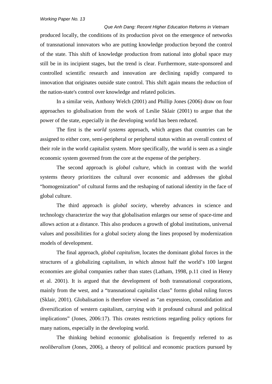*Que Anh Dang: Recent Higher Education Reforms in Vietnam* produced locally, the conditions of its production pivot on the emergence of networks of transnational innovators who are putting knowledge production beyond the control of the state. This shift of knowledge production from national into global space may still be in its incipient stages, but the trend is clear. Furthermore, state-sponsored and controlled scientific research and innovation are declining rapidly compared to innovation that originates outside state control. This shift again means the reduction of the nation-state's control over knowledge and related policies.

In a similar vein, Anthony Welch (2001) and Phillip Jones (2006) draw on four approaches to globalisation from the work of Leslie Sklair (2001) to argue that the power of the state, especially in the developing world has been reduced.

The first is the *world systems* approach, which argues that countries can be assigned to either core, semi-peripheral or peripheral status within an overall context of their role in the world capitalist system. More specifically, the world is seen as a single economic system governed from the core at the expense of the periphery.

The second approach is *global culture*, which in contrast with the world systems theory prioritizes the cultural over economic and addresses the global "homogenization" of cultural forms and the reshaping of national identity in the face of global culture.

The third approach is *global society*, whereby advances in science and technology characterize the way that globalisation enlarges our sense of space-time and allows action at a distance. This also produces a growth of global institutions, universal values and possibilities for a global society along the lines proposed by modernization models of development.

The final approach, *global capitalism*, locates the dominant global forces in the structures of a globalizing capitalism, in which almost half the world's 100 largest economies are global companies rather than states (Latham, 1998, p.11 cited in Henry et al. 2001). It is argued that the development of both transnational corporations, mainly from the west, and a "transnational capitalist class" forms global ruling forces (Sklair, 2001). Globalisation is therefore viewed as "an expression, consolidation and diversification of western capitalism, carrying with it profound cultural and political implications" (Jones, 2006:17). This creates restrictions regarding policy options for many nations, especially in the developing world.

The thinking behind economic globalisation is frequently referred to as *neoliberalism* (Jones, 2006), a theory of political and economic practices pursued by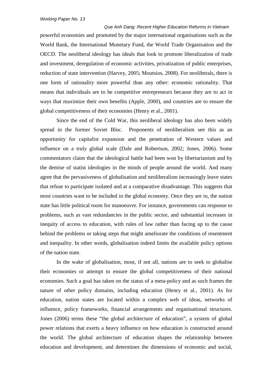*Que Anh Dang: Recent Higher Education Reforms in Vietnam* powerful economies and promoted by the major international organisations such as the World Bank, the International Monetary Fund, the World Trade Organisation and the OECD. The neoliberal ideology has ideals that look to promote liberalization of trade and investment, deregulation of economic activities, privatization of public enterprises, reduction of state intervention (Harvey, 2005; Moutsios, 2008). For neoliberals, there is one form of rationality more powerful than any other: economic rationality. That means that individuals are to be competitive entrepreneurs because they are to act in ways that maximize their own benefits (Apple, 2000), and countries are to ensure the global competitiveness of their economies (Henry et al., 2001).

Since the end of the Cold War, this neoliberal ideology has also been widely spread in the former Soviet Bloc. Proponents of neoliberalism see this as an opportunity for capitalist expansion and the penetration of Western values and influence on a truly global scale (Dale and Robertson, 2002; Jones, 2006). Some commentators claim that the ideological battle had been won by libertarianism and by the demise of statist ideologies in the minds of people around the world. And many agree that the pervasiveness of globalisation and neoliberalism increasingly leave states that refuse to participate isolated and at a comparative disadvantage. This suggests that most countries want to be included in the global economy. Once they are in, the nation state has little political room for manoeuvre. For instance, governments can response to problems, such as vast redundancies in the public sector, and substantial increases in inequity of access to education, with rules of law rather than facing up to the cause behind the problems or taking steps that might ameliorate the conditions of resentment and inequality. In other words, globalisation indeed limits the available policy options of the nation state.

In the wake of globalisation, most, if not all, nations are to seek to globalise their economies or attempt to ensure the global competitiveness of their national economies. Such a goal has taken on the status of a meta-policy and as such frames the nature of other policy domains, including education (Henry et al., 2001). As for education, nation states are located within a complex web of ideas, networks of influence, policy frameworks, financial arrangements and organisational structures. Jones (2006) terms these "the global architecture of education", a system of global power relations that exerts a heavy influence on how education is constructed around the world. The global architecture of education shapes the relationship between education and development, and determines the dimensions of economic and social,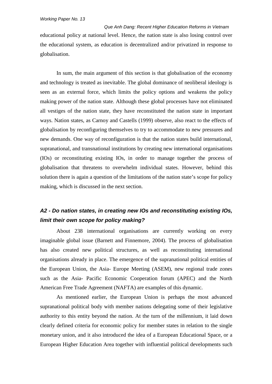*Que Anh Dang: Recent Higher Education Reforms in Vietnam* educational policy at national level. Hence, the nation state is also losing control over the educational system, as education is decentralized and/or privatized in response to globalisation.

In sum, the main argument of this section is that globalisation of the economy and technology is treated as inevitable. The global dominance of neoliberal ideology is seen as an external force, which limits the policy options and weakens the policy making power of the nation state. Although these global processes have not eliminated all vestiges of the nation state, they have reconstituted the nation state in important ways. Nation states, as Carnoy and Castells (1999) observe, also react to the effects of globalisation by reconfiguring themselves to try to accommodate to new pressures and new demands. One way of reconfiguration is that the nation states build international, supranational, and transnational institutions by creating new international organisations (IOs) or reconstituting existing IOs, in order to manage together the process of globalisation that threatens to overwhelm individual states. However, behind this solution there is again a question of the limitations of the nation state's scope for policy making, which is discussed in the next section.

### <span id="page-29-0"></span>*A2 - Do nation states, in creating new IOs and reconstituting existing IOs, limit their own scope for policy making?*

About 238 international organisations are currently working on every imaginable global issue (Barnett and Finnemore, 2004). The process of globalisation has also created new political structures, as well as reconstituting international organisations already in place. The emergence of the supranational political entities of the European Union, the Asia- Europe Meeting (ASEM), new regional trade zones such as the Asia- Pacific Economic Cooperation forum (APEC) and the North American Free Trade Agreement (NAFTA) are examples of this dynamic.

As mentioned earlier, the European Union is perhaps the most advanced supranational political body with member nations delegating some of their legislative authority to this entity beyond the nation. At the turn of the millennium, it laid down clearly defined criteria for economic policy for member states in relation to the single monetary union, and it also introduced the idea of a European Educational Space, or a European Higher Education Area together with influential political developments such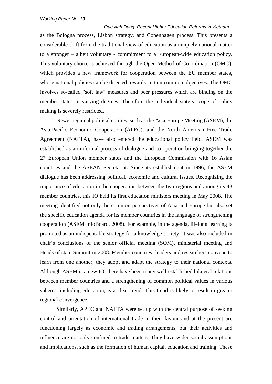*Que Anh Dang: Recent Higher Education Reforms in Vietnam* as the Bologna process, Lisbon strategy, and Copenhagen process. This presents a considerable shift from the traditional view of education as a uniquely national matter to a stronger – albeit voluntary - commitment to a European-wide education policy. This voluntary choice is achieved through the Open Method of Co-ordination (OMC), which provides a new framework for cooperation between the EU member states, whose national policies can be directed towards certain common objectives. The OMC involves so-called "soft law" measures and peer pressures which are binding on the member states in varying degrees. Therefore the individual state's scope of policy making is severely restricted.

Newer regional political entities, such as the Asia-Europe Meeting (ASEM), the Asia-Pacific Economic Cooperation (APEC), and the North American Free Trade Agreement (NAFTA), have also entered the educational policy field. ASEM was established as an informal process of dialogue and co-operation bringing together the 27 European Union member states and the European Commission with 16 Asian countries and the ASEAN Secretariat. Since its establishment in 1996, the ASEM dialogue has been addressing political, economic and cultural issues. Recognizing the importance of education in the cooperation between the two regions and among its 43 member countries, this IO held its first education ministers meeting in May 2008. The meeting identified not only the common perspectives of Asia and Europe but also set the specific education agenda for its member countries in the language of strengthening cooperation (ASEM InfoBoard, 2008). For example, in the agenda, lifelong learning is promoted as an indispensable strategy for a knowledge society. It was also included in chair's conclusions of the senior official meeting (SOM), ministerial meeting and Heads of state Summit in 2008. Member countries' leaders and researchers convene to learn from one another, they adopt and adapt the strategy to their national contexts. Although ASEM is a new IO, there have been many well-established bilateral relations between member countries and a strengthening of common political values in various spheres, including education, is a clear trend. This trend is likely to result in greater regional convergence.

Similarly, APEC and NAFTA were set up with the central purpose of seeking control and orientation of international trade in their favour and at the present are functioning largely as economic and trading arrangements, but their activities and influence are not only confined to trade matters. They have wider social assumptions and implications, such as the formation of human capital, education and training. These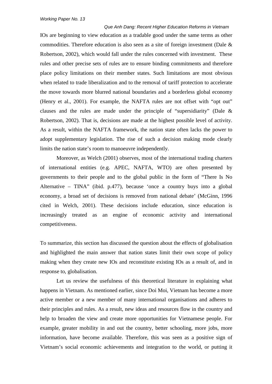*Que Anh Dang: Recent Higher Education Reforms in Vietnam* IOs are beginning to view education as a tradable good under the same terms as other commodities. Therefore education is also seen as a site of foreign investment (Dale & Robertson, 2002), which would fall under the rules concerned with investment. These rules and other precise sets of rules are to ensure binding commitments and therefore place policy limitations on their member states. Such limitations are most obvious when related to trade liberalization and to the removal of tariff protection to accelerate the move towards more blurred national boundaries and a borderless global economy (Henry et al., 2001). For example, the NAFTA rules are not offset with "opt out" clauses and the rules are made under the principle of "supersidiarity" (Dale & Robertson, 2002). That is, decisions are made at the highest possible level of activity. As a result, within the NAFTA framework, the nation state often lacks the power to adopt supplementary legislation. The rise of such a decision making mode clearly limits the nation state's room to manoeuvre independently.

Moreover, as Welch (2001) observes, most of the international trading charters of international entities (e.g. APEC, NAFTA, WTO) are often presented by governments to their people and to the global public in the form of "There Is No Alternative – TINA" (ibid. p.477), because 'once a country buys into a global economy, a broad set of decisions is removed from national debate' (McGinn, 1996 cited in Welch, 2001). These decisions include education, since education is increasingly treated as an engine of economic activity and international competitiveness.

To summarize, this section has discussed the question about the effects of globalisation and highlighted the main answer that nation states limit their own scope of policy making when they create new IOs and reconstitute existing IOs as a result of, and in response to, globalisation.

Let us review the usefulness of this theoretical literature in explaining what happens in Vietnam. As mentioned earlier, since Doi Moi, Vietnam has become a more active member or a new member of many international organisations and adheres to their principles and rules. As a result, new ideas and resources flow in the country and help to broaden the view and create more opportunities for Vietnamese people. For example, greater mobility in and out the country, better schooling, more jobs, more information, have become available. Therefore, this was seen as a positive sign of Vietnam's social economic achievements and integration to the world, or putting it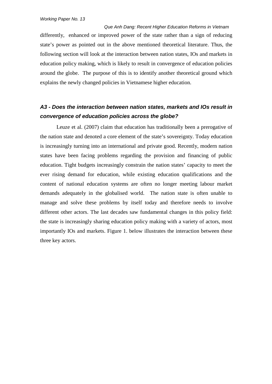*Que Anh Dang: Recent Higher Education Reforms in Vietnam* differently, enhanced or improved power of the state rather than a sign of reducing state's power as pointed out in the above mentioned theoretical literature. Thus, the following section will look at the interaction between nation states, IOs and markets in education policy making, which is likely to result in convergence of education policies around the globe. The purpose of this is to identify another theoretical ground which explains the newly changed policies in Vietnamese higher education.

## <span id="page-32-0"></span>*A3 - Does the interaction between nation states, markets and IOs result in convergence of education policies across the globe?*

Leuze et al. (2007) claim that education has traditionally been a prerogative of the nation state and denoted a core element of the state's sovereignty. Today education is increasingly turning into an international and private good. Recently, modern nation states have been facing problems regarding the provision and financing of public education. Tight budgets increasingly constrain the nation states' capacity to meet the ever rising demand for education, while existing education qualifications and the content of national education systems are often no longer meeting labour market demands adequately in the globalised world. The nation state is often unable to manage and solve these problems by itself today and therefore needs to involve different other actors. The last decades saw fundamental changes in this policy field: the state is increasingly sharing education policy making with a variety of actors, most importantly IOs and markets. Figure 1. below illustrates the interaction between these three key actors.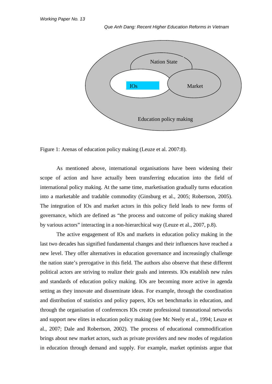

Figure 1: Arenas of education policy making (Leuze et al. 2007:8).

As mentioned above, international organisations have been widening their scope of action and have actually been transferring education into the field of international policy making. At the same time, marketisation gradually turns education into a marketable and tradable commodity (Ginsburg et al., 2005; Robertson, 2005). The integration of IOs and market actors in this policy field leads to new forms of governance, which are defined as "the process and outcome of policy making shared by various actors" interacting in a non-hierarchical way (Leuze et al., 2007, p.8).

The active engagement of IOs and markets in education policy making in the last two decades has signified fundamental changes and their influences have reached a new level. They offer alternatives in education governance and increasingly challenge the nation state's prerogative in this field. The authors also observe that these different political actors are striving to realize their goals and interests. IOs establish new rules and standards of education policy making. IOs are becoming more active in agenda setting as they innovate and disseminate ideas. For example, through the coordination and distribution of statistics and policy papers, IOs set benchmarks in education, and through the organisation of conferences IOs create professional transnational networks and support new elites in education policy making (see Mc Neely et al., 1994; Leuze et al., 2007; Dale and Robertson, 2002). The process of educational commodification brings about new market actors, such as private providers and new modes of regulation in education through demand and supply. For example, market optimists argue that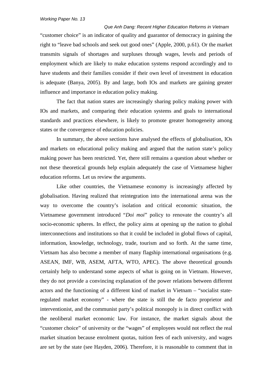*Que Anh Dang: Recent Higher Education Reforms in Vietnam* "customer choice" is an indicator of quality and guarantor of democracy in gaining the right to "leave bad schools and seek out good ones" (Apple, 2000, p.61). Or the market transmits signals of shortages and surpluses through wages, levels and periods of employment which are likely to make education systems respond accordingly and to have students and their families consider if their own level of investment in education is adequate (Banya, 2005). By and large, both IOs and markets are gaining greater influence and importance in education policy making.

The fact that nation states are increasingly sharing policy making power with IOs and markets, and comparing their education systems and goals to international standards and practices elsewhere, is likely to promote greater homogeneity among states or the convergence of education policies.

In summary, the above sections have analysed the effects of globalisation, IOs and markets on educational policy making and argued that the nation state's policy making power has been restricted. Yet, there still remains a question about whether or not these theoretical grounds help explain adequately the case of Vietnamese higher education reforms. Let us review the arguments.

Like other countries, the Vietnamese economy is increasingly affected by globalisation. Having realized that reintegration into the international arena was the way to overcome the country's isolation and critical economic situation, the Vietnamese government introduced "*Doi moi*" policy to renovate the country's all socio-economic spheres. In effect, the policy aims at opening up the nation to global interconnections and institutions so that it could be included in global flows of capital, information, knowledge, technology, trade, tourism and so forth. At the same time, Vietnam has also become a member of many flagship international organisations (e.g. ASEAN, IMF, WB, ASEM, AFTA, WTO, APEC). The above theoretical grounds certainly help to understand some aspects of what is going on in Vietnam. However, they do not provide a convincing explanation of the power relations between different actors and the functioning of a different kind of market in Vietnam – "socialist stateregulated market economy" - where the state is still the de facto proprietor and interventionist, and the communist party's political monopoly is in direct conflict with the neoliberal market economic law. For instance, the market signals about the "customer choice" of university or the "wages" of employees would not reflect the real market situation because enrolment quotas, tuition fees of each university, and wages are set by the state (see Hayden, 2006). Therefore, it is reasonable to comment that in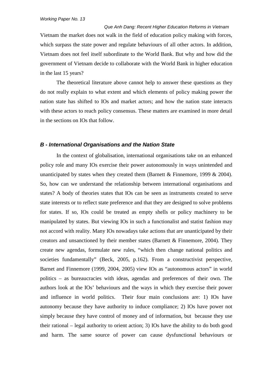*Que Anh Dang: Recent Higher Education Reforms in Vietnam* Vietnam the market does not walk in the field of education policy making with forces, which surpass the state power and regulate behaviours of all other actors. In addition, Vietnam does not feel itself subordinate to the World Bank. But why and how did the government of Vietnam decide to collaborate with the World Bank in higher education in the last 15 years?

The theoretical literature above cannot help to answer these questions as they do not really explain to what extent and which elements of policy making power the nation state has shifted to IOs and market actors; and how the nation state interacts with these actors to reach policy consensus. These matters are examined in more detail in the sections on IOs that follow.

#### <span id="page-35-0"></span>*B - International Organisations and the Nation State*

In the context of globalisation, international organisations take on an enhanced policy role and many IOs exercise their power autonomously in ways unintended and unanticipated by states when they created them (Barnett  $&$  Finnemore, 1999  $& 2004$ ). So, how can we understand the relationship between international organisations and states? A body of theories states that IOs can be seen as instruments created to serve state interests or to reflect state preference and that they are designed to solve problems for states. If so, IOs could be treated as empty shells or policy machinery to be manipulated by states. But viewing IOs in such a functionalist and statist fashion may not accord with reality. Many IOs nowadays take actions that are unanticipated by their creators and unsanctioned by their member states (Barnett & Finnemore, 2004). They create new agendas, formulate new rules, "which then change national politics and societies fundamentally" (Beck, 2005, p.162). From a constructivist perspective, Barnet and Finnemore (1999, 2004, 2005) view IOs as "autonomous actors" in world politics – as bureaucracies with ideas, agendas and preferences of their own. The authors look at the IOs' behaviours and the ways in which they exercise their power and influence in world politics. Their four main conclusions are: 1) IOs have autonomy because they have authority to induce compliance; 2) IOs have power not simply because they have control of money and of information, but because they use their rational – legal authority to orient action; 3) IOs have the ability to do both good and harm. The same source of power can cause dysfunctional behaviours or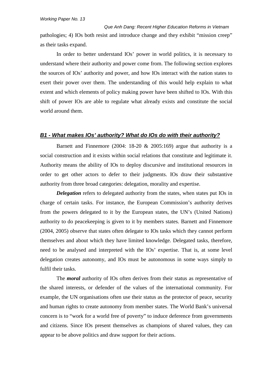*Que Anh Dang: Recent Higher Education Reforms in Vietnam* pathologies; 4) IOs both resist and introduce change and they exhibit "mission creep" as their tasks expand.

In order to better understand IOs' power in world politics, it is necessary to understand where their authority and power come from. The following section explores the sources of IOs' authority and power, and how IOs interact with the nation states to exert their power over them. The understanding of this would help explain to what extent and which elements of policy making power have been shifted to IOs. With this shift of power IOs are able to regulate what already exists and constitute the social world around them.

#### *B1 - What makes IOs' authority? What do IOs do with their authority?*

Barnett and Finnemore (2004: 18-20  $& 2005:169$ ) argue that authority is a social construction and it exists within social relations that constitute and legitimate it. Authority means the ability of IOs to deploy discursive and institutional resources in order to get other actors to defer to their judgments. IOs draw their substantive authority from three broad categories: delegation, morality and expertise.

*Delegation* refers to delegated authority from the states, when states put IOs in charge of certain tasks. For instance, the European Commission's authority derives from the powers delegated to it by the European states, the UN's (United Nations) authority to do peacekeeping is given to it by members states. Barnett and Finnemore (2004, 2005) observe that states often delegate to IOs tasks which they cannot perform themselves and about which they have limited knowledge. Delegated tasks, therefore, need to be analysed and interpreted with the IOs' expertise. That is, at some level delegation creates autonomy, and IOs must be autonomous in some ways simply to fulfil their tasks.

The *moral* authority of IOs often derives from their status as representative of the shared interests, or defender of the values of the international community. For example, the UN organisations often use their status as the protector of peace, security and human rights to create autonomy from member states. The World Bank's universal concern is to "work for a world free of poverty" to induce deference from governments and citizens. Since IOs present themselves as champions of shared values, they can appear to be above politics and draw support for their actions.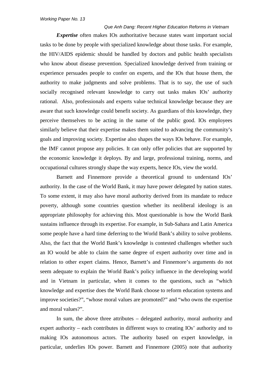#### *Que Anh Dang: Recent Higher Education Reforms in Vietnam*

*Expertise* often makes IOs authoritative because states want important social tasks to be done by people with specialized knowledge about those tasks. For example, the HIV/AIDS epidemic should be handled by doctors and public health specialists who know about disease prevention. Specialized knowledge derived from training or experience persuades people to confer on experts, and the IOs that house them, the authority to make judgments and solve problems. That is to say, the use of such socially recognised relevant knowledge to carry out tasks makes IOs' authority rational. Also, professionals and experts value technical knowledge because they are aware that such knowledge could benefit society. As guardians of this knowledge, they perceive themselves to be acting in the name of the public good. IOs employees similarly believe that their expertise makes them suited to advancing the community's goals and improving society. Expertise also shapes the ways IOs behave. For example, the IMF cannot propose any policies. It can only offer policies that are supported by the economic knowledge it deploys. By and large, professional training, norms, and occupational cultures strongly shape the way experts, hence IOs, view the world.

Barnett and Finnemore provide a theoretical ground to understand IOs' authority. In the case of the World Bank, it may have power delegated by nation states. To some extent, it may also have moral authority derived from its mandate to reduce poverty, although some countries question whether its neoliberal ideology is an appropriate philosophy for achieving this. Most questionable is how the World Bank sustains influence through its expertise. For example, in Sub-Sahara and Latin America some people have a hard time deferring to the World Bank's ability to solve problems. Also, the fact that the World Bank's knowledge is contested challenges whether such an IO would be able to claim the same degree of expert authority over time and in relation to other expert claims. Hence, Barnett's and Finnemore's arguments do not seem adequate to explain the World Bank's policy influence in the developing world and in Vietnam in particular, when it comes to the questions, such as "which knowledge and expertise does the World Bank choose to reform education systems and improve societies?", "whose moral values are promoted?" and "who owns the expertise and moral values?".

In sum, the above three attributes – delegated authority, moral authority and expert authority – each contributes in different ways to creating IOs' authority and to making IOs autonomous actors. The authority based on expert knowledge, in particular, underlies IOs power. Barnett and Finnemore (2005) note that authority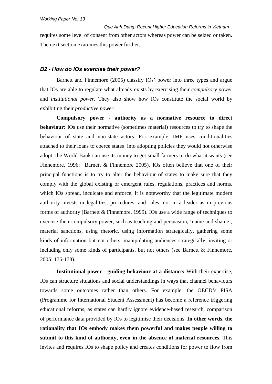*Que Anh Dang: Recent Higher Education Reforms in Vietnam* requires some level of consent from other actors whereas power can be seized or taken. The next section examines this power further.

#### *B2 - How do IOs exercise their power?*

Barnett and Finnemore (2005) classify IOs' power into three types and argue that IOs are able to regulate what already exists by exercising their *compulsory power* and *institutional power*. They also show how IOs constitute the social world by exhibiting their *productive power*.

**Compulsory power - authority as a normative resource to direct behaviour:** IOs use their normative (sometimes material) resources to try to shape the behaviour of state and non-state actors. For example, IMF uses conditionalities attached to their loans to coerce states into adopting policies they would not otherwise adopt; the World Bank can use its money to get small farmers to do what it wants (see Finnemore, 1996; Barnett & Finnemore 2005). IOs often believe that one of their principal functions is to try to alter the behaviour of states to make sure that they comply with the global existing or emergent rules, regulations, practices and norms, which IOs spread, inculcate and enforce. It is noteworthy that the legitimate modern authority invests in legalities, procedures, and rules, not in a leader as in previous forms of authority (Barnett & Finnemore, 1999). IOs use a wide range of techniques to exercise their compulsory power, such as teaching and persuasion, 'name and shame', material sanctions, using rhetoric, using information strategically, gathering some kinds of information but not others, manipulating audiences strategically, inviting or including only some kinds of participants, but not others (see Barnett & Finnemore, 2005: 176-178).

**Institutional power - guiding behaviour at a distance:** With their expertise, IOs can structure situations and social understandings in ways that channel behaviours towards some outcomes rather than others. For example, the OECD's PISA (Programme for International Student Assessment) has become a reference triggering educational reforms, as states can hardly ignore evidence-based research, comparison of performance data provided by IOs to legitimise their decisions. **In other words, the rationality that IOs embody makes them powerful and makes people willing to submit to this kind of authority, even in the absence of material resources**. This invites and requires IOs to shape policy and creates conditions for power to flow from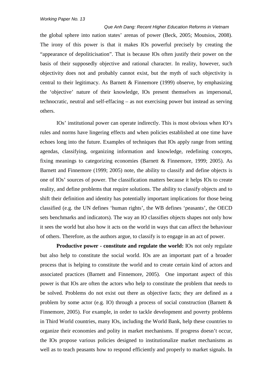*Que Anh Dang: Recent Higher Education Reforms in Vietnam* the global sphere into nation states' arenas of power (Beck, 2005; Moutsios, 2008). The irony of this power is that it makes IOs powerful precisely by creating the "appearance of depoliticisation". That is because IOs often justify their power on the basis of their supposedly objective and rational character. In reality, however, such objectivity does not and probably cannot exist, but the myth of such objectivity is central to their legitimacy. As Barnett & Finnemore (1999) observe, by emphasizing the 'objective' nature of their knowledge, IOs present themselves as impersonal, technocratic, neutral and self-effacing – as not exercising power but instead as serving others.

IOs' institutional power can operate indirectly. This is most obvious when IO's rules and norms have lingering effects and when policies established at one time have echoes long into the future. Examples of techniques that IOs apply range from setting agendas, classifying, organizing information and knowledge, redefining concepts, fixing meanings to categorizing economies (Barnett & Finnemore, 1999; 2005). As Barnett and Finnemore (1999; 2005) note, the ability to classify and define objects is one of IOs' sources of power. The classification matters because it helps IOs to create reality, and define problems that require solutions. The ability to classify objects and to shift their definition and identity has potentially important implications for those being classified (e.g. the UN defines 'human rights', the WB defines 'peasants', the OECD sets benchmarks and indicators). The way an IO classifies objects shapes not only how it sees the world but also how it acts on the world in ways that can affect the behaviour of others. Therefore, as the authors argue, to classify is to engage in an act of power.

**Productive power - constitute and regulate the world:** IOs not only regulate but also help to constitute the social world. IOs are an important part of a broader process that is helping to constitute the world and to create certain kind of actors and associated practices (Barnett and Finnemore, 2005). One important aspect of this power is that IOs are often the actors who help to constitute the problem that needs to be solved. Problems do not exist out there as objective facts; they are defined as a problem by some actor (e.g. IO) through a process of social construction (Barnett & Finnemore, 2005). For example, in order to tackle development and poverty problems in Third World countries, many IOs, including the World Bank, help these countries to organize their economies and polity in market mechanisms. If progress doesn't occur, the IOs propose various policies designed to institutionalize market mechanisms as well as to teach peasants how to respond efficiently and properly to market signals. In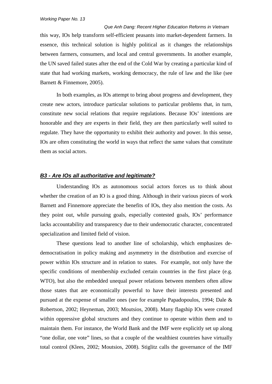*Que Anh Dang: Recent Higher Education Reforms in Vietnam* this way, IOs help transform self-efficient peasants into market-dependent farmers. In essence, this technical solution is highly political as it changes the relationships between farmers, consumers, and local and central governments. In another example, the UN saved failed states after the end of the Cold War by creating a particular kind of state that had working markets, working democracy, the rule of law and the like (see Barnett & Finnemore, 2005).

In both examples, as IOs attempt to bring about progress and development, they create new actors, introduce particular solutions to particular problems that, in turn, constitute new social relations that require regulations. Because IOs' intentions are honorable and they are experts in their field, they are then particularly well suited to regulate. They have the opportunity to exhibit their authority and power. In this sense, IOs are often constituting the world in ways that reflect the same values that constitute them as social actors.

#### *B3 - Are IOs all authoritative and legitimate?*

Understanding IOs as autonomous social actors forces us to think about whether the creation of an IO is a good thing. Although in their various pieces of work Barnett and Finnemore appreciate the benefits of IOs, they also mention the costs. As they point out, while pursuing goals, especially contested goals, IOs' performance lacks accountability and transparency due to their undemocratic character, concentrated specialization and limited field of vision.

These questions lead to another line of scholarship, which emphasizes dedemocratisation in policy making and asymmetry in the distribution and exercise of power within IOs structure and in relation to states. For example, not only have the specific conditions of membership excluded certain countries in the first place (e.g. WTO), but also the embedded unequal power relations between members often allow those states that are economically powerful to have their interests presented and pursued at the expense of smaller ones (see for example Papadopoulos, 1994; Dale & Robertson, 2002; Heyneman, 2003; Moutsios, 2008). Many flagship IOs were created within oppressive global structures and they continue to operate within them and to maintain them. For instance, the World Bank and the IMF were explicitly set up along "one dollar, one vote" lines, so that a couple of the wealthiest countries have virtually total control (Klees, 2002; Moutsios, 2008). Stiglitz calls the governance of the IMF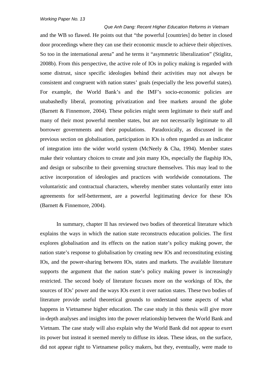*Que Anh Dang: Recent Higher Education Reforms in Vietnam* and the WB so flawed. He points out that "the powerful [countries] do better in closed door proceedings where they can use their economic muscle to achieve their objectives. So too in the international arena" and he terms it "asymmetric liberalization" (Stiglitz, 2008b). From this perspective, the active role of IOs in policy making is regarded with some distrust, since specific ideologies behind their activities may not always be consistent and congruent with nation states' goals (especially the less powerful states). For example, the World Bank's and the IMF's socio-economic policies are unabashedly liberal, promoting privatization and free markets around the globe (Barnett & Finnemore, 2004). These policies might seem legitimate to their staff and many of their most powerful member states, but are not necessarily legitimate to all borrower governments and their populations. Paradoxically, as discussed in the previous section on globalisation, participation in IOs is often regarded as an indicator of integration into the wider world system (McNeely & Cha, 1994). Member states make their voluntary choices to create and join many IOs, especially the flagship IOs, and design or subscribe to their governing structure themselves. This may lead to the active incorporation of ideologies and practices with worldwide connotations. The voluntaristic and contractual characters, whereby member states voluntarily enter into agreements for self-betterment, are a powerful legitimating device for these IOs (Barnett & Finnemore, 2004).

In summary, chapter II has reviewed two bodies of theoretical literature which explains the ways in which the nation state reconstructs education policies. The first explores globalisation and its effects on the nation state's policy making power, the nation state's response to globalisation by creating new IOs and reconstituting existing IOs, and the power-sharing between IOs, states and markets. The available literature supports the argument that the nation state's policy making power is increasingly restricted. The second body of literature focuses more on the workings of IOs, the sources of IOs' power and the ways IOs exert it over nation states. These two bodies of literature provide useful theoretical grounds to understand some aspects of what happens in Vietnamese higher education. The case study in this thesis will give more in-depth analyses and insights into the power relationship between the World Bank and Vietnam. The case study will also explain why the World Bank did not appear to exert its power but instead it seemed merely to diffuse its ideas. These ideas, on the surface, did not appear right to Vietnamese policy makers, but they, eventually, were made to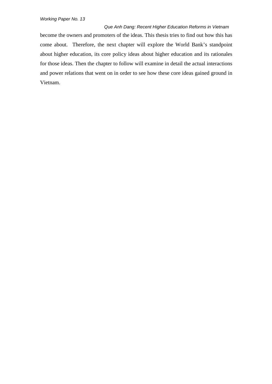*Que Anh Dang: Recent Higher Education Reforms in Vietnam* become the owners and promoters of the ideas. This thesis tries to find out how this has come about. Therefore, the next chapter will explore the World Bank's standpoint about higher education, its core policy ideas about higher education and its rationales for those ideas. Then the chapter to follow will examine in detail the actual interactions and power relations that went on in order to see how these core ideas gained ground in Vietnam.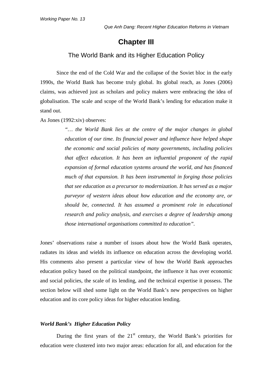# **Chapter III**

## The World Bank and its Higher Education Policy

Since the end of the Cold War and the collapse of the Soviet bloc in the early 1990s, the World Bank has become truly global. Its global reach, as Jones (2006) claims, was achieved just as scholars and policy makers were embracing the idea of globalisation. The scale and scope of the World Bank's lending for education make it stand out.

As Jones (1992:xiv) observes:

*"… the World Bank lies at the centre of the major changes in global education of our time. Its financial power and influence have helped shape the economic and social policies of many governments, including policies that affect education. It has been an influential proponent of the rapid expansion of formal education systems around the world, and has financed much of that expansion. It has been instrumental in forging those policies that see education as a precursor to modernization. It has served as a major purveyor of western ideas about how education and the economy are, or should be, connected. It has assumed a prominent role in educational research and policy analysis, and exercises a degree of leadership among those international organisations committed to education".*

Jones' observations raise a number of issues about how the World Bank operates, radiates its ideas and wields its influence on education across the developing world. His comments also present a particular view of how the World Bank approaches education policy based on the political standpoint, the influence it has over economic and social policies, the scale of its lending, and the technical expertise it possess. The section below will shed some light on the World Bank's new perspectives on higher education and its core policy ideas for higher education lending.

#### *World Bank's Higher Education Policy*

During the first years of the  $21<sup>st</sup>$  century, the World Bank's priorities for education were clustered into two major areas: education for all, and education for the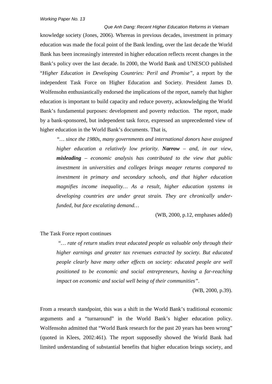*Que Anh Dang: Recent Higher Education Reforms in Vietnam* knowledge society (Jones, 2006). Whereas in previous decades, investment in primary education was made the focal point of the Bank lending, over the last decade the World Bank has been increasingly interested in higher education reflects recent changes in the Bank's policy over the last decade. In 2000, the World Bank and UNESCO published "*Higher Education in Developing Countries: Peril and Promise"*, a report by the independent Task Force on Higher Education and Society. President James D. Wolfensohn enthusiastically endorsed the implications of the report, namely that higher education is important to build capacity and reduce poverty, acknowledging the World Bank's fundamental purposes: development and poverty reduction. The report, made by a bank-sponsored, but independent task force, expressed an unprecedented view of higher education in the World Bank's documents. That is,

*"… since the 1980s, many governments and international donors have assigned higher education a relatively low priority. Narrow – and, in our view, misleading – economic analysis has contributed to the view that public investment in universities and colleges brings meager returns compared to investment in primary and secondary schools, and that higher education magnifies income inequality… As a result, higher education systems in developing countries are under great strain. They are chronically underfunded, but face escalating demand…* 

(WB, 2000, p.12, emphases added)

#### The Task Force report continues

*"… rate of return studies treat educated people as valuable only through their higher earnings and greater tax revenues extracted by society. But educated people clearly have many other effects on society: educated people are well positioned to be economic and social entrepreneurs, having a far-reaching impact on economic and social well being of their communities"*.

(WB, 2000, p.39).

From a research standpoint, this was a shift in the World Bank's traditional economic arguments and a "turnaround" in the World Bank's higher education policy. Wolfensohn admitted that "World Bank research for the past 20 years has been wrong" (quoted in Klees, 2002:461). The report supposedly showed the World Bank had limited understanding of substantial benefits that higher education brings society, and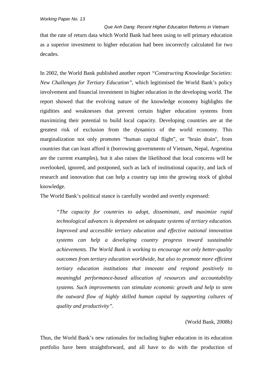*Que Anh Dang: Recent Higher Education Reforms in Vietnam* that the rate of return data which World Bank had been using to sell primary education as a superior investment to higher education had been incorrectly calculated for two decades.

In 2002, the World Bank published another report *"Constructing Knowledge Societies: New Challenges for Tertiary Education"*, which legitimised the World Bank's policy involvement and financial investment in higher education in the developing world. The report showed that the evolving nature of the knowledge economy highlights the rigidities and weaknesses that prevent certain higher education systems from maximizing their potential to build local capacity. Developing countries are at the greatest risk of exclusion from the dynamics of the world economy. This marginalization not only promotes "human capital flight", or "brain drain", from countries that can least afford it (borrowing governments of Vietnam, Nepal, Argentina are the current examples), but it also raises the likelihood that local concerns will be overlooked, ignored, and postponed, such as lack of institutional capacity, and lack of research and innovation that can help a country tap into the growing stock of global knowledge.

The World Bank's political stance is carefully worded and overtly expressed:

*"The capacity for countries to adopt, disseminate, and maximize rapid technological advances is dependent on adequate systems of tertiary education. Improved and accessible tertiary education and effective national innovation systems can help a developing country progress toward sustainable achievements. The World Bank is working to encourage not only better-quality outcomes from tertiary education worldwide, but also to promote more efficient tertiary education institutions that innovate and respond positively to meaningful performance-based allocation of resources and accountability systems. Such improvements can stimulate economic growth and help to stem the outward flow of highly skilled human capital by supporting cultures of quality and productivity".*

#### (World Bank, 2008b)

Thus, the World Bank's new rationales for including higher education in its education portfolio have been straightforward, and all have to do with the production of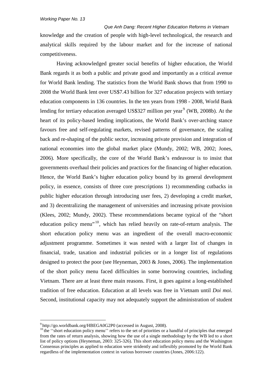*Que Anh Dang: Recent Higher Education Reforms in Vietnam* knowledge and the creation of people with high-level technological, the research and analytical skills required by the labour market and for the increase of national competitiveness.

Having acknowledged greater social benefits of higher education, the World Bank regards it as both a public and private good and importantly as a critical avenue for World Bank lending. The statistics from the World Bank shows that from 1990 to 2008 the World Bank lent over US\$7.43 billion for 327 education projects with tertiary education components in 136 countries. In the ten years from 1998 - 2008, World Bank lending for tertiary education averaged US\$327 million per year<sup>[9](#page-46-0)</sup> (WB, 2008b). At the heart of its policy-based lending implications, the World Bank's over-arching stance favours free and self-regulating markets, revised patterns of governance, the scaling back and re-shaping of the public sector, increasing private provision and integration of national economies into the global market place (Mundy, 2002; WB, 2002; Jones, 2006). More specifically, the core of the World Bank's endeavour is to insist that governments overhaul their policies and practices for the financing of higher education. Hence, the World Bank's higher education policy bound by its general development policy, in essence, consists of three core prescriptions 1) recommending cutbacks in public higher education through introducing user fees, 2) developing a credit market, and 3) decentralizing the management of universities and increasing private provision (Klees, 2002; Mundy, 2002). These recommendations became typical of the "short education policy menu"<sup>[10](#page-46-1)</sup>, which has relied heavily on rate-of-return analysis. The short education policy menu was an ingredient of the overall macro-economic adjustment programme. Sometimes it was nested with a larger list of changes in financial, trade, taxation and industrial policies or in a longer list of regulations designed to protect the poor (see Heyneman, 2003 & Jones, 2006). The implementation of the short policy menu faced difficulties in some borrowing countries, including Vietnam. There are at least three main reasons. First, it goes against a long-established tradition of free education. Education at all levels was free in Vietnam until *Doi moi*. Second, institutional capacity may not adequately support the administration of student

<sup>-&</sup>lt;br>9

<span id="page-46-1"></span><span id="page-46-0"></span> $^{9}$ <http://go.worldbank.org/HBEGA0G2P0> (accessed in August, 2008).<br><sup>10</sup> the "short education policy menu" refers to the set of priorities or a handful of principles that emerged from the rates of return analysis, showing how the use of a single methodology by the WB led to a short list of policy options (Heyneman, 2003: 325-326). This short education policy menu and the Washington Consensus principles as applied to education were stridently and inflexibly promoted by the World Bank regardless of the implementation context in various borrower countries (Jones, 2006:122).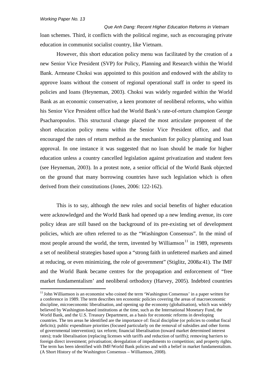*Que Anh Dang: Recent Higher Education Reforms in Vietnam* loan schemes. Third, it conflicts with the political regime, such as encouraging private education in communist socialist country, like Vietnam.

However, this short education policy menu was facilitated by the creation of a new Senior Vice President (SVP) for Policy, Planning and Research within the World Bank. Armeane Choksi was appointed to this position and endowed with the ability to approve loans without the consent of regional operational staff in order to speed its policies and loans (Heyneman, 2003). Choksi was widely regarded within the World Bank as an economic conservative, a keen promoter of neoliberal reforms, who within his Senior Vice President office had the World Bank's rate-of-return champion George Psacharopoulos. This structural change placed the most articulate proponent of the short education policy menu within the Senior Vice President office, and that encouraged the rates of return method as the mechanism for policy planning and loan approval. In one instance it was suggested that no loan should be made for higher education unless a country cancelled legislation against privatization and student fees (see Heyneman, 2003). In a protest note, a senior official of the World Bank objected on the ground that many borrowing countries have such legislation which is often derived from their constitutions (Jones, 2006: 122-162).

This is to say, although the new roles and social benefits of higher education were acknowledged and the World Bank had opened up a new lending avenue, its core policy ideas are still based on the background of its pre-existing set of development policies, which are often referred to as the "Washington Consensus". In the mind of most people around the world, the term, invented by Williamson<sup>[11](#page-47-0)</sup> in 1989, represents a set of neoliberal strategies based upon a "strong faith in unfettered markets and aimed at reducing, or even minimizing, the role of government" (Stiglitz, 2008a:41). The IMF and the World Bank became centres for the propagation and enforcement of "free market fundamentalism' and neoliberal orthodoxy (Harvey, 2005). Indebted countries

<span id="page-47-0"></span> $11$  John Williamson is an economist who coined the term 'Washington Consensus' in a paper written for a conference in 1989. The term describes ten economic policies covering the areas of macroeconomic discipline, microeconomic liberalisation, and opening up the economy (globalisation), which was widely believed by Washington-based institutions at the time, such as the International Monetary Fund, the World Bank, and the U.S. Treasury Department, as a basis for economic reforms in developing countries. The ten areas he identified are the importance of: fiscal discipline (or policies to combat fiscal deficits); public expenditure priorities (focused particularly on the removal of subsidies and other forms of governmental intervention); tax reform; financial liberalisation (toward market determined interest rates); trade liberalisation (replacing licenses with tariffs and reduction of tariffs); removing barriers to foreign direct investment; privatisation; deregulation of impediments to competition; and property rights. The term has been identified with IMF/World Bank policies and with a belief in market fundamentalism. [\(A Short History of the Washington Consensus –](http://www.oxfordscholarship.com/oso/private/content/economicsfinance/9780199534081/p019.html#acprof-9780199534081-chapter-2) Williamson, 2008).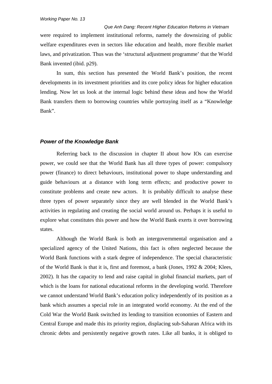*Que Anh Dang: Recent Higher Education Reforms in Vietnam* were required to implement institutional reforms, namely the downsizing of public welfare expenditures even in sectors like education and health, more flexible market laws, and privatization. Thus was the 'structural adjustment programme' that the World Bank invented (ibid. p29).

In sum, this section has presented the World Bank's position, the recent developments in its investment priorities and its core policy ideas for higher education lending. Now let us look at the internal logic behind these ideas and how the World Bank transfers them to borrowing countries while portraying itself as a "Knowledge Bank".

#### *Power of the Knowledge Bank*

Referring back to the discussion in chapter II about how IOs can exercise power, we could see that the World Bank has all three types of power: compulsory power (finance) to direct behaviours, institutional power to shape understanding and guide behaviours at a distance with long term effects; and productive power to constitute problems and create new actors. It is probably difficult to analyse these three types of power separately since they are well blended in the World Bank's activities in regulating and creating the social world around us. Perhaps it is useful to explore what constitutes this power and how the World Bank exerts it over borrowing states.

Although the World Bank is both an intergovernmental organisation and a specialized agency of the United Nations, this fact is often neglected because the World Bank functions with a stark degree of independence. The special characteristic of the World Bank is that it is, first and foremost, a bank (Jones, 1992 & 2004; Klees, 2002). It has the capacity to lend and raise capital in global financial markets, part of which is the loans for national educational reforms in the developing world. Therefore we cannot understand World Bank's education policy independently of its position as a bank which assumes a special role in an integrated world economy. At the end of the Cold War the World Bank switched its lending to transition economies of Eastern and Central Europe and made this its priority region, displacing sub-Saharan Africa with its chronic debts and persistently negative growth rates. Like all banks, it is obliged to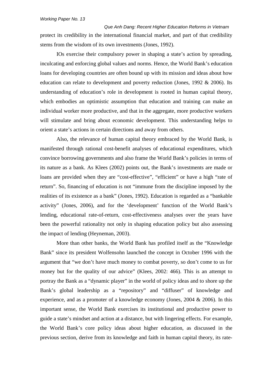*Que Anh Dang: Recent Higher Education Reforms in Vietnam* protect its credibility in the international financial market, and part of that credibility stems from the wisdom of its own investments (Jones, 1992).

IOs exercise their compulsory power in shaping a state's action by spreading, inculcating and enforcing global values and norms. Hence, the World Bank's education loans for developing countries are often bound up with its mission and ideas about how education can relate to development and poverty reduction (Jones, 1992 & 2006). Its understanding of education's role in development is rooted in human capital theory, which embodies an optimistic assumption that education and training can make an individual worker more productive, and that in the aggregate, more productive workers will stimulate and bring about economic development. This understanding helps to orient a state's actions in certain directions and away from others.

Also, the relevance of human capital theory embraced by the World Bank, is manifested through rational cost-benefit analyses of educational expenditures, which convince borrowing governments and also frame the World Bank's policies in terms of its nature as a bank. As Klees (2002) points out, the Bank's investments are made or loans are provided when they are "cost-effective", "efficient" or have a high "rate of return". So, financing of education is not "immune from the discipline imposed by the realities of its existence as a bank" (Jones, 1992). Education is regarded as a "bankable activity" (Jones, 2006), and for the 'development' function of the World Bank's lending, educational rate-of-return, cost-effectiveness analyses over the years have been the powerful rationality not only in shaping education policy but also assessing the impact of lending (Heyneman, 2003).

More than other banks, the World Bank has profiled itself as the "Knowledge Bank" since its president Wolfensohn launched the concept in October 1996 with the argument that "we don't have much money to combat poverty, so don't come to us for money but for the quality of our advice" (Klees, 2002: 466). This is an attempt to portray the Bank as a "dynamic player" in the world of policy ideas and to shore up the Bank's global leadership as a "repository" and "diffuser" of knowledge and experience, and as a promoter of a knowledge economy (Jones, 2004 & 2006). In this important sense, the World Bank exercises its institutional and productive power to guide a state's mindset and action at a distance, but with lingering effects. For example, the World Bank's core policy ideas about higher education, as discussed in the previous section, derive from its knowledge and faith in human capital theory, its rate-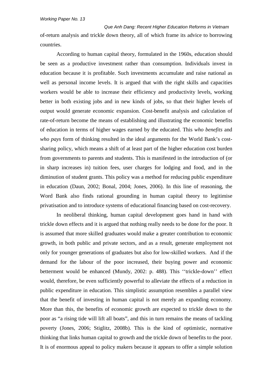*Que Anh Dang: Recent Higher Education Reforms in Vietnam* of-return analysis and trickle down theory, all of which frame its advice to borrowing countries.

According to human capital theory, formulated in the 1960s, education should be seen as a productive investment rather than consumption. Individuals invest in education because it is profitable. Such investments accumulate and raise national as well as personal income levels. It is argued that with the right skills and capacities workers would be able to increase their efficiency and productivity levels, working better in both existing jobs and in new kinds of jobs, so that their higher levels of output would generate economic expansion. Cost-benefit analysis and calculation of rate-of-return become the means of establishing and illustrating the economic benefits of education in terms of higher wages earned by the educated. This *who benefits* and *who pays* form of thinking resulted in the ideal arguments for the World Bank's costsharing policy, which means a shift of at least part of the higher education cost burden from governments to parents and students. This is manifested in the introduction of (or in sharp increases in) tuition fees, user charges for lodging and food, and in the diminution of student grants. This policy was a method for reducing public expenditure in education (Daun, 2002; Bonal, 2004; Jones, 2006). In this line of reasoning, the Word Bank also finds rational grounding in human capital theory to legitimise privatisation and to introduce systems of educational financing based on cost-recovery.

In neoliberal thinking, human capital development goes hand in hand with trickle down effects and it is argued that nothing really needs to be done for the poor. It is assumed that more skilled graduates would make a greater contribution to economic growth, in both public and private sectors, and as a result, generate employment not only for younger generations of graduates but also for low-skilled workers. And if the demand for the labour of the poor increased, their buying power and economic betterment would be enhanced (Mundy, 2002: p. 488). This ''trickle-down'' effect would, therefore, be even sufficiently powerful to alleviate the effects of a reduction in public expenditure in education. This simplistic assumption resembles a parallel view that the benefit of investing in human capital is not merely an expanding economy. More than this, the benefits of economic growth are expected to trickle down to the poor as "a rising tide will lift all boats", and this in turn remains the means of tackling poverty (Jones, 2006; Stiglitz, 2008b). This is the kind of optimistic, normative thinking that links human capital to growth and the trickle down of benefits to the poor. It is of enormous appeal to policy makers because it appears to offer a simple solution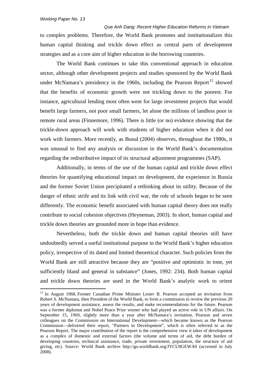*Que Anh Dang: Recent Higher Education Reforms in Vietnam* to complex problems. Therefore, the World Bank promotes and institutionalizes this human capital thinking and trickle down effect as central parts of development strategies and as a core aim of higher education in the borrowing countries.

The World Bank continues to take this conventional approach in education sector, although other development projects and studies sponsored by the World Bank under McNamara's presidency in the 1960s, including the Pearson Report<sup>[12](#page-51-0)</sup> showed that the benefits of economic growth were not trickling down to the poorest. For instance, agricultural lending most often went for large investment projects that would benefit large farmers, not poor small farmers, let alone the millions of landless poor in remote rural areas (Finnemore, 1996). There is little (or no) evidence showing that the trickle-down approach will work with students of higher education when it did not work with farmers. More recently, as Bonal (2004) observes, throughout the 1980s, it was unusual to find any analysis or discussion in the World Bank's documentation regarding the redistributive impact of its structural adjustment programmes (SAP).

Additionally, in terms of the use of the human capital and trickle down effect theories for quantifying educational impact on development, the experience in Russia and the former Soviet Union precipitated a rethinking about its utility. Because of the danger of ethnic strife and its link with civil war, the role of schools began to be seen differently. The economic benefit associated with human capital theory does not really contribute to social cohesion objectives (Heyneman, 2003). In short, human capital and trickle down theories are grounded more in hope than evidence.

Nevertheless, both the trickle down and human capital theories still have undoubtedly served a useful institutional purpose in the World Bank's higher education policy, irrespective of its dated and limited theoretical character. Such policies from the World Bank are still attractive because they are "positive and optimistic in tone, yet sufficiently bland and general in substance" (Jones, 1992: 234). Both human capital and trickle down theories are used in the World Bank's analytic work to orient

<span id="page-51-0"></span><sup>&</sup>lt;sup>12</sup> In August 1968, Former Canadian Prime Minister Lester B. Pearson accepted an invitation from Robert S. McNamara, then President of the World Bank, to form a commission to review the previous 20 years of development assistance, assess the results, and make recommendations for the future. Pearson was a former diplomat and Nobel Peace Prize winner who had played an active role in UN affairs. On September 15, 1969, slightly more than a year after McNamara's invitation, Pearson and seven colleagues on the Commission on International Development—which became known as the Pearson Commission—delivered their report, "Partners in Development", which is often referred to as the Pearson Report. The major contribution of the report is the comprehensive view it takes of development as a complex of domestic and external factors (the volume and terms of aid, the debt burden of developing countries, technical assistance, trade, private investment, population, the structure of aid giving, etc). Source: World Bank archive <http://go.worldbank.org/JYCU8GEWA0> (accessed in July 2008).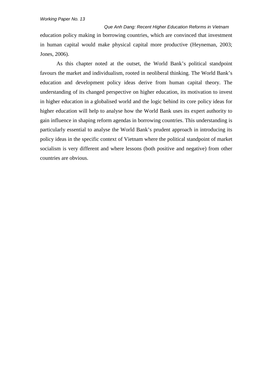*Que Anh Dang: Recent Higher Education Reforms in Vietnam* education policy making in borrowing countries, which are convinced that investment in human capital would make physical capital more productive (Heyneman, 2003; Jones, 2006).

As this chapter noted at the outset, the World Bank's political standpoint favours the market and individualism, rooted in neoliberal thinking. The World Bank's education and development policy ideas derive from human capital theory. The understanding of its changed perspective on higher education, its motivation to invest in higher education in a globalised world and the logic behind its core policy ideas for higher education will help to analyse how the World Bank uses its expert authority to gain influence in shaping reform agendas in borrowing countries. This understanding is particularly essential to analyse the World Bank's prudent approach in introducing its policy ideas in the specific context of Vietnam where the political standpoint of market socialism is very different and where lessons (both positive and negative) from other countries are obvious.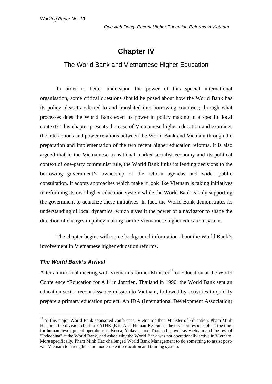# **Chapter IV**

## The World Bank and Vietnamese Higher Education

In order to better understand the power of this special international organisation, some critical questions should be posed about how the World Bank has its policy ideas transferred to and translated into borrowing countries; through what processes does the World Bank exert its power in policy making in a specific local context? This chapter presents the case of Vietnamese higher education and examines the interactions and power relations between the World Bank and Vietnam through the preparation and implementation of the two recent higher education reforms. It is also argued that in the Vietnamese transitional market socialist economy and its political context of one-party communist rule, the World Bank links its lending decisions to the borrowing government's ownership of the reform agendas and wider public consultation. It adopts approaches which make it look like Vietnam is taking initiatives in reforming its own higher education system while the World Bank is only supporting the government to actualize these initiatives. In fact, the World Bank demonstrates its understanding of local dynamics, which gives it the power of a navigator to shape the direction of changes in policy making for the Vietnamese higher education system.

The chapter begins with some background information about the World Bank's involvement in Vietnamese higher education reforms.

#### *The World Bank's Arrival*

After an informal meeting with Vietnam's former Minister<sup>[13](#page-53-0)</sup> of Education at the World Conference "Education for All" in Jomtien, Thailand in 1990, the World Bank sent an education sector reconnaissance mission to Vietnam, followed by activities to quickly prepare a primary education project. An IDA (International Development Association)

<span id="page-53-0"></span><sup>&</sup>lt;sup>13</sup> At this major World Bank-sponsored conference, Vietnam's then Minister of Education, Pham Minh Hac, met the division chief in EA1HR (East Asia Human Resource- the division responsible at the time for human development operations in Korea, Malaysia and Thailand as well as Vietnam and the rest of "Indochina" at the World Bank) and asked why the World Bank was not operationally active in Vietnam. More specifically, Pham Minh Hac challenged World Bank Management to do something to assist postwar Vietnam to strengthen and modernize its education and training system.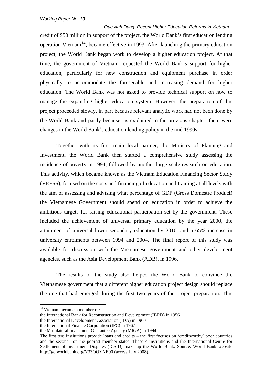*Que Anh Dang: Recent Higher Education Reforms in Vietnam* credit of \$50 million in support of the project, the World Bank's first education lending operation Vietnam<sup>[14](#page-54-0)</sup>, became effective in 1993. After launching the primary education project, the World Bank began work to develop a higher education project. At that time, the government of Vietnam requested the World Bank's support for higher education, particularly for new construction and equipment purchase in order physically to accommodate the foreseeable and increasing demand for higher education. The World Bank was not asked to provide technical support on how to manage the expanding higher education system. However, the preparation of this project proceeded slowly, in part because relevant analytic work had not been done by the World Bank and partly because, as explained in the previous chapter, there were changes in the World Bank's education lending policy in the mid 1990s.

Together with its first main local partner, the Ministry of Planning and Investment, the World Bank then started a comprehensive study assessing the incidence of poverty in 1994, followed by another large scale research on education. This activity, which became known as the Vietnam Education Financing Sector Study (VEFSS), focused on the costs and financing of education and training at all levels with the aim of assessing and advising what percentage of GDP (Gross Domestic Product) the Vietnamese Government should spend on education in order to achieve the ambitious targets for raising educational participation set by the government. These included the achievement of universal primary education by the year 2000, the attainment of universal lower secondary education by 2010, and a 65% increase in university enrolments between 1994 and 2004. The final report of this study was available for discussion with the Vietnamese government and other development agencies, such as the Asia Development Bank (ADB), in 1996.

The results of the study also helped the World Bank to convince the Vietnamese government that a different higher education project design should replace the one that had emerged during the first two years of the project preparation. This

<span id="page-54-0"></span><sup>&</sup>lt;sup>14</sup> Vietnam became a member of:

the International Bank for Reconstruction and Development (IBRD) in 1956

the International Development Association (IDA) in 1960

the International Finance Corporation (IFC) in 1967

the Multilateral Investment Guarantee Agency (MIGA) in 1994

The first two institutions provide loans and credits – the first focuses on 'creditworthy' poor countries and the second –on the poorest member states. These 4 institutions and the International Centre for Settlement of Investment Disputes (ICSID) make up the World Bank. Source: World Bank website <http://go.worldbank.org/Y33OQYNE90> (access July 2008).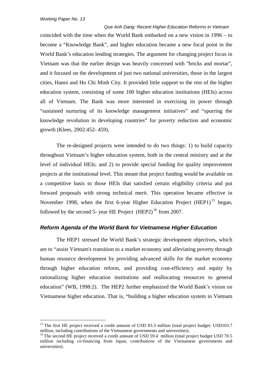*Que Anh Dang: Recent Higher Education Reforms in Vietnam* coincided with the time when the World Bank embarked on a new vision in 1996 – to become a "Knowledge Bank", and higher education became a new focal point in the World Bank's education lending strategies. The argument for changing project focus in Vietnam was that the earlier design was heavily concerned with "bricks and mortar", and it focused on the development of just two national universities, those in the largest cities, Hanoi and Ho Chi Minh City. It provided little support to the rest of the higher education system, consisting of some 100 higher education institutions (HEIs) across all of Vietnam. The Bank was more interested in exercising its power through "sustained nurturing of its knowledge management initiatives" and "spurring the knowledge revolution in developing countries" for poverty reduction and economic growth (Klees, 2002:452- 459).

The re-designed projects were intended to do two things: 1) to build capacity throughout Vietnam's higher education system, both in the central ministry and at the level of individual HEIs; and 2) to provide special funding for quality improvement projects at the institutional level. This meant that project funding would be available on a competitive basis to those HEIs that satisfied certain eligibility criteria and put forward proposals with strong technical merit. This operation became effective in November 1998, when the first 6-year Higher Education Project (HEP1)<sup>[15](#page-55-0)</sup> began, followed by the second 5- year HE Project  $(HEP2)^{16}$  $(HEP2)^{16}$  $(HEP2)^{16}$  from 2007.

#### *Reform Agenda of the World Bank for Vietnamese Higher Education*

The HEP1 stressed the World Bank's strategic development objectives, which are to "assist Vietnam's transition to a market economy and alleviating poverty through human resource development by providing advanced skills for the market economy through higher education reform, and providing cost-efficiency and equity by rationalizing higher education institutions and reallocating resources to general education" (WB, 1998:2). The HEP2 further emphasized the World Bank's vision on Vietnamese higher education. That is, "building a higher education system in Vietnam

<span id="page-55-0"></span><sup>&</sup>lt;sup>15</sup> The first HE project received a credit amount of USD 83.3 million (total project budget: USD103.7 million, including contributions of the Vietnamese governments and universities).

<span id="page-55-1"></span> $16$  The second HE project received a credit amount of USD 59.4 million (total project budget USD 70.5) million including co-financing from Japan, contributions of the Vietnamese governments and universities).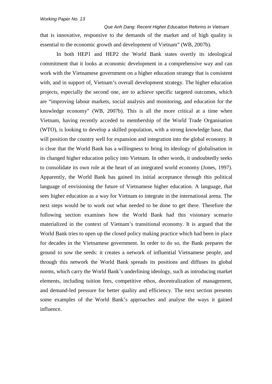*Que Anh Dang: Recent Higher Education Reforms in Vietnam* that is innovative, responsive to the demands of the market and of high quality is essential to the economic growth and development of Vietnam" (WB, 2007b).

In both HEP1 and HEP2 the World Bank states overtly its ideological commitment that it looks at economic development in a comprehensive way and can work with the Vietnamese government on a higher education strategy that is consistent with, and in support of, Vietnam's overall development strategy. The higher education projects, especially the second one, are to achieve specific targeted outcomes, which are "improving labour markets, social analysis and monitoring, and education for the knowledge economy" (WB, 2007b). This is all the more critical at a time when Vietnam, having recently acceded to membership of the World Trade Organisation (WTO), is looking to develop a skilled population, with a strong knowledge base, that will position the country well for expansion and integration into the global economy. It is clear that the World Bank has a willingness to bring its ideology of globalisation in its changed higher education policy into Vietnam. In other words, it undoubtedly seeks to consolidate its own role at the heart of an integrated world economy (Jones, 1997). Apparently, the World Bank has gained its initial acceptance through this political language of envisioning the future of Vietnamese higher education. A language, that sees higher education as a way for Vietnam to integrate in the international arena. The next steps would be to work out what needed to be done to get there. Therefore the following section examines how the World Bank had this visionary scenario materialized in the context of Vietnam's transitional economy. It is argued that the World Bank tries to open up the closed policy making practice which had been in place for decades in the Vietnamese government. In order to do so, the Bank prepares the ground to sow the seeds: it creates a network of influential Vietnamese people, and through this network the World Bank spreads its positions and diffuses its global norms, which carry the World Bank's underlining ideology, such as introducing market elements, including tuition fees, competitive ethos, decentralization of management, and demand-led pressure for better quality and efficiency. The next section presents some examples of the World Bank's approaches and analyse the ways it gained influence.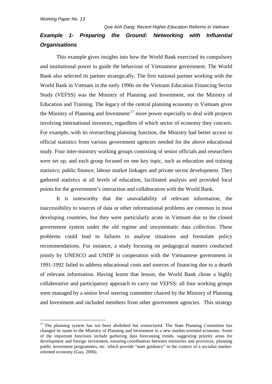# *Que Anh Dang: Recent Higher Education Reforms in Vietnam Example 1- Preparing the Ground: Networking with Influential Organisations*

This example gives insights into how the World Bank exercised its compulsory and institutional power to guide the behaviour of Vietnamese government. The World Bank also selected its partner strategically. The first national partner working with the World Bank in Vietnam in the early 1990s on the Vietnam Education Financing Sector Study (VEFSS) was the Ministry of Planning and Investment, not the Ministry of Education and Training. The legacy of the central planning economy in Vietnam gives the Ministry of Planning and Investment<sup>[17](#page-57-0)</sup> more power especially to deal with projects involving international investors, regardless of which sector of economy they concern. For example, with its overarching planning function, the Ministry had better access to official statistics from various government agencies needed for the above educational study. Four inter-ministry working groups consisting of senior officials and researchers were set up, and each group focused on one key topic, such as education and training statistics; public finance; labour market linkages and private sector development. They gathered statistics at all levels of education, facilitated analysis and provided focal points for the government's interaction and collaboration with the World Bank.

It is noteworthy that the unavailability of relevant information, the inaccessibility to sources of data or other informational problems are common in most developing countries, but they were particularly acute in Vietnam due to the closed government system under the old regime and unsystematic data collection. These problems could lead to failures to analyse situations and formulate policy recommendations. For instance, a study focusing on pedagogical matters conducted jointly by UNESCO and UNDP in cooperation with the Vietnamese government in 1991-1992 failed to address educational costs and sources of financing due to a dearth of relevant information. Having learnt that lesson, the World Bank chose a highly collaborative and participatory approach to carry out VEFSS: all four working groups were managed by a senior level steering committee chaired by the Ministry of Planning and Investment and included members from other government agencies. This strategy

<span id="page-57-0"></span><sup>&</sup>lt;sup>17</sup> The planning system has not been abolished but restructured. The State Planning Committee has changed its name to the Ministry of Planning and Investment in a new market-oriented economy. Some of the important functions include gathering data forecasting trends, suggesting priority areas for development and foreign investment, ensuring coordination between ministries and provinces, planning public investment programmes, etc. which provide "state guidance" in the context of a socialist marketoriented economy (Guo, 2006).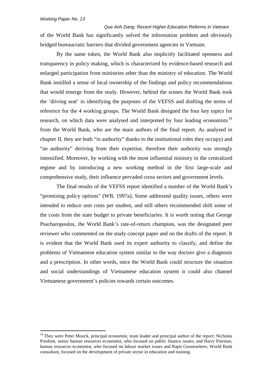*Que Anh Dang: Recent Higher Education Reforms in Vietnam* of the World Bank has significantly solved the information problem and obviously bridged bureaucratic barriers that divided government agencies in Vietnam.

By the same token, the World Bank also implicitly facilitated openness and transparency in policy making, which is characterized by evidence-based research and enlarged participation from ministries other than the ministry of education. The World Bank instilled a sense of local ownership of the findings and policy recommendations that would emerge from the study. However, behind the scenes the World Bank took the 'driving seat' in identifying the purposes of the VEFSS and drafting the terms of reference for the 4 working groups. The World Bank designed the four key topics for research, on which data were analysed and interpreted by four leading economists<sup>[18](#page-58-0)</sup> from the World Bank, who are the main authors of the final report. As analysed in chapter II, they are both "in authority" thanks to the institutional roles they occupy) and "an authority" deriving from their expertise, therefore their authority was strongly intensified. Moreover, by working with the most influential ministry in the centralized regime and by introducing a new working method in the first large-scale and comprehensive study, their influence pervaded cross sectors and government levels.

The final results of the VEFSS report identified a number of the World Bank's "promising policy options" (WB, 1997a). Some addressed quality issues, others were intended to reduce unit costs per student, and still others recommended shift some of the costs from the state budget to private beneficiaries. It is worth noting that George Psacharopoulos, the World Bank's rate-of-return champion, was the designated peer reviewer who commented on the study concept paper and on the drafts of the report. It is evident that the World Bank used its expert authority to classify, and define the problems of Vietnamese education system similar to the way doctors give a diagnosis and a prescription. In other words, once the World Bank could structure the situation and social understandings of Vietnamese education system it could also channel Vietnamese government's policies towards certain outcomes.

<span id="page-58-0"></span><sup>&</sup>lt;sup>18</sup> They were Peter Moock, principal economist, team leader and principal author of the report; Nicholas Presbott, senior human resources economist, who focused on public finance issues; and Harry Patrinos, human resources economist, who focused on labour market issues and Rapti Goonesekere, World Bank consultant, focused on the development of private sector in education and training.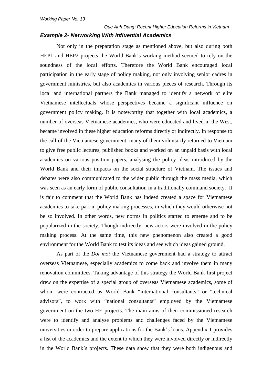# *Que Anh Dang: Recent Higher Education Reforms in Vietnam*

## *Example 2- Networking With Influential Academics*

Not only in the preparation stage as mentioned above, but also during both HEP1 and HEP2 projects the World Bank's working method seemed to rely on the soundness of the local efforts. Therefore the World Bank encouraged local participation in the early stage of policy making, not only involving senior cadres in government ministries, but also academics in various pieces of research. Through its local and international partners the Bank managed to identify a network of elite Vietnamese intellectuals whose perspectives became a significant influence on government policy making. It is noteworthy that together with local academics, a number of overseas Vietnamese academics, who were educated and lived in the West, became involved in these higher education reforms directly or indirectly. In response to the call of the Vietnamese government, many of them voluntarily returned to Vietnam to give free public lectures, published books and worked on an unpaid basis with local academics on various position papers, analysing the policy ideas introduced by the World Bank and their impacts on the social structure of Vietnam. The issues and debates were also communicated to the wider public through the mass media, which was seen as an early form of public consultation in a traditionally command society. It is fair to comment that the World Bank has indeed created a space for Vietnamese academics to take part in policy making processes, in which they would otherwise not be so involved. In other words, new norms in politics started to emerge and to be popularized in the society. Though indirectly, new actors were involved in the policy making process. At the same time, this new phenomenon also created a good environment for the World Bank to test its ideas and see which ideas gained ground.

As part of the *Doi moi* the Vietnamese government had a strategy to attract overseas Vietnamese, especially academics to come back and involve them in many renovation committees. Taking advantage of this strategy the World Bank first project drew on the expertise of a special group of overseas Vietnamese academics, some of whom were contracted as World Bank "international consultants" or "technical advisors", to work with "national consultants" employed by the Vietnamese government on the two HE projects. The main aims of their commissioned research were to identify and analyse problems and challenges faced by the Vietnamese universities in order to prepare applications for the Bank's loans. Appendix 1 provides a list of the academics and the extent to which they were involved directly or indirectly in the World Bank's projects. These data show that they were both indigenous and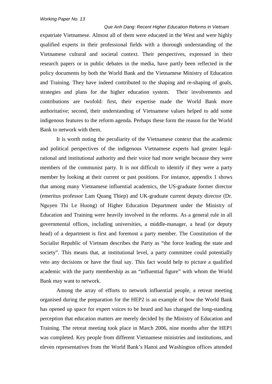#### *Que Anh Dang: Recent Higher Education Reforms in Vietnam*

expatriate Vietnamese. Almost all of them were educated in the West and were highly qualified experts in their professional fields with a thorough understanding of the Vietnamese cultural and societal context. Their perspectives, expressed in their research papers or in public debates in the media, have partly been reflected in the policy documents by both the World Bank and the Vietnamese Ministry of Education and Training. They have indeed contributed to the shaping and re-shaping of goals, strategies and plans for the higher education system. Their involvements and contributions are twofold: first, their expertise made the World Bank more authoritative; second, their understanding of Vietnamese values helped to add some indigenous features to the reform agenda. Perhaps these form the reason for the World Bank to network with them.

It is worth noting the peculiarity of the Vietnamese context that the academic and political perspectives of the indigenous Vietnamese experts had greater legalrational and institutional authority and their voice had more weight because they were members of the communist party. It is not difficult to identify if they were a party member by looking at their current or past positions. For instance, appendix 1 shows that among many Vietnamese influential academics, the US-graduate former director (emeritus professor Lam Quang Thiep) and UK-graduate current deputy director (Dr. Nguyen Thi Le Huong) of Higher Education Department under the Ministry of Education and Training were heavily involved in the reforms. As a general rule in all governmental offices, including universities, a middle-manager, a head (or deputy head) of a department is first and foremost a party member. The Constitution of the Socialist Republic of Vietnam describes the Party as "the force leading the state and society". This means that, at institutional level, a party committee could potentially veto any decisions or have the final say. This fact would help to picture a qualified academic with the party membership as an "influential figure" with whom the World Bank may want to network.

Among the array of efforts to network influential people, a retreat meeting organised during the preparation for the HEP2 is an example of how the World Bank has opened up space for expert voices to be heard and has changed the long-standing perception that education matters are merely decided by the Ministry of Education and Training. The retreat meeting took place in March 2006, nine months after the HEP1 was completed. Key people from different Vietnamese ministries and institutions, and eleven representatives from the World Bank's Hanoi and Washington offices attended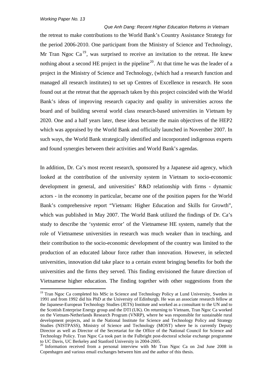*Que Anh Dang: Recent Higher Education Reforms in Vietnam* the retreat to make contributions to the World Bank's Country Assistance Strategy for the period 2006-2010. One participant from the Ministry of Science and Technology, Mr Tran Ngoc  $Ca^{19}$  $Ca^{19}$  $Ca^{19}$ , was surprised to receive an invitation to the retreat. He knew nothing about a second HE project in the pipeline<sup>[20](#page-61-1)</sup>. At that time he was the leader of a project in the Ministry of Science and Technology, (which had a research function and managed all research institutes) to set up Centres of Excellence in research. He soon found out at the retreat that the approach taken by this project coincided with the World Bank's ideas of improving research capacity and quality in universities across the board and of building several world class research-based universities in Vietnam by 2020. One and a half years later, these ideas became the main objectives of the HEP2 which was appraised by the World Bank and officially launched in November 2007. In such ways, the World Bank strategically identified and incorporated indigenous experts and found synergies between their activities and World Bank's agendas.

In addition, Dr. Ca's most recent research, sponsored by a Japanese aid agency, which looked at the contribution of the university system in Vietnam to socio-economic development in general, and universities' R&D relationship with firms - dynamic actors - in the economy in particular, became one of the position papers for the World Bank's comprehensive report "Vietnam: Higher Education and Skills for Growth", which was published in May 2007. The World Bank utilized the findings of Dr. Ca's study to describe the 'systemic error' of the Vietnamese HE system, namely that the role of Vietnamese universities in research was much weaker than in teaching, and their contribution to the socio-economic development of the country was limited to the production of an educated labour force rather than innovation. However, in selected universities, innovation did take place to a certain extent bringing benefits for both the universities and the firms they served. This finding envisioned the future direction of Vietnamese higher education. The finding together with other suggestions from the

<span id="page-61-0"></span><sup>&</sup>lt;sup>19</sup> Tran Ngoc Ca completed his MSc in Science and Technology Policy at Lund University, Sweden in 1991 and from 1992 did his PhD at the University of Edinburgh. He was an associate research fellow at the Japanese-European Technology Studies (JETS) Institute and worked as a consultant to the UN and to the Scottish Enterprise Energy group and the DTI (UK). On returning to Vietnam, Tran Ngoc Ca worked on the Vietnam-Netherlands Research Program (VNRP), where he was responsible for sustainable rural development projects, and in the National Institute for Science and Technology Policy and Strategy Studies (NISTPASS), Ministry of Science and Technology (MOST) where he is currently Deputy Director as well as Director of the Secretariat for the Office of the National Council for Science and Technology Policy. Tran Ngoc Ca took part in the Fulbright post-doctoral scholar exchange programme to UC Davis, UC Berkeley and Stanford University in 2004-2005.

<span id="page-61-1"></span> $10^{20}$  Information received from a personal interview with Mr Tran Ngoc Ca on 2nd June 2008 in Copenhagen and various email exchanges between him and the author of this thesis.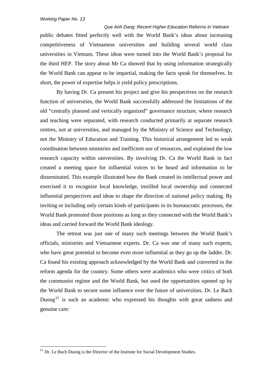*Que Anh Dang: Recent Higher Education Reforms in Vietnam* public debates fitted perfectly well with the World Bank's ideas about increasing competitiveness of Vietnamese universities and building several world class universities in Vietnam. These ideas were turned into the World Bank's proposal for the third HEP. The story about Mr Ca showed that by using information strategically the World Bank can appear to be impartial, making the facts speak for themselves. In short, the power of expertise helps it yield policy prescriptions.

By having Dr. Ca present his project and give his perspectives on the research function of universities, the World Bank successfully addressed the limitations of the old "centrally planned and vertically organized" governance structure, where research and teaching were separated, with research conducted primarily at separate research centres, not at universities, and managed by the Ministry of Science and Technology, not the Ministry of Education and Training. This historical arrangement led to weak coordination between ministries and inefficient use of resources, and explained the low research capacity within universities. By involving Dr. Ca the World Bank in fact created a meeting space for influential voices to be heard and information to be disseminated. This example illustrated how the Bank created its intellectual power and exercised it to recognize local knowledge, instilled local ownership and connected influential perspectives and ideas to shape the direction of national policy making. By inviting or including only certain kinds of participants in its bureaucratic processes, the World Bank promoted those positions as long as they connected with the World Bank's ideas and carried forward the World Bank ideology.

The retreat was just one of many such meetings between the World Bank's officials, ministries and Vietnamese experts. Dr. Ca was one of many such experts, who have great potential to become even more influential as they go up the ladder. Dr. Ca found his existing approach acknowledged by the World Bank and converted in the reform agenda for the country. Some others were academics who were critics of both the communist regime and the World Bank, but used the opportunities opened up by the World Bank to secure some influence over the future of universities. Dr. Le Bach Duong<sup>[21](#page-62-0)</sup> is such an academic who expressed his thoughts with great sadness and genuine care:

<span id="page-62-0"></span><sup>&</sup>lt;sup>21</sup> Dr. Le Bach Duong is the Director of the Institute for Social Development Studies.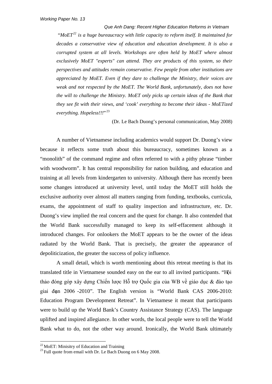*Que Anh Dang: Recent Higher Education Reforms in Vietnam* "*MoET[22](#page-63-0) is a huge bureaucracy with little capacity to reform itself. It maintained for decades a conservative view of education and education development. It is also a corrupted system at all levels. Workshops are often held by MoET where almost exclusively MoET "experts" can attend. They are products of this system, so their perspectives and attitudes remain conservative. Few people from other institutions are appreciated by MoET. Even if they dare to challenge the Ministry, their voices are weak and not respected by the MoET. The World Bank, unfortunately, does not have the will to challenge the Ministry. MoET only picks up certain ideas of the Bank that they see fit with their views, and 'cook' everything to become their ideas - MoETized everything. Hopeless!!!*" [23](#page-63-1)

(Dr. Le Bach Duong's personal communication, May 2008)

A number of Vietnamese including academics would support Dr. Duong's view because it reflects some truth about this bureaucracy, sometimes known as a "monolith" of the command regime and often referred to with a pithy phrase "timber with woodworm". It has central responsibility for nation building, and education and training at all levels from kindergarten to university. Although there has recently been some changes introduced at university level, until today the MoET still holds the exclusive authority over almost all matters ranging from funding, textbooks, curricula, exams, the appointment of staff to quality inspection and infrastructure, etc. Dr. Duong's view implied the real concern and the quest for change. It also contended that the World Bank successfully managed to keep its self-effacement although it introduced changes. For onlookers the MoET appears to be the owner of the ideas radiated by the World Bank. That is precisely, the greater the appearance of depoliticization, the greater the success of policy influence.

A small detail, which is worth mentioning about this retreat meeting is that its translated title in Vietnamese sounded easy on the ear to all invited participants. "Hội thảo đóng góp xây dựng Chiến lược Hỗ trợ Quốc gia của WB về giáo dục & đào tạo giai đoạn 2006 -2010". The English version is "World Bank CAS 2006-2010: Education Program Development Retreat". In Vietnamese it meant that participants were to build up the World Bank's Country Assistance Strategy (CAS). The language uplifted and inspired allegiance. In other words, the local people were to tell the World Bank what to do, not the other way around. Ironically, the World Bank ultimately

<span id="page-63-1"></span><span id="page-63-0"></span><sup>&</sup>lt;sup>22</sup> MoET: Minisitry of Education and Training  $^{23}$  Full quote from email with Dr. Le Bach Duong on 6 May 2008.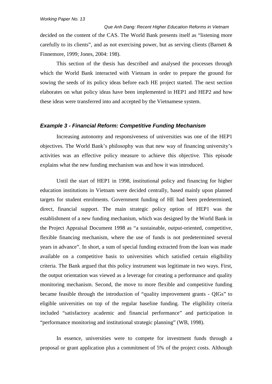*Que Anh Dang: Recent Higher Education Reforms in Vietnam* decided on the content of the CAS. The World Bank presents itself as "listening more carefully to its clients", and as not exercising power, but as serving clients (Barnett & Finnemore, 1999; Jones, 2004: 198).

This section of the thesis has described and analysed the processes through which the World Bank interacted with Vietnam in order to prepare the ground for sowing the seeds of its policy ideas before each HE project started. The next section elaborates on what policy ideas have been implemented in HEP1 and HEP2 and how these ideas were transferred into and accepted by the Vietnamese system.

#### *Example 3 - Financial Reform: Competitive Funding Mechanism*

Increasing autonomy and responsiveness of universities was one of the HEP1 objectives. The World Bank's philosophy was that new way of financing university's activities was an effective policy measure to achieve this objective. This episode explains what the new funding mechanism was and how it was introduced.

Until the start of HEP1 in 1998, institutional policy and financing for higher education institutions in Vietnam were decided centrally, based mainly upon planned targets for student enrolments. Government funding of HE had been predetermined, direct, financial support. The main strategic policy option of HEP1 was the establishment of a new funding mechanism, which was designed by the World Bank in the Project Appraisal Document 1998 as "a sustainable, output-oriented, competitive, flexible financing mechanism, where the use of funds is not predetermined several years in advance". In short, a sum of special funding extracted from the loan was made available on a competitive basis to universities which satisfied certain eligibility criteria. The Bank argued that this policy instrument was legitimate in two ways. First, the output orientation was viewed as a leverage for creating a performance and quality monitoring mechanism. Second, the move to more flexible and competitive funding became feasible through the introduction of "quality improvement grants - QIGs" to eligible universities on top of the regular baseline funding. The eligibility criteria included "satisfactory academic and financial performance" and participation in "performance monitoring and institutional strategic planning" (WB, 1998).

In essence, universities were to compete for investment funds through a proposal or grant application plus a commitment of 5% of the project costs. Although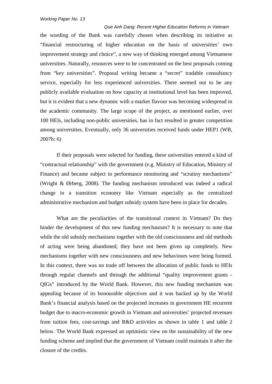*Que Anh Dang: Recent Higher Education Reforms in Vietnam* the wording of the Bank was carefully chosen when describing its initiative as "financial restructuring of higher education on the basis of universities' own improvement strategy and choice", a new way of thinking emerged among Vietnamese universities. Naturally, resources were to be concentrated on the best proposals coming from "key universities". Proposal writing became a "secret" tradable consultancy service, especially for less experienced universities. There seemed not to be any publicly available evaluation on how capacity at institutional level has been improved, but it is evident that a new dynamic with a market flavour was becoming widespread in the academic community. The large scope of the project, as mentioned earlier, over 100 HEIs, including non-public universities, has in fact resulted in greater competition among universities. Eventually, only 36 universities received funds under HEP1 (WB, 2007b: 6)

If their proposals were selected for funding, these universities entered a kind of "contractual relationship" with the government (e.g. Ministry of Education, Ministry of Finance) and became subject to performance monitoring and "scrutiny mechanisms" (Wright & Ørberg, 2008). The funding mechanism introduced was indeed a radical change in a transition economy like Vietnam especially as the centralized administrative mechanism and budget subsidy system have been in place for decades.

What are the peculiarities of the transitional context in Vietnam? Do they hinder the development of this new funding mechanism? It is necessary to note that while the old subsidy mechanisms together with the old consciousness and old methods of acting were being abandoned, they have not been given up completely. New mechanisms together with new consciousness and new behaviours were being formed. In this context, there was no trade off between the allocation of public funds to HEIs through regular channels and through the additional "quality improvement grants - QIGs" introduced by the World Bank. However, this new funding mechanism was appealing because of its honourable objectives and it was backed up by the World Bank's financial analysis based on the projected increases in government HE recurrent budget due to macro-economic growth in Vietnam and universities' projected revenues from tuition fees, cost-savings and R&D activities as shown in table 1 and table 2 below. The World Bank expressed an optimistic view on the sustainability of the new funding scheme and implied that the government of Vietnam could maintain it after the closure of the credits.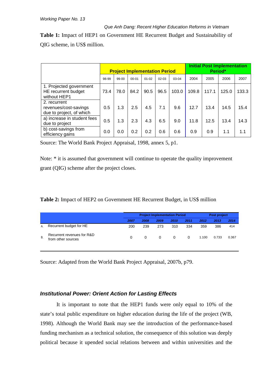# *Que Anh Dang: Recent Higher Education Reforms in Vietnam* **Table 1:** Impact of HEP1 on Government HE Recurrent Budget and Sustainability of QIG scheme, in US\$ million.

|                                                                   | <b>Project Implementation Period</b> |       |           |           |           |       | <b>Initial Post Implementation</b><br>Period* |       |       |       |  |
|-------------------------------------------------------------------|--------------------------------------|-------|-----------|-----------|-----------|-------|-----------------------------------------------|-------|-------|-------|--|
|                                                                   | 98-99                                | 99-00 | $00 - 01$ | $01 - 02$ | $02 - 03$ | 03-04 | 2004                                          | 2005  | 2006  | 2007  |  |
| 1. Projected government<br>HE recurrent budget<br>without HEP1    | 73.4                                 | 78.0  | 84.2      | 90.5      | 96.5      | 103.0 | 109.8                                         | 117.1 | 125.0 | 133.3 |  |
| 2. recurrent<br>revenues/cost-savings<br>due to project, of which | 0.5                                  | 1.3   | 2.5       | 4.5       | 7.1       | 9.6   | 12.7                                          | 13.4  | 14.5  | 15.4  |  |
| a) increase in student fees<br>due to project                     | 0.5                                  | 1.3   | 2.3       | 4.3       | 6.5       | 9.0   | 11.8                                          | 12.5  | 13.4  | 14.3  |  |
| b) cost-savings from<br>efficiency gains                          | 0.0                                  | 0.0   | 0.2       | 0.2       | 0.6       | 0.6   | 0.9                                           | 0.9   | 1.1   | 1.1   |  |

Source: The World Bank Project Appraisal, 1998, annex 5, p1.

Note: \* it is assumed that government will continue to operate the quality improvement grant (QIG) scheme after the project closes.

|    |                                                  | <b>Project Implementation Period</b> |          |          |      |      | Post project |       |       |
|----|--------------------------------------------------|--------------------------------------|----------|----------|------|------|--------------|-------|-------|
|    |                                                  | 2007                                 | 2008     | 2009     | 2010 | 2011 | 2012         | 2013  | 2014  |
| А. | Recurrent budget for HE                          | 200                                  | 239      | 273      | 310  | 334  | 359          | 386   | 414   |
| В. | Recurrent revenues for R&D<br>from other sources | 0                                    | $\Omega$ | $\Omega$ | 0    | 0    | 1.100        | 0.733 | 0.367 |

Source: Adapted from the World Bank Project Appraisal, 2007b, p79.

## *Institutional Power: Orient Action for Lasting Effects*

It is important to note that the HEP1 funds were only equal to 10% of the state's total public expenditure on higher education during the life of the project (WB, 1998). Although the World Bank may see the introduction of the performance-based funding mechanism as a technical solution, the consequence of this solution was deeply political because it upended social relations between and within universities and the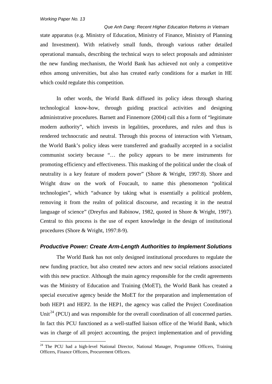*Que Anh Dang: Recent Higher Education Reforms in Vietnam* state apparatus (e.g. Ministry of Education, Ministry of Finance, Ministry of Planning and Investment). With relatively small funds, through various rather detailed operational manuals, describing the technical ways to select proposals and administer the new funding mechanism, the World Bank has achieved not only a competitive ethos among universities, but also has created early conditions for a market in HE which could regulate this competition.

In other words, the World Bank diffused its policy ideas through sharing technological know-how, through guiding practical activities and designing administrative procedures. Barnett and Finnemore (2004) call this a form of "legitimate modern authority", which invests in legalities, procedures, and rules and thus is rendered technocratic and neutral. Through this process of interaction with Vietnam, the World Bank's policy ideas were transferred and gradually accepted in a socialist communist society because "… the policy appears to be mere instruments for promoting efficiency and effectiveness. This masking of the political under the cloak of neutrality is a key feature of modern power" (Shore & Wright, 1997:8). Shore and Wright draw on the work of Foucault, to name this phenomenon "political technologies", which "advance by taking what is essentially a political problem, removing it from the realm of political discourse, and recasting it in the neutral language of science" (Dreyfus and Rabinow, 1982, quoted in Shore & Wright, 1997). Central to this process is the use of expert knowledge in the design of institutional procedures (Shore & Wright, 1997:8-9).

#### *Productive Power: Create Arm-Length Authorities to Implement Solutions*

The World Bank has not only designed institutional procedures to regulate the new funding practice, but also created new actors and new social relations associated with this new practice. Although the main agency responsible for the credit agreements was the Ministry of Education and Training (MoET), the World Bank has created a special executive agency beside the MoET for the preparation and implementation of both HEP1 and HEP2. In the HEP1, the agency was called the Project Coordination Unit<sup>[24](#page-67-0)</sup> (PCU) and was responsible for the overall coordination of all concerned parties. In fact this PCU functioned as a well-staffed liaison office of the World Bank, which was in charge of all project accounting, the project implementation and of providing

<span id="page-67-0"></span><sup>&</sup>lt;sup>24</sup> The PCU had a high-level National Director, National Manager, Programme Officers, Training Officers, Finance Officers, Procurement Officers.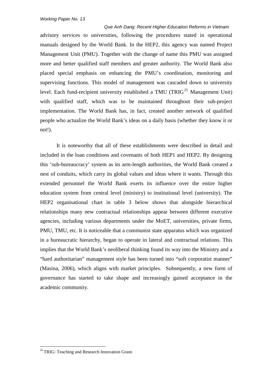*Que Anh Dang: Recent Higher Education Reforms in Vietnam* advisory services to universities, following the procedures stated in operational manuals designed by the World Bank. In the HEP2, this agency was named Project Management Unit (PMU). Together with the change of name this PMU was assigned more and better qualified staff members and greater authority. The World Bank also placed special emphasis on enhancing the PMU's coordination, monitoring and supervising functions. This model of management was cascaded down to university level. Each fund-recipient university established a TMU (TRIG<sup>[25](#page-68-0)</sup> Management Unit) with qualified staff, which was to be maintained throughout their sub-project implementation. The World Bank has, in fact, created another network of qualified people who actualize the World Bank's ideas on a daily basis (whether they know it or not!).

It is noteworthy that all of these establishments were described in detail and included in the loan conditions and covenants of both HEP1 and HEP2. By designing this 'sub-bureaucracy' system as its arm-length authorities, the World Bank created a nest of conduits, which carry its global values and ideas where it wants. Through this extended personnel the World Bank exerts its influence over the entire higher education system from central level (ministry) to institutional level (university). The HEP2 organisational chart in table 3 below shows that alongside hierarchical relationships many new contractual relationships appear between different executive agencies, including various departments under the MoET, universities, private firms, PMU, TMU, etc. It is noticeable that a communist state apparatus which was organized in a bureaucratic hierarchy, began to operate in lateral and contractual relations. This implies that the World Bank's neoliberal thinking found its way into the Ministry and a "hard authoritarian" management style has been turned into "soft corporatist manner" (Masina, 2006), which aligns with market principles. Subsequently, a new form of governance has started to take shape and increasingly gained acceptance in the academic community.

<span id="page-68-0"></span><sup>&</sup>lt;sup>25</sup> TRIG: Teaching and Research Innovation Grant.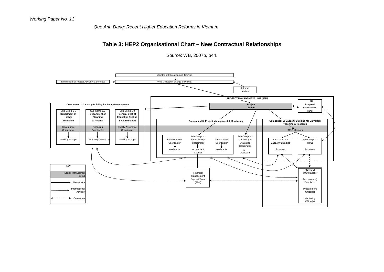*Que Anh Dang: Recent Higher Education Reforms in Vietnam*

## **Table 3: HEP2 Organisational Chart – New Contractual Relationships**

Source: WB, 2007b, p44.

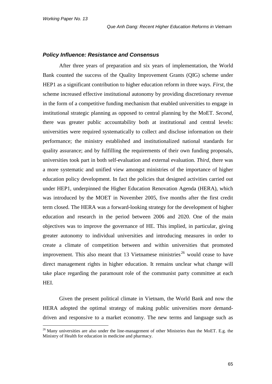#### *Policy Influence: Resistance and Consensus*

After three years of preparation and six years of implementation, the World Bank counted the success of the Quality Improvement Grants (QIG) scheme under HEP1 as a significant contribution to higher education reform in three ways. *First*, the scheme increased effective institutional autonomy by providing discretionary revenue in the form of a competitive funding mechanism that enabled universities to engage in institutional strategic planning as opposed to central planning by the MoET. *Second*, there was greater public accountability both at institutional and central levels: universities were required systematically to collect and disclose information on their performance; the ministry established and institutionalized national standards for quality assurance; and by fulfilling the requirements of their own funding proposals, universities took part in both self-evaluation and external evaluation. *Third,* there was a more systematic and unified view amongst ministries of the importance of higher education policy development. In fact the policies that designed activities carried out under HEP1, underpinned the Higher Education Renovation Agenda (HERA), which was introduced by the MOET in November 2005, five months after the first credit term closed. The HERA was a forward-looking strategy for the development of higher education and research in the period between 2006 and 2020. One of the main objectives was to improve the governance of HE. This implied, in particular, giving greater autonomy to individual universities and introducing measures in order to create a climate of competition between and within universities that promoted improvement. This also meant that 13 Vietnamese ministries<sup>[26](#page-70-0)</sup> would cease to have direct management rights in higher education. It remains unclear what change will take place regarding the paramount role of the communist party committee at each HEI.

Given the present political climate in Vietnam, the World Bank and now the HERA adopted the optimal strategy of making public universities more demanddriven and responsive to a market economy. The new terms and language such as

<span id="page-70-0"></span><sup>&</sup>lt;sup>26</sup> Many universities are also under the line-management of other Ministries than the MoET. E.g. the Ministry of Health for education in medicine and pharmacy.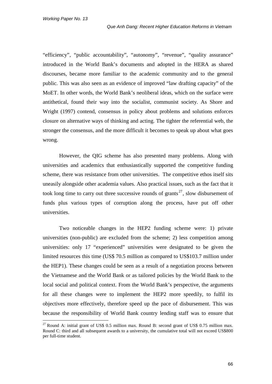"efficiency", "public accountability", "autonomy", "revenue", "quality assurance" introduced in the World Bank's documents and adopted in the HERA as shared discourses, became more familiar to the academic community and to the general public. This was also seen as an evidence of improved "law drafting capacity" of the MoET. In other words, the World Bank's neoliberal ideas, which on the surface were antithetical, found their way into the socialist, communist society. As Shore and Wright (1997) contend, consensus in policy about problems and solutions enforces closure on alternative ways of thinking and acting. The tighter the referential web, the stronger the consensus, and the more difficult it becomes to speak up about what goes wrong.

However, the QIG scheme has also presented many problems. Along with universities and academics that enthusiastically supported the competitive funding scheme, there was resistance from other universities. The competitive ethos itself sits uneasily alongside other academia values. Also practical issues, such as the fact that it took long time to carry out three successive rounds of grants<sup>[27](#page-71-0)</sup>, slow disbursement of funds plus various types of corruption along the process, have put off other universities.

Two noticeable changes in the HEP2 funding scheme were: 1) private universities (non-public) are excluded from the scheme; 2) less competition among universities: only 17 "experienced" universities were designated to be given the limited resources this time (US\$ 70.5 million as compared to US\$103.7 million under the HEP1). These changes could be seen as a result of a negotiation process between the Vietnamese and the World Bank or as tailored policies by the World Bank to the local social and political context. From the World Bank's perspective, the arguments for all these changes were to implement the HEP2 more speedily, to fulfil its objectives more effectively, therefore speed up the pace of disbursement. This was because the responsibility of World Bank country lending staff was to ensure that

<span id="page-71-0"></span><sup>&</sup>lt;sup>27</sup> Round A: initial grant of US\$ 0.5 million max. Round B: second grant of US\$ 0.75 million max. Round C: third and all subsequent awards to a university, the cumulative total will not exceed US\$800 per full-time student.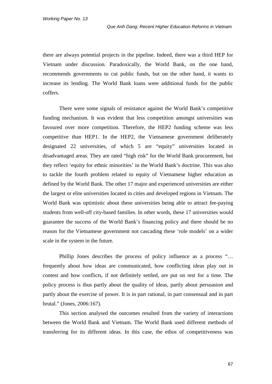there are always potential projects in the pipeline. Indeed, there was a third HEP for Vietnam under discussion. Paradoxically, the World Bank, on the one hand, recommends governments to cut public funds, but on the other hand, it wants to increase its lending. The World Bank loans were additional funds for the public coffers.

There were some signals of resistance against the World Bank's competitive funding mechanism. It was evident that less competition amongst universities was favoured over more competition. Therefore, the HEP2 funding scheme was less competitive than HEP1. In the HEP2, the Vietnamese government deliberately designated 22 universities, of which 5 are "equity" universities located in disadvantaged areas. They are rated "high risk" for the World Bank procurement, but they reflect 'equity for ethnic minorities' in the World Bank's doctrine. This was also to tackle the fourth problem related to equity of Vietnamese higher education as defined by the World Bank. The other 17 major and experienced universities are either the largest or elite universities located in cities and developed regions in Vietnam. The World Bank was optimistic about these universities being able to attract fee-paying students from well-off city-based families. In other words, these 17 universities would guarantee the success of the World Bank's financing policy and there should be no reason for the Vietnamese government not cascading these 'role models' on a wider scale in the system in the future.

Phillip Jones describes the process of policy influence as a process "… frequently about how ideas are communicated, how conflicting ideas play out in contest and how conflicts, if not definitely settled, are put on rest for a time. The policy process is thus partly about the quality of ideas, partly about persuasion and partly about the exercise of power. It is in part rational, in part consensual and in part brutal." (Jones, 2006:167).

This section analysed the outcomes resulted from the variety of interactions between the World Bank and Vietnam. The World Bank used different methods of transferring for its different ideas. In this case, the ethos of competitiveness was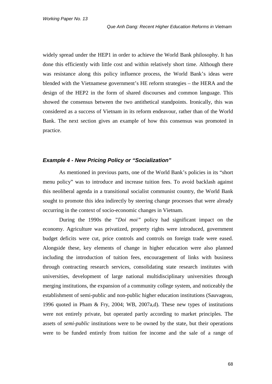widely spread under the HEP1 in order to achieve the World Bank philosophy. It has done this efficiently with little cost and within relatively short time. Although there was resistance along this policy influence process, the World Bank's ideas were blended with the Vietnamese government's HE reform strategies – the HERA and the design of the HEP2 in the form of shared discourses and common language. This showed the consensus between the two antithetical standpoints. Ironically, this was considered as a success of Vietnam in its reform endeavour, rather than of the World Bank. The next section gives an example of how this consensus was promoted in practice.

#### *Example 4 - New Pricing Policy or "Socialization"*

As mentioned in previous parts, one of the World Bank's policies in its "short menu policy" was to introduce and increase tuition fees. To avoid backlash against this neoliberal agenda in a transitional socialist communist country, the World Bank sought to promote this idea indirectly by steering change processes that were already occurring in the context of socio-economic changes in Vietnam.

During the 1990s the *"Doi moi"* policy had significant impact on the economy. Agriculture was privatized, property rights were introduced, government budget deficits were cut, price controls and controls on foreign trade were eased. Alongside these, key elements of change in higher education were also planned including the introduction of tuition fees, encouragement of links with business through contracting research services, consolidating state research institutes with universities, development of large national multidisciplinary universities through merging institutions, the expansion of a community college system, and noticeably the establishment of semi-public and non-public higher education institutions (Sauvageau, 1996 quoted in Pham & Fry, 2004; WB, 2007a,d). These new types of institutions were not entirely private, but operated partly according to market principles. The assets of *semi-public* institutions were to be owned by the state, but their operations were to be funded entirely from tuition fee income and the sale of a range of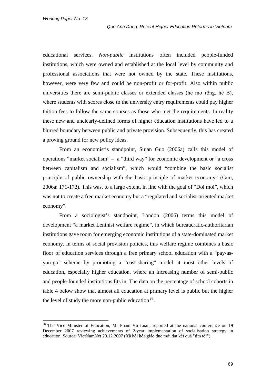educational services. *Non-public* institutions often included people-funded institutions, which were owned and established at the local level by community and professional associations that were not owned by the state. These institutions, however, were very few and could be non-profit or for-profit. Also within public universities there are semi-public classes or extended classes (hê mơ rông, hê B), where students with scores close to the university entry requirements could pay higher tuition fees to follow the same courses as those who met the requirements. In reality these new and unclearly-defined forms of higher education institutions have led to a blurred boundary between public and private provision. Subsequently, this has created a proving ground for new policy ideas.

From an economist's standpoint, Sujan Guo (2006a) calls this model of operations "market socialism" – a "third way" for economic development or "a cross between capitalism and socialism", which would "combine the basic socialist principle of public ownership with the basic principle of market economy" (Guo, 2006a: 171-172). This was, to a large extent, in line with the goal of "Doi moi", which was not to create a free market economy but a "regulated and socialist-oriented market economy".

From a sociologist's standpoint, London (2006) terms this model of development "a market Leninist welfare regime", in which bureaucratic-authoritarian institutions gave room for emerging economic institutions of a state-dominated market economy. In terms of social provision policies, this welfare regime combines a basic floor of education services through a free primary school education with a "pay-asyou-go" scheme by promoting a "cost-sharing" model at most other levels of education, especially higher education, where an increasing number of semi-public and people-founded institutions fits in. The data on the percentage of school cohorts in table 4 below show that almost all education at primary level is public but the higher the level of study the more non-public education<sup>[28](#page-74-0)</sup>.

<span id="page-74-0"></span><sup>&</sup>lt;sup>28</sup> The Vice Minister of Education, Mr Pham Vu Luan, reported at the national conference on 19 December 2007 reviewing achievements of 2-year implementation of socialisation strategy in education. Source: VietNamNet 20.12.2007 (Xã hội hóa giáo dục mới đạt kết quả "tìm tòi").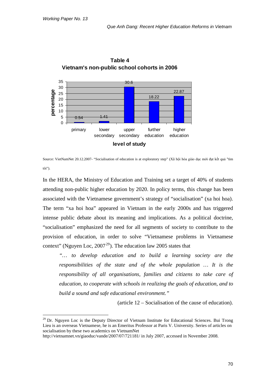

**Table 4 Vietnam's non-public school cohorts in 2006**

In the HERA, the Ministry of Education and Training set a target of 40% of students attending non-public higher education by 2020. In policy terms, this change has been associated with the Vietnamese government's strategy of "socialisation" (xa hoi hoa). The term "xa hoi hoa" appeared in Vietnam in the early 2000s and has triggered intense public debate about its meaning and implications. As a political doctrine, "socialisation" emphasized the need for all segments of society to contribute to the provision of education, in order to solve "Vietnamese problems in Vietnamese context" (Nguyen Loc,  $2007^{29}$  $2007^{29}$  $2007^{29}$ ). The education law 2005 states that

*"… to develop education and to build a learning society are the responsibilities of the state and of the whole population … It is the responsibility of all organisations, families and citizens to take care of education, to cooperate with schools in realizing the goals of education, and to build a sound and safe educational environment."* 

(article 12 – Socialisation of the cause of education).

Source: VietNamNet 20.12.2007- "Socialisation of education is at exploratory step" (Xã hội hóa giáo dục mới đạt kết quả "tìm tòi").

<span id="page-75-0"></span><sup>&</sup>lt;sup>29</sup> Dr. Nguyen Loc is the Deputy Director of Vietnam Institute for Educational Sciences. Bui Trong Lieu is an overseas Vietnamese, he is an Emeritus Professor at Paris V. University. Series of articles on socialisation by these two academics on VietnamNet

<http://vietnamnet.vn/giaoduc/vande/2007/07/721181/> in July 2007, accessed in November 2008.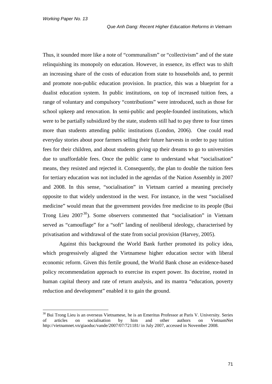Thus, it sounded more like a note of "communalism" or "collectivism" and of the state relinquishing its monopoly on education. However, in essence, its effect was to shift an increasing share of the costs of education from state to households and, to permit and promote non-public education provision. In practice, this was a blueprint for a dualist education system. In public institutions, on top of increased tuition fees, a range of voluntary and compulsory "contributions" were introduced, such as those for school upkeep and renovation. In semi-public and people-founded institutions, which were to be partially subsidized by the state, students still had to pay three to four times more than students attending public institutions (London, 2006). One could read everyday stories about poor farmers selling their future harvests in order to pay tuition fees for their children, and about students giving up their dreams to go to universities due to unaffordable fees. Once the public came to understand what "socialisation" means, they resisted and rejected it. Consequently, the plan to double the tuition fees for tertiary education was not included in the agendas of the Nation Assembly in 2007 and 2008. In this sense, "socialisation" in Vietnam carried a meaning precisely opposite to that widely understood in the west. For instance, in the west "socialised medicine" would mean that the government provides free medicine to its people (Bui Trong Lieu  $2007^{30}$  $2007^{30}$  $2007^{30}$ ). Some observers commented that "socialisation" in Vietnam served as "camouflage" for a "soft" landing of neoliberal ideology, characterised by privatisation and withdrawal of the state from social provision (Harvey, 2005).

Against this background the World Bank further promoted its policy idea, which progressively aligned the Vietnamese higher education sector with liberal economic reform. Given this fertile ground, the World Bank chose an evidence-based policy recommendation approach to exercise its expert power. Its doctrine, rooted in human capital theory and rate of return analysis, and its mantra "education, poverty reduction and development" enabled it to gain the ground.

<span id="page-76-0"></span><sup>&</sup>lt;sup>30</sup> Bui Trong Lieu is an overseas Vietnamese, he is an Emeritus Professor at Paris V. University. Series of articles on socialisation by him and other authors on VietnamNet <http://vietnamnet.vn/giaoduc/vande/2007/07/721181/> in July 2007, accessed in November 2008.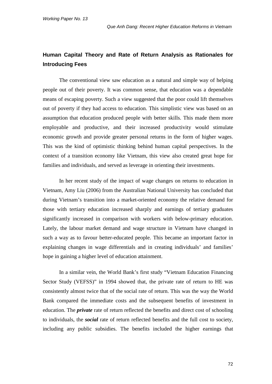# **Human Capital Theory and Rate of Return Analysis as Rationales for Introducing Fees**

The conventional view saw education as a natural and simple way of helping people out of their poverty. It was common sense, that education was a dependable means of escaping poverty. Such a view suggested that the poor could lift themselves out of poverty if they had access to education. This simplistic view was based on an assumption that education produced people with better skills. This made them more employable and productive, and their increased productivity would stimulate economic growth and provide greater personal returns in the form of higher wages. This was the kind of optimistic thinking behind human capital perspectives. In the context of a transition economy like Vietnam, this view also created great hope for families and individuals, and served as leverage in orienting their investments.

In her recent study of the impact of wage changes on returns to education in Vietnam, Amy Liu (2006) from the Australian National University has concluded that during Vietnam's transition into a market-oriented economy the relative demand for those with tertiary education increased sharply and earnings of tertiary graduates significantly increased in comparison with workers with below-primary education. Lately, the labour market demand and wage structure in Vietnam have changed in such a way as to favour better-educated people. This became an important factor in explaining changes in wage differentials and in creating individuals' and families' hope in gaining a higher level of education attainment.

In a similar vein, the World Bank's first study "Vietnam Education Financing Sector Study (VEFSS)" in 1994 showed that, the private rate of return to HE was consistently almost twice that of the social rate of return. This was the way the World Bank compared the immediate costs and the subsequent benefits of investment in education. The *private* rate of return reflected the benefits and direct cost of schooling to individuals, the *social* rate of return reflected benefits and the full cost to society, including any public subsidies. The benefits included the higher earnings that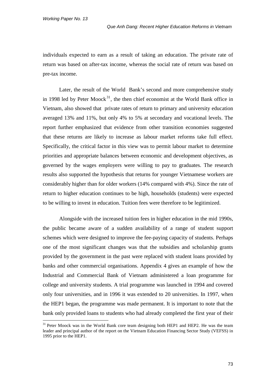individuals expected to earn as a result of taking an education. The private rate of return was based on after-tax income, whereas the social rate of return was based on pre-tax income.

Later, the result of the World Bank's second and more comprehensive study in 1998 led by Peter Moock<sup>[31](#page-78-0)</sup>, the then chief economist at the World Bank office in Vietnam, also showed that private rates of return to primary and university education averaged 13% and 11%, but only 4% to 5% at secondary and vocational levels. The report further emphasized that evidence from other transition economies suggested that these returns are likely to increase as labour market reforms take full effect. Specifically, the critical factor in this view was to permit labour market to determine priorities and appropriate balances between economic and development objectives, as governed by the wages employers were willing to pay to graduates. The research results also supported the hypothesis that returns for younger Vietnamese workers are considerably higher than for older workers (14% compared with 4%). Since the rate of return to higher education continues to be high, households (students) were expected to be willing to invest in education. Tuition fees were therefore to be legitimized.

Alongside with the increased tuition fees in higher education in the mid 1990s, the public became aware of a sudden availability of a range of student support schemes which were designed to improve the fee-paying capacity of students. Perhaps one of the most significant changes was that the subsidies and scholarship grants provided by the government in the past were replaced with student loans provided by banks and other commercial organisations. Appendix 4 gives an example of how the Industrial and Commercial Bank of Vietnam administered a loan programme for college and university students. A trial programme was launched in 1994 and covered only four universities, and in 1996 it was extended to 20 universities. In 1997, when the HEP1 began, the programme was made permanent. It is important to note that the bank only provided loans to students who had already completed the first year of their

<span id="page-78-0"></span><sup>&</sup>lt;sup>31</sup> Peter Moock was in the World Bank core team designing both HEP1 and HEP2. He was the team leader and principal author of the report on the Vietnam Education Financing Sector Study (VEFSS) in 1995 prior to the HEP1.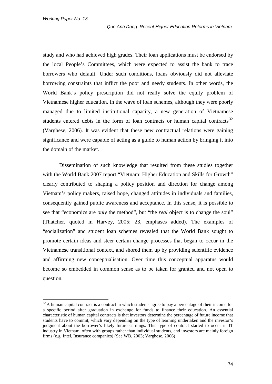study and who had achieved high grades. Their loan applications must be endorsed by the local People's Committees, which were expected to assist the bank to trace borrowers who default. Under such conditions, loans obviously did not alleviate borrowing constraints that inflict the poor and needy students. In other words, the World Bank's policy prescription did not really solve the equity problem of Vietnamese higher education. In the wave of loan schemes, although they were poorly managed due to limited institutional capacity, a new generation of Vietnamese students entered debts in the form of loan contracts or human capital contracts  $32$ (Varghese, 2006). It was evident that these new contractual relations were gaining significance and were capable of acting as a guide to human action by bringing it into the domain of the market.

Dissemination of such knowledge that resulted from these studies together with the World Bank 2007 report "Vietnam: Higher Education and Skills for Growth" clearly contributed to shaping a policy position and direction for change among Vietnam's policy makers, raised hope, changed attitudes in individuals and families, consequently gained public awareness and acceptance. In this sense, it is possible to see that "economics are *only* the method", but "the *real* object is to change the soul" (Thatcher, quoted in Harvey, 2005: 23, emphases added). The examples of "socialization" and student loan schemes revealed that the World Bank sought to promote certain ideas and steer certain change processes that began to occur in the Vietnamese transitional context, and shored them up by providing scientific evidence and affirming new conceptualisation. Over time this conceptual apparatus would become so embedded in common sense as to be taken for granted and not open to question.

<span id="page-79-0"></span><sup>&</sup>lt;sup>32</sup> A human capital contract is a contract in which students agree to pay a percentage of their income for a specific period after graduation in exchange for funds to finance their education. An essential characteristic of human capital contracts is that investors determine the percentage of future income that students have to commit, which vary depending on the type of learning undertaken and the investor's judgment about the borrower's likely future earnings. This type of contract started to occur in IT industry in Vietnam, often with groups rather than individual students, and investors are mainly foreign firms (e.g. Intel, Insurance companies) (See WB, 2003; Varghese, 2006)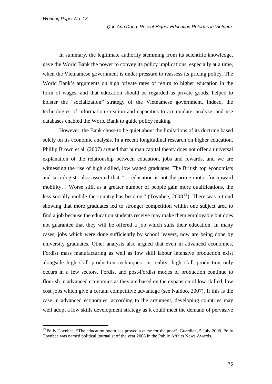In summary, the legitimate authority stemming from its scientific knowledge, gave the World Bank the power to convey its policy implications, especially at a time, when the Vietnamese government is under pressure to reassess its pricing policy. The World Bank's arguments on high private rates of return to higher education in the form of wages, and that education should be regarded as private goods, helped to bolster the "socialization" strategy of the Vietnamese government. Indeed, the technologies of information creation and capacities to accumulate, analyse, and use databases enabled the World Bank to guide policy making

However, the Bank chose to be quiet about the limitations of its doctrine based solely on its economic analysis. In a recent longitudinal research on higher education, Phillip Brown et al. (2007) argued that human capital theory does not offer a universal explanation of the relationship between education, jobs and rewards, and we are witnessing the rise of high skilled, low waged graduates. The British top economists and sociologists also asserted that "… education is not the prime motor for upward mobility… Worse still, as a greater number of people gain more qualifications, the less socially mobile the country has become." (Toynbee,  $2008<sup>33</sup>$  $2008<sup>33</sup>$  $2008<sup>33</sup>$ ). There was a trend showing that more graduates led to stronger competition within one subject area to find a job because the education students receive may make them employable but does not guarantee that they will be offered a job which suits their education. In many cases, jobs which were done sufficiently by school leavers, now are being done by university graduates. Other analysts also argued that even in advanced economies, Fordist mass manufacturing as well as low skill labour intensive production exist alongside high skill production techniques. In reality, high skill production only occurs in a few sectors, Fordist and post-Fordist modes of production continue to flourish in advanced economies as they are based on the expansion of low skilled, low cost jobs which give a certain competitive advantage (see Naidoo, 2007). If this is the case in advanced economies, according to the argument, developing countries may well adopt a low skills development strategy as it could meet the demand of pervasive

<span id="page-80-0"></span><sup>&</sup>lt;sup>33</sup> Polly Toynbee, "The education boom has proved a curse for the poor", Guardian, 5 July 2008. Polly Toynbee was named political journalist of the year 2008 in the Public Affairs News Awards.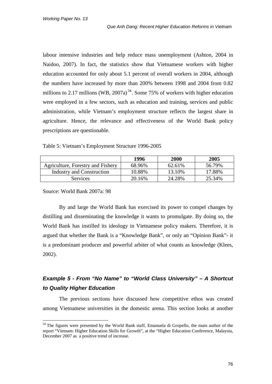labour intensive industries and help reduce mass unemployment (Ashton, 2004 in Naidoo, 2007). In fact, the statistics show that Vietnamese workers with higher education accounted for only about 5.1 percent of overall workers in 2004, although the numbers have increased by more than 200% between 1998 and 2004 from 0.82 millions to 2.17 millions (WB,  $2007a$ )<sup>[34](#page-81-0)</sup>. Some 75% of workers with higher education were employed in a few sectors, such as education and training, services and public administration, while Vietnam's employment structure reflects the largest share in agriculture. Hence, the relevance and effectiveness of the World Bank policy prescriptions are questionable.

Table 5: Vietnam's Employment Structure 1996-2005

|                                   | 1996   | 2000   | 2005   |
|-----------------------------------|--------|--------|--------|
| Agriculture, Forestry and Fishery | 68.96% | 62.61% | 56.79% |
| Industry and Construction         | 10.88% | 13.10% | 17.88% |
| <b>Services</b>                   | 20.16% | 24.28% | 25.34% |

Source: World Bank 2007a: 98

By and large the World Bank has exercised its power to compel changes by distilling and disseminating the knowledge it wants to promulgate. By doing so, the World Bank has instilled its ideology in Vietnamese policy makers. Therefore, it is argued that whether the Bank is a "Knowledge Bank", or only an "Opinion Bank"- it is a predominant producer and powerful arbiter of what counts as knowledge (Klees, 2002).

# *Example 5 - From "No Name" to "World Class University" – A Shortcut to Quality Higher Education*

The previous sections have discussed how competitive ethos was created among Vietnamese universities in the domestic arena. This section looks at another

<span id="page-81-0"></span><sup>&</sup>lt;sup>34</sup> The figures were presented by the World Bank staff, Emanuela di Gropello, the main author of the report "Vietnam: Higher Education Skills for Growth", at the "Higher Education Conference, Malaysia, December 2007 as a positive trend of increase.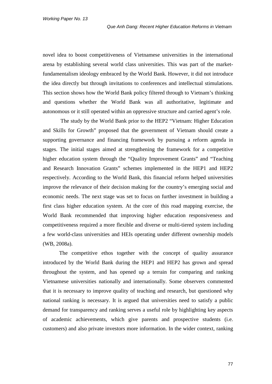novel idea to boost competitiveness of Vietnamese universities in the international arena by establishing several world class universities. This was part of the marketfundamentalism ideology embraced by the World Bank. However, it did not introduce the idea directly but through invitations to conferences and intellectual stimulations. This section shows how the World Bank policy filtered through to Vietnam's thinking and questions whether the World Bank was all authoritative, legitimate and autonomous or it still operated within an oppressive structure and carried agent's role.

The study by the World Bank prior to the HEP2 "Vietnam: Higher Education and Skills for Growth" proposed that the government of Vietnam should create a supporting governance and financing framework by pursuing a reform agenda in stages. The initial stages aimed at strengthening the framework for a competitive higher education system through the "Quality Improvement Grants" and "Teaching and Research Innovation Grants" schemes implemented in the HEP1 and HEP2 respectively. According to the World Bank, this financial reform helped universities improve the relevance of their decision making for the country's emerging social and economic needs. The next stage was set to focus on further investment in building a first class higher education system. At the core of this road mapping exercise, the World Bank recommended that improving higher education responsiveness and competitiveness required a more flexible and diverse or multi-tiered system including a few world-class universities and HEIs operating under different ownership models (WB, 2008a).

The competitive ethos together with the concept of quality assurance introduced by the World Bank during the HEP1 and HEP2 has grown and spread throughout the system, and has opened up a terrain for comparing and ranking Vietnamese universities nationally and internationally. Some observers commented that it is necessary to improve quality of teaching and research, but questioned why national ranking is necessary. It is argued that universities need to satisfy a public demand for transparency and ranking serves a useful role by highlighting key aspects of academic achievements, which give parents and prospective students (i.e. customers) and also private investors more information. In the wider context, ranking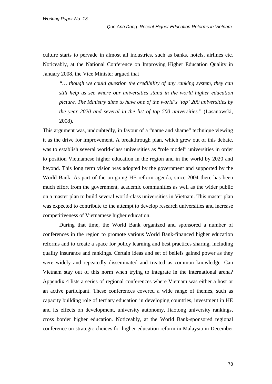culture starts to pervade in almost all industries, such as banks, hotels, airlines etc. Noticeably, at the National Conference on Improving Higher Education Quality in January 2008, the Vice Minister argued that

*"… though we could question the credibility of any ranking system, they can still help us see where our universities stand in the world higher education picture. The Ministry aims to have one of the world's 'top' 200 universities by the year 2020 and several in the list of top 500 universities.*" (Lasanowski, 2008).

This argument was, undoubtedly, in favour of a "name and shame" technique viewing it as the drive for improvement. A breakthrough plan, which grew out of this debate, was to establish several world-class universities as "role model" universities in order to position Vietnamese higher education in the region and in the world by 2020 and beyond. This long term vision was adopted by the government and supported by the World Bank. As part of the on-going HE reform agenda, since 2004 there has been much effort from the government, academic communities as well as the wider public on a master plan to build several world-class universities in Vietnam. This master plan was expected to contribute to the attempt to develop research universities and increase competitiveness of Vietnamese higher education.

During that time, the World Bank organized and sponsored a number of conferences in the region to promote various World Bank-financed higher education reforms and to create a space for policy learning and best practices sharing, including quality insurance and rankings. Certain ideas and set of beliefs gained power as they were widely and repeatedly disseminated and treated as common knowledge. Can Vietnam stay out of this norm when trying to integrate in the international arena? Appendix 4 lists a series of regional conferences where Vietnam was either a host or an active participant. These conferences covered a wide range of themes, such as capacity building role of tertiary education in developing countries, investment in HE and its effects on development, university autonomy, Jiaotong university rankings, cross border higher education. Noticeably, at the World Bank-sponsored regional conference on strategic choices for higher education reform in Malaysia in December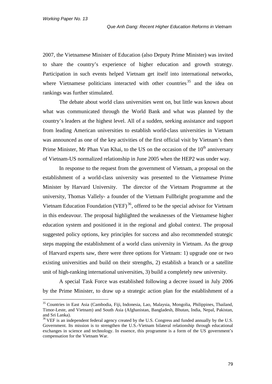2007, the Vietnamese Minister of Education (also Deputy Prime Minister) was invited to share the country's experience of higher education and growth strategy. Participation in such events helped Vietnam get itself into international networks, where Vietnamese politicians interacted with other countries<sup>[35](#page-84-0)</sup> and the idea on rankings was further stimulated.

The debate about world class universities went on, but little was known about what was communicated through the World Bank and what was planned by the country's leaders at the highest level. All of a sudden, seeking assistance and support from leading American universities to establish world-class universities in Vietnam was announced as one of the key activities of the first official visit by Vietnam's then Prime Minister, Mr Phan Van Khai, to the US on the occasion of the 10<sup>th</sup> anniversary of Vietnam-US normalized relationship in June 2005 when the HEP2 was under way.

In response to the request from the government of Vietnam, a proposal on the establishment of a world-class university was presented to the Vietnamese Prime Minister by Harvard University. The director of the Vietnam Programme at the university, Thomas Vallely- a founder of the Vietnam Fullbright programme and the Vietnam Education Foundation (VEF)<sup>[36](#page-84-1)</sup>, offered to be the special advisor for Vietnam in this endeavour. The proposal highlighted the weaknesses of the Vietnamese higher education system and positioned it in the regional and global context. The proposal suggested policy options, key principles for success and also recommended strategic steps mapping the establishment of a world class university in Vietnam. As the group of Harvard experts saw, there were three options for Vietnam: 1) upgrade one or two existing universities and build on their strengths, 2) establish a branch or a satellite unit of high-ranking international universities, 3) build a completely new university.

A special Task Force was established following a decree issued in July 2006 by the Prime Minister, to draw up a strategic action plan for the establishment of a

<span id="page-84-0"></span> <sup>35</sup> Countries in East Asia (Cambodia, Fiji, Indonesia, Lao, Malaysia, Mongolia, Philippines, Thailand, Timor-Leste, and Vietnam) and South Asia (Afghanistan, Bangladesh, Bhutan, India, Nepal, Pakistan, and Sri Lanka).

<span id="page-84-1"></span> $36$  VEF is an independent federal agency created by the U.S. Congress and funded annually by the U.S. Government. Its mission is to strengthen the U.S.-Vietnam bilateral relationship through educational exchanges in science and technology. In essence, this programme is a form of the US government's compensation for the Vietnam War.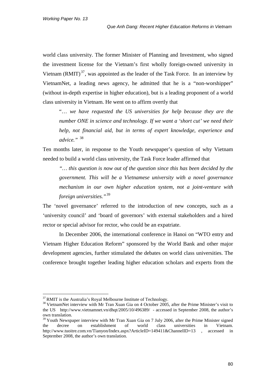world class university. The former Minister of Planning and Investment, who signed the investment license for the Vietnam's first wholly foreign-owned university in Vietnam  $(RMIT)^{37}$  $(RMIT)^{37}$  $(RMIT)^{37}$ , was appointed as the leader of the Task Force. In an interview by VietnamNet, a leading news agency, he admitted that he is a "non-worshipper" (without in-depth expertise in higher education), but is a leading proponent of a world class university in Vietnam. He went on to affirm overtly that

"… *we have requested the US universities for help because they are the number ONE in science and technology. If we want a 'short cut' we need their help, not financial aid, but in terms of expert knowledge, experience and advice."* [38](#page-85-1)

Ten months later, in response to the Youth newspaper's question of why Vietnam needed to build a world class university, the Task Force leader affirmed that

*"… this question is now out of the question since this has been decided by the government. This will be a Vietnamese university with a novel governance mechanism in our own higher education system, not a joint-venture with foreign universities."*[39](#page-85-2)

The 'novel governance' referred to the introduction of new concepts, such as a 'university council' and 'board of governors' with external stakeholders and a hired rector or special advisor for rector, who could be an expatriate.

In December 2006, the international conference in Hanoi on "WTO entry and Vietnam Higher Education Reform" sponsored by the World Bank and other major development agencies, further stimulated the debates on world class universities. The conference brought together leading higher education scholars and experts from the

<span id="page-85-1"></span><span id="page-85-0"></span><sup>&</sup>lt;sup>37</sup> RMIT is the Australia's Royal Melbourne Institute of Technology.<br><sup>38</sup> VietnamNet interview with Mr Tran Xuan Gia on 4 October 2005, after the Prime Minister's visit to the US <http://www.vietnamnet.vn/dhqt/2005/10/496389/>- accessed in September 2008, the author's own translation.

<span id="page-85-2"></span> $39$  Youth Newspaper interview with Mr Tran Xuan Gia on 7 July 2006, after the Prime Minister signed the decree on establishment of world class universities in Vietnam. <http://www.tuoitre.com.vn/Tianyon/Index.aspx?ArticleID=149411&ChannelID=13> , accessed in September 2008, the author's own translation.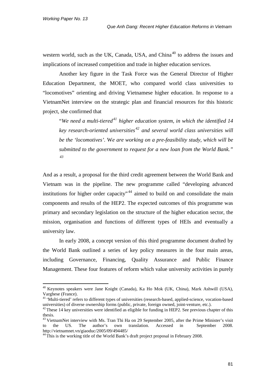western world, such as the UK, Canada, USA, and China<sup>[40](#page-86-0)</sup> to address the issues and implications of increased competition and trade in higher education services.

Another key figure in the Task Force was the General Director of Higher Education Department, the MOET, who compared world class universities to "locomotives" orienting and driving Vietnamese higher education. In response to a VietnamNet interview on the strategic plan and financial resources for this historic project, she confirmed that

"*We need a multi-tiered[41](#page-86-1) higher education system, in which the identified 14 key research-oriented universities [42](#page-86-2) and several world class universities will be the 'locomotives'.* W*e are working on a pre-feasibility study, which will be submitted to the government to request for a new loan from the World Bank." [43](#page-86-3)*

And as a result, a proposal for the third credit agreement between the World Bank and Vietnam was in the pipeline. The new programme called "developing advanced institutions for higher order capacity"<sup>[44](#page-86-4)</sup> aimed to build on and consolidate the main components and results of the HEP2. The expected outcomes of this programme was primary and secondary legislation on the structure of the higher education sector, the mission, organisation and functions of different types of HEIs and eventually a university law.

In early 2008, a concept version of this third programme document drafted by the World Bank outlined a series of key policy measures in the four main areas, including Governance, Financing, Quality Assurance and Public Finance Management. These four features of reform which value university activities in purely

<span id="page-86-0"></span> <sup>40</sup> Keynotes speakers were Jane Knight (Canada), Ka Ho Mok (UK, China), Mark Ashwill (USA), Varghese (France).

<span id="page-86-1"></span><sup>&</sup>lt;sup>41</sup> 'Multi-tiered' refers to different types of universities (research-based, applied-science, vocation-based universities) of diverse ownership forms (public, private, foreign owned, joint-venture, etc.).  $42$  These 14 key universities were identified as eligible for funding in HEP2. See previous chapter of this

<span id="page-86-2"></span>thesis.

<span id="page-86-3"></span><sup>43</sup> VietnamNet interview with Ms. Tran Thi Ha on 29 September 2005, after the Prime Minister's visit to the US. The author's own translation. Accessed in September 2008. <http://vietnamnet.vn/giaoduc/2005/09/494485/>

<span id="page-86-4"></span><sup>&</sup>lt;sup>44</sup> This is the working title of the World Bank's draft project proposal in February 2008.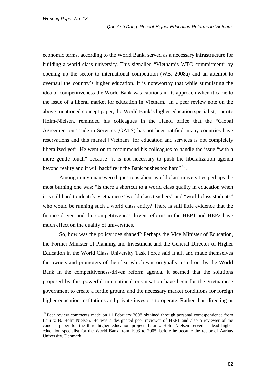economic terms, according to the World Bank, served as a necessary infrastructure for building a world class university. This signalled "Vietnam's WTO commitment" by opening up the sector to international competition (WB, 2008a) and an attempt to overhaul the country's higher education. It is noteworthy that while stimulating the idea of competitiveness the World Bank was cautious in its approach when it came to the issue of a liberal market for education in Vietnam. In a peer review note on the above-mentioned concept paper, the World Bank's higher education specialist, Lauritz Holm-Nielsen, reminded his colleagues in the Hanoi office that the "Global Agreement on Trade in Services (GATS) has not been ratified, many countries have reservations and this market [Vietnam] for education and services is not completely liberalized yet". He went on to recommend his colleagues to handle the issue "with a more gentle touch" because "it is not necessary to push the liberalization agenda beyond reality and it will backfire if the Bank pushes too hard"<sup>[45](#page-87-0)</sup>.

Among many unanswered questions about world class universities perhaps the most burning one was: "Is there a shortcut to a world class quality in education when it is still hard to identify Vietnamese "world class teachers" and "world class students" who would be running such a world class entity? There is still little evidence that the finance-driven and the competitiveness-driven reforms in the HEP1 and HEP2 have much effect on the quality of universities.

So, how was the policy idea shaped? Perhaps the Vice Minister of Education, the Former Minister of Planning and Investment and the General Director of Higher Education in the World Class University Task Force said it all, and made themselves the owners and promoters of the idea, which was originally tested out by the World Bank in the competitiveness-driven reform agenda. It seemed that the solutions proposed by this powerful international organisation have been for the Vietnamese government to create a fertile ground and the necessary market conditions for foreign higher education institutions and private investors to operate. Rather than directing or

<span id="page-87-0"></span><sup>&</sup>lt;sup>45</sup> Peer review comments made on 11 February 2008 obtained through personal correspondence from Lauritz B. Holm-Nielsen. He was a designated peer reviewer of HEP1 and also a reviewer of the concept paper for the third higher education project. Lauritz Holm-Nielsen served as lead higher education specialist for the World Bank from 1993 to 2005, before he became the rector of Aarhus University, Denmark.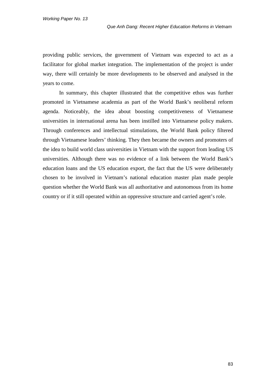providing public services, the government of Vietnam was expected to act as a facilitator for global market integration. The implementation of the project is under way, there will certainly be more developments to be observed and analysed in the years to come.

In summary, this chapter illustrated that the competitive ethos was further promoted in Vietnamese academia as part of the World Bank's neoliberal reform agenda. Noticeably, the idea about boosting competitiveness of Vietnamese universities in international arena has been instilled into Vietnamese policy makers. Through conferences and intellectual stimulations, the World Bank policy filtered through Vietnamese leaders' thinking. They then became the owners and promoters of the idea to build world class universities in Vietnam with the support from leading US universities. Although there was no evidence of a link between the World Bank's education loans and the US education export, the fact that the US were deliberately chosen to be involved in Vietnam's national education master plan made people question whether the World Bank was all authoritative and autonomous from its home country or if it still operated within an oppressive structure and carried agent's role.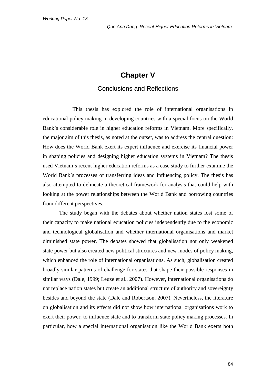# **Chapter V**

### Conclusions and Reflections

This thesis has explored the role of international organisations in educational policy making in developing countries with a special focus on the World Bank's considerable role in higher education reforms in Vietnam. More specifically, the major aim of this thesis, as noted at the outset, was to address the central question: How does the World Bank exert its expert influence and exercise its financial power in shaping policies and designing higher education systems in Vietnam? The thesis used Vietnam's recent higher education reforms as a case study to further examine the World Bank's processes of transferring ideas and influencing policy. The thesis has also attempted to delineate a theoretical framework for analysis that could help with looking at the power relationships between the World Bank and borrowing countries from different perspectives.

The study began with the debates about whether nation states lost some of their capacity to make national education policies independently due to the economic and technological globalisation and whether international organisations and market diminished state power. The debates showed that globalisation not only weakened state power but also created new political structures and new modes of policy making, which enhanced the role of international organisations. As such, globalisation created broadly similar patterns of challenge for states that shape their possible responses in similar ways (Dale, 1999; Leuze et al., 2007). However, international organisations do not replace nation states but create an additional structure of authority and sovereignty besides and beyond the state (Dale and Robertson, 2007). Nevertheless, the literature on globalisation and its effects did not show how international organisations work to exert their power, to influence state and to transform state policy making processes. In particular, how a special international organisation like the World Bank exerts both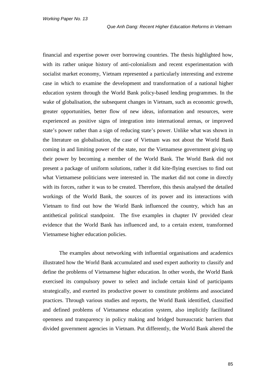financial and expertise power over borrowing countries. The thesis highlighted how, with its rather unique history of anti-colonialism and recent experimentation with socialist market economy, Vietnam represented a particularly interesting and extreme case in which to examine the development and transformation of a national higher education system through the World Bank policy-based lending programmes. In the wake of globalisation, the subsequent changes in Vietnam, such as economic growth, greater opportunities, better flow of new ideas, information and resources, were experienced as positive signs of integration into international arenas, or improved state's power rather than a sign of reducing state's power. Unlike what was shown in the literature on globalisation, the case of Vietnam was not about the World Bank coming in and limiting power of the state, nor the Vietnamese government giving up their power by becoming a member of the World Bank. The World Bank did not present a package of uniform solutions, rather it did kite-flying exercises to find out what Vietnamese politicians were interested in. The market did not come in directly with its forces, rather it was to be created. Therefore, this thesis analysed the detailed workings of the World Bank, the sources of its power and its interactions with Vietnam to find out how the World Bank influenced the country, which has an antithetical political standpoint. The five examples in chapter IV provided clear evidence that the World Bank has influenced and, to a certain extent, transformed Vietnamese higher education policies.

The examples about networking with influential organisations and academics illustrated how the World Bank accumulated and used expert authority to classify and define the problems of Vietnamese higher education. In other words, the World Bank exercised its compulsory power to select and include certain kind of participants strategically, and exerted its productive power to constitute problems and associated practices. Through various studies and reports, the World Bank identified, classified and defined problems of Vietnamese education system, also implicitly facilitated openness and transparency in policy making and bridged bureaucratic barriers that divided government agencies in Vietnam. Put differently, the World Bank altered the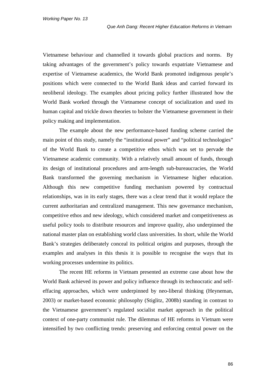Vietnamese behaviour and channelled it towards global practices and norms. By taking advantages of the government's policy towards expatriate Vietnamese and expertise of Vietnamese academics, the World Bank promoted indigenous people's positions which were connected to the World Bank ideas and carried forward its neoliberal ideology. The examples about pricing policy further illustrated how the World Bank worked through the Vietnamese concept of socialization and used its human capital and trickle down theories to bolster the Vietnamese government in their policy making and implementation.

The example about the new performance-based funding scheme carried the main point of this study, namely the "institutional power" and "political technologies" of the World Bank to create a competitive ethos which was set to pervade the Vietnamese academic community. With a relatively small amount of funds, through its design of institutional procedures and arm-length sub-bureaucracies, the World Bank transformed the governing mechanism in Vietnamese higher education. Although this new competitive funding mechanism powered by contractual relationships, was in its early stages, there was a clear trend that it would replace the current authoritarian and centralized management. This new governance mechanism, competitive ethos and new ideology, which considered market and competitiveness as useful policy tools to distribute resources and improve quality, also underpinned the national master plan on establishing world class universities. In short, while the World Bank's strategies deliberately conceal its political origins and purposes, through the examples and analyses in this thesis it is possible to recognise the ways that its working processes undermine its politics.

The recent HE reforms in Vietnam presented an extreme case about how the World Bank achieved its power and policy influence through its technocratic and selfeffacing approaches, which were underpinned by neo-liberal thinking (Heyneman, 2003) or market-based economic philosophy (Stiglitz, 2008b) standing in contrast to the Vietnamese government's regulated socialist market approach in the political context of one-party communist rule. The dilemmas of HE reforms in Vietnam were intensified by two conflicting trends: preserving and enforcing central power on the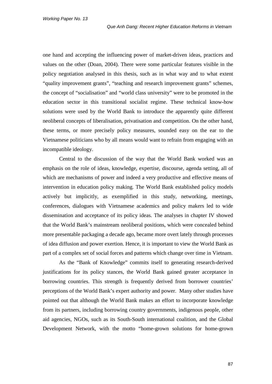one hand and accepting the influencing power of market-driven ideas, practices and values on the other (Doan, 2004). There were some particular features visible in the policy negotiation analysed in this thesis, such as in what way and to what extent "quality improvement grants", "teaching and research improvement grants" schemes, the concept of "socialisation" and "world class university" were to be promoted in the education sector in this transitional socialist regime. These technical know-how solutions were used by the World Bank to introduce the apparently quite different neoliberal concepts of liberalisation, privatisation and competition. On the other hand, these terms, or more precisely policy measures, sounded easy on the ear to the Vietnamese politicians who by all means would want to refrain from engaging with an incompatible ideology.

Central to the discussion of the way that the World Bank worked was an emphasis on the role of ideas, knowledge, expertise, discourse, agenda setting, all of which are mechanisms of power and indeed a very productive and effective means of intervention in education policy making. The World Bank established policy models actively but implicitly, as exemplified in this study, networking, meetings, conferences, dialogues with Vietnamese academics and policy makers led to wide dissemination and acceptance of its policy ideas. The analyses in chapter IV showed that the World Bank's mainstream neoliberal positions, which were concealed behind more presentable packaging a decade ago, became more overt lately through processes of idea diffusion and power exertion. Hence, it is important to view the World Bank as part of a complex set of social forces and patterns which change over time in Vietnam.

As the "Bank of Knowledge" commits itself to generating research-derived justifications for its policy stances, the World Bank gained greater acceptance in borrowing countries. This strength is frequently derived from borrower countries' perceptions of the World Bank's expert authority and power. Many other studies have pointed out that although the World Bank makes an effort to incorporate knowledge from its partners, including borrowing country governments, indigenous people, other aid agencies, NGOs, such as its South-South international coalition, and the Global Development Network, with the motto "home-grown solutions for home-grown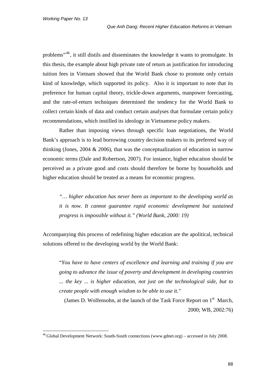problems"<sup>[46](#page-93-0)</sup>, it still distils and disseminates the knowledge it wants to promulgate. In this thesis, the example about high private rate of return as justification for introducing tuition fees in Vietnam showed that the World Bank chose to promote only certain kind of knowledge, which supported its policy. Also it is important to note that its preference for human capital theory, trickle-down arguments, manpower forecasting, and the rate-of-return techniques determined the tendency for the World Bank to collect certain kinds of data and conduct certain analyses that formulate certain policy recommendations, which instilled its ideology in Vietnamese policy makers.

Rather than imposing views through specific loan negotiations, the World Bank's approach is to lead borrowing country decision makers to its preferred way of thinking (Jones,  $2004 \& 2006$ ), that was the conceptualization of education in narrow economic terms (Dale and Robertson, 2007). For instance, higher education should be perceived as a private good and costs should therefore be borne by households and higher education should be treated as a means for economic progress.

*"… higher education has never been as important to the developing world as it is now. It cannot guarantee rapid economic development but sustained progress is impossible without it." (World Bank, 2000: 19)*

Accompanying this process of redefining higher education are the apolitical, technical solutions offered to the developing world by the World Bank:

"*You have to have centers of excellence and learning and training if you are going to advance the issue of poverty and development in developing countries ... the key ... is higher education, not just on the technological side, but to create people with enough wisdom to be able to use it."*

(James D. Wolfensohn, at the launch of the Task Force Report on 1<sup>st</sup> March, 2000; WB, 2002:76)

<span id="page-93-0"></span><sup>&</sup>lt;sup>46</sup> Global Development Network: South-South connections [\(www.gdnet.org\)](http://www.gdnet.org/) – accessed in July 2008.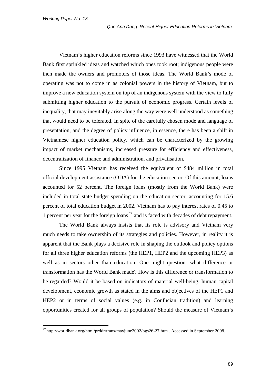Vietnam's higher education reforms since 1993 have witnessed that the World Bank first sprinkled ideas and watched which ones took root; indigenous people were then made the owners and promoters of those ideas. The World Bank's mode of operating was not to come in as colonial powers in the history of Vietnam, but to improve a new education system on top of an indigenous system with the view to fully submitting higher education to the pursuit of economic progress. Certain levels of inequality, that may inevitably arise along the way were well understood as something that would need to be tolerated. In spite of the carefully chosen mode and language of presentation, and the degree of policy influence, in essence, there has been a shift in Vietnamese higher education policy, which can be characterized by the growing impact of market mechanisms, increased pressure for efficiency and effectiveness, decentralization of finance and administration, and privatisation.

Since 1995 Vietnam has received the equivalent of \$484 million in total official development assistance (ODA) for the education sector. Of this amount, loans accounted for 52 percent. The foreign loans (mostly from the World Bank) were included in total state budget spending on the education sector, accounting for 15.6 percent of total education budget in 2002. Vietnam has to pay interest rates of 0.45 to 1 percent per year for the foreign loans<sup>[47](#page-94-0)</sup> and is faced with decades of debt repayment.

The World Bank always insists that its role is advisory and Vietnam very much needs to take ownership of its strategies and policies. However, in reality it is apparent that the Bank plays a decisive role in shaping the outlook and policy options for all three higher education reforms (the HEP1, HEP2 and the upcoming HEP3) as well as in sectors other than education. One might question: what difference or transformation has the World Bank made? How is this difference or transformation to be regarded? Would it be based on indicators of material well-being, human capital development, economic growth as stated in the aims and objectives of the HEP1 and HEP2 or in terms of social values (e.g. in Confucian tradition) and learning opportunities created for all groups of population? Should the measure of Vietnam's

<span id="page-94-0"></span> <sup>47</sup> <http://worldbank.org/html/prddr/trans/mayjune2002/pgs26-27.htm> . Accessed in September 2008.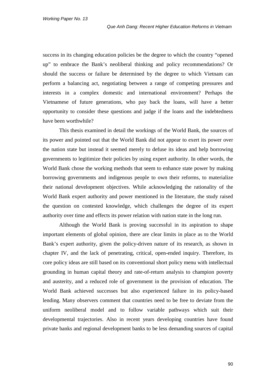success in its changing education policies be the degree to which the country "opened up" to embrace the Bank's neoliberal thinking and policy recommendations? Or should the success or failure be determined by the degree to which Vietnam can perform a balancing act, negotiating between a range of competing pressures and interests in a complex domestic and international environment? Perhaps the Vietnamese of future generations, who pay back the loans, will have a better opportunity to consider these questions and judge if the loans and the indebtedness have been worthwhile?

This thesis examined in detail the workings of the World Bank, the sources of its power and pointed out that the World Bank did not appear to exert its power over the nation state but instead it seemed merely to defuse its ideas and help borrowing governments to legitimize their policies by using expert authority. In other words, the World Bank chose the working methods that seem to enhance state power by making borrowing governments and indigenous people to own their reforms, to materialize their national development objectives. While acknowledging the rationality of the World Bank expert authority and power mentioned in the literature, the study raised the question on contested knowledge, which challenges the degree of its expert authority over time and effects its power relation with nation state in the long run.

Although the World Bank is proving successful in its aspiration to shape important elements of global opinion, there are clear limits in place as to the World Bank's expert authority, given the policy-driven nature of its research, as shown in chapter IV, and the lack of penetrating, critical, open-ended inquiry. Therefore, its core policy ideas are still based on its conventional short policy menu with intellectual grounding in human capital theory and rate-of-return analysis to champion poverty and austerity, and a reduced role of government in the provision of education. The World Bank achieved successes but also experienced failure in its policy-based lending. Many observers comment that countries need to be free to deviate from the uniform neoliberal model and to follow variable pathways which suit their developmental trajectories. Also in recent years developing countries have found private banks and regional development banks to be less demanding sources of capital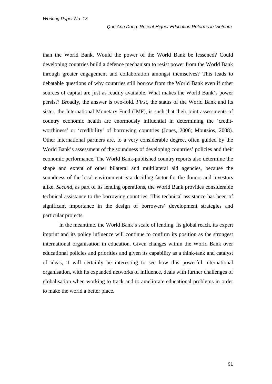than the World Bank. Would the power of the World Bank be lessened? Could developing countries build a defence mechanism to resist power from the World Bank through greater engagement and collaboration amongst themselves? This leads to debatable questions of why countries still borrow from the World Bank even if other sources of capital are just as readily available. What makes the World Bank's power persist? Broadly, the answer is two-fold. *First*, the status of the World Bank and its sister, the International Monetary Fund (IMF), is such that their joint assessments of country economic health are enormously influential in determining the 'creditworthiness' or 'credibility' of borrowing countries (Jones, 2006; Moutsios, 2008). Other international partners are, to a very considerable degree, often guided by the World Bank's assessment of the soundness of developing countries' policies and their economic performance. The World Bank-published country reports also determine the shape and extent of other bilateral and multilateral aid agencies, because the soundness of the local environment is a deciding factor for the donors and investors alike. *Second*, as part of its lending operations, the World Bank provides considerable technical assistance to the borrowing countries. This technical assistance has been of significant importance in the design of borrowers' development strategies and particular projects.

In the meantime, the World Bank's scale of lending, its global reach, its expert imprint and its policy influence will continue to confirm its position as the strongest international organisation in education. Given changes within the World Bank over educational policies and priorities and given its capability as a think-tank and catalyst of ideas, it will certainly be interesting to see how this powerful international organisation, with its expanded networks of influence, deals with further challenges of globalisation when working to track and to ameliorate educational problems in order to make the world a better place.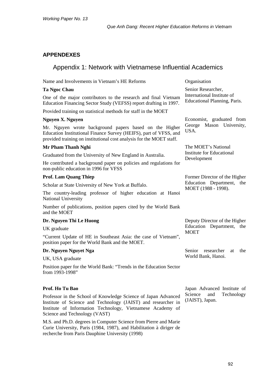### **APPENDEXES**

# Appendix 1: Network with Vietnamese Influential Academics

Name and Involvements in Vietnam's HE Reforms Organisation **Ta Ngoc Chau** One of the major contributors to the research and final Vietnam Education Financing Sector Study (VEFSS) report drafting in 1997. Provided training on statistical methods for staff in the MOET Senior Researcher, International Institute of Educational Planning, Paris. **Nguyen X. Nguyen** Mr. Nguyen wrote background papers based on the Higher Education Institutional Finance Survey (HEIFS), part of VFSS, and provided training on institutional cost analysis for the MOET staff. Economist, graduated from George Mason University, USA. **Mr Pham Thanh Nghi** Graduated from the University of New England in Australia. He contributed a background paper on policies and regulations for non-public education in 1996 for VFSS The MOET's National Institute for Educational Development **Prof. Lam Quang Thiep** Scholar at State University of New York at Buffalo. The country-leading professor of higher education at Hanoi National University Number of publications, position papers cited by the World Bank and the MOET Former Director of the Higher Education Department, the MOET (1988 - 1998). **Dr. Nguyen Thi Le Huong** UK graduate "Current Update of HE in Southeast Asia: the case of Vietnam", position paper for the World Bank and the MOET. Deputy Director of the Higher Education Department, the **MOET Dr. Nguyen Nguyet Nga** UK, USA graduate Position paper for the World Bank: "Trends in the Education Sector from 1993-1998" Senior researcher at the World Bank, Hanoi.

#### **Prof. Ho Tu Bao**

Professor in the School of Knowledge Science of Japan Advanced Institute of Science and Technology (JAIST) and researcher in Institute of Information Technology, Vietnamese Academy of Science and Technology (VAST)

M.S. and Ph.D. degrees in Computer Science from Pierre and Marie Curie University, Paris (1984, 1987), and Habilitation à diriger de recherche from Paris Dauphine University (1998)

Japan Advanced Institute of Science and Technology (JAIST), Japan.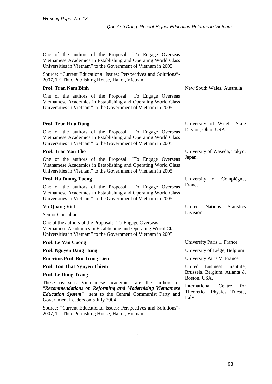One of the authors of the Proposal: "To Engage Overseas Vietnamese Academics in Establishing and Operating World Class Universities in Vietnam" to the Government of Vietnam in 2005

Source: "Current Educational Issues: Perspectives and Solutions"- 2007, Tri Thuc Publishing House, Hanoi, Vietnam

#### **Prof. Tran Nam Binh**

One of the authors of the Proposal: "To Engage Overseas Vietnamese Academics in Establishing and Operating World Class Universities in Vietnam" to the Government of Vietnam in 2005.

New South Wales, Australia.

University of Wright State

University of Waseda, Tokyo,

University of Compiègne,

United Nations Statistics

Japan.

France

Division

#### **Prof. Tran Huu Dung**

One of the authors of the Proposal: "To Engage Overseas Vietnamese Academics in Establishing and Operating World Class Universities in Vietnam" to the Government of Vietnam in 2005 Dayton, Ohio, USA.

#### **Prof. Tran Van Tho**

One of the authors of the Proposal: "To Engage Overseas Vietnamese Academics in Establishing and Operating World Class Universities in Vietnam" to the Government of Vietnam in 2005

#### **Prof. Ha Duong Tuong**

One of the authors of the Proposal: "To Engage Overseas Vietnamese Academics in Establishing and Operating World Class Universities in Vietnam" to the Government of Vietnam in 2005

#### **Vu Quang Viet**

Senior Consultant

One of the authors of the Proposal: "To Engage Overseas Vietnamese Academics in Establishing and Operating World Class Universities in Vietnam" to the Government of Vietnam in 2005

| <b>Prof. Le Van Cuong</b>                                                                                                                                                                           | University Paris 1, France                                      |
|-----------------------------------------------------------------------------------------------------------------------------------------------------------------------------------------------------|-----------------------------------------------------------------|
| <b>Prof. Nguyen Dang Hung</b>                                                                                                                                                                       | University of Liège, Belgium                                    |
| <b>Emeritus Prof. Bui Trong Lieu</b>                                                                                                                                                                | University Paris V, France                                      |
| <b>Prof. Ton That Nguyen Thiem</b>                                                                                                                                                                  | United Business<br>Institute.                                   |
| <b>Prof. Le Dung Trang</b>                                                                                                                                                                          | Brussels, Belgium, Atlanta &<br>Boston, USA.                    |
| overseas Vietnamese academics are the authors of<br>These<br><i>"Recommendations on Reforming and Modernising Vietnamese</i> "<br><b>Education System</b> " sent to the Central Communist Party and | International<br>Centre<br>for<br>Theoretical Physics, Trieste, |
| Government Leaders on 5 July 2004                                                                                                                                                                   | Italy                                                           |

.

Source: "Current Educational Issues: Perspectives and Solutions"- 2007, Tri Thuc Publishing House, Hanoi, Vietnam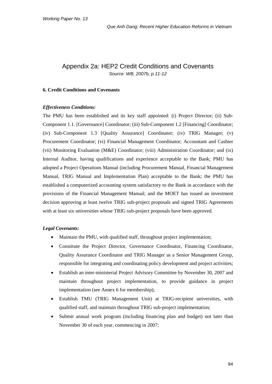### Appendix 2a: HEP2 Credit Conditions and Covenants *Source: WB, 2007b, p.11-12*

#### **6. Credit Conditions and Covenants**

#### *Effectiveness Conditions:*

The PMU has been established and its key staff appointed: (i) Project Director; (ii) Sub-Component 1.1. [Governance] Coordinator; (iii) Sub-Component 1.2 [Financing] Coordinator; (iv) Sub-Component 1.3 [Quality Assurance] Coordinator; (iv) TRIG Manager; (v) Procurement Coordinator; (vi) Financial Management Coordinator; Accountant and Cashier (vii) Monitoring Evaluation (M&E) Coordinator; (viii) Administration Coordinator; and (ix) Internal Auditor, having qualifications and experience acceptable to the Bank; PMU has adopted a Project Operations Manual (including Procurement Manual, Financial Management Manual, TRIG Manual and Implementation Plan) acceptable to the Bank; the PMU has established a computerized accounting system satisfactory to the Bank in accordance with the provisions of the Financial Management Manual; and the MOET has issued an investment decision approving at least twelve TRIG sub-project proposals and signed TRIG Agreements with at least six universities whose TRIG sub-project proposals have been approved.

#### *Legal Covenants:*

- Maintain the PMU, with qualified staff, throughout project implementation;
- Constitute the Project Director, Governance Coordinator, Financing Coordinator, Quality Assurance Coordinator and TRIG Manager as a Senior Management Group, responsible for integrating and coordinating policy development and project activities;
- Establish an inter-ministerial Project Advisory Committee by November 30, 2007 and maintain throughout project implementation, to provide guidance in project implementation (see Annex 6 for membership);
- Establish TMU (TRIG Management Unit) at TRIG-recipient universities, with qualified staff, and maintain throughout TRIG sub-project implementation;
- Submit annual work program (including financing plan and budget) not later than November 30 of each year, commencing in 2007;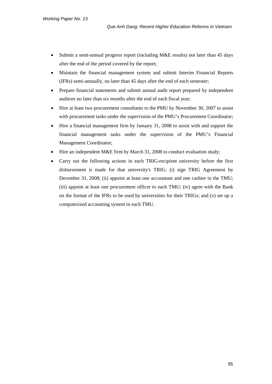- Submit a semi-annual progress report (including M&E results) not later than 45 days after the end of the period covered by the report;
- Maintain the financial management system and submit Interim Financial Reports (IFRs) semi-annually, no later than 45 days after the end of each semester;
- Prepare financial statements and submit annual audit report prepared by independent auditors no later than six months after the end of each fiscal year;
- Hire at least two procurement consultants to the PMU by November 30, 2007 to assist with procurement tasks under the supervision of the PMU's Procurement Coordinator;
- Hire a financial management firm by January 31, 2008 to assist with and support the financial management tasks under the supervision of the PMU's Financial Management Coordinator;
- Hire an independent M&E firm by March 31, 2008 to conduct evaluation study;
- Carry out the following actions in each TRIG-recipient university before the first disbursement is made for that university's TRIG: (i) sign TRIG Agreement by December 31, 2008; (ii) appoint at least one accountant and one cashier to the TMU; (iii) appoint at least one procurement officer to each TMU; (iv) agree with the Bank on the format of the IFRs to be used by universities for their TRIGs; and (v) set up a computerized accounting system in each TMU.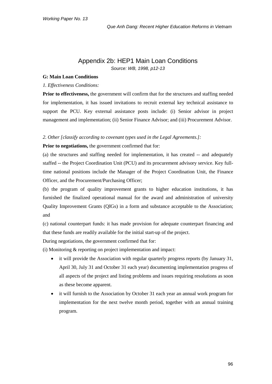### Appendix 2b: HEP1 Main Loan Conditions *Source: WB, 1998, p12-13*

#### **G: Main Loan Conditions**

#### *1. Effectiveness Conditions:*

**Prior to effectiveness,** the government will confirm that for the structures and staffing needed for implementation, it has issued invitations to recruit external key technical assistance to support the PCU. Key external assistance posts include: (i) Senior advisor in project management and implementation; (ii) Senior Finance Advisor; and (iii) Procurement Advisor.

#### *2. Other [classify according to covenant types used in the Legal Agreements.]:*

**Prior to negotiations,** the government confirmed that for:

(a) the structures and staffing needed for implementation, it has created -- and adequately staffed -- the Project Coordination Unit (PCU) and its procurement advisory service. Key fulltime national positions include the Manager of the Project Coordination Unit, the Finance Officer, and the Procurement/Purchasing Officer;

(b) the program of quality improvement grants to higher education institutions, it has furnished the finalized operational manual for the award and administration of university Quality Improvement Grants (QIGs) in a form and substance acceptable to the Association; and

(c) national counterpart funds: it has made provision for adequate counterpart financing and that these funds are readily available for the initial start-up of the project.

During negotiations, the government confirmed that for:

(i) Monitoring & reporting on project implementation and impact:

- it will provide the Association with regular quarterly progress reports (by January 31, April 30, July 31 and October 31 each year) documenting implementation progress of all aspects of the project and listing problems and issues requiring resolutions as soon as these become apparent.
- it will furnish to the Association by October 31 each year an annual work program for implementation for the next twelve month period, together with an annual training program.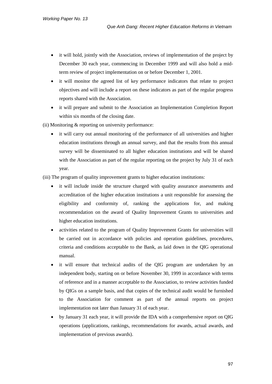- it will hold, jointly with the Association, reviews of implementation of the project by December 30 each year, commencing in December 1999 and will also hold a midterm review of project implementation on or before December 1, 2001.
- it will monitor the agreed list of key performance indicators that relate to project objectives and will include a report on these indicators as part of the regular progress reports shared with the Association.
- it will prepare and submit to the Association an Implementation Completion Report within six months of the closing date.
- (ii) Monitoring & reporting on university performance:
	- it will carry out annual monitoring of the performance of all universities and higher education institutions through an annual survey, and that the results from this annual survey will be disseminated to all higher education institutions and will be shared with the Association as part of the regular reporting on the project by July 31 of each year.

(iii) The program of quality improvement grants to higher education institutions:

- it will include inside the structure charged with quality assurance assessments and accreditation of the higher education institutions a unit responsible for assessing the eligibility and conformity of, ranking the applications for, and making recommendation on the award of Quality Improvement Grants to universities and higher education institutions.
- activities related to the program of Quality Improvement Grants for universities will be carried out in accordance with policies and operation guidelines, procedures, criteria and conditions acceptable to the Bank, as laid down in the QIG operational manual.
- it will ensure that technical audits of the QIG program are undertaken by an independent body, starting on or before November 30, 1999 in accordance with terms of reference and in a manner acceptable to the Association, to review activities funded by QIGs on a sample basis, and that copies of the technical audit would be furnished to the Association for comment as part of the annual reports on project implementation not later than January 31 of each year.
- by January 31 each year, it will provide the IDA with a comprehensive report on QIG operations (applications, rankings, recommendations for awards, actual awards, and implementation of previous awards).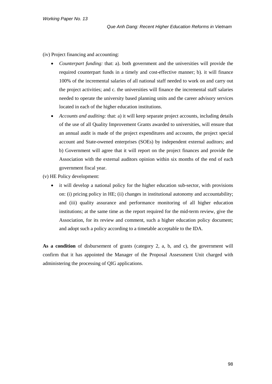(iv) Project financing and accounting:

- *Counterpart funding:* that: a). both government and the universities will provide the required counterpart funds in a timely and cost-effective manner; b). it will finance 100% of the incremental salaries of all national staff needed to work on and carry out the project activities; and c. the universities will finance the incremental staff salaries needed to operate the university based planning units and the career advisory services located in each of the higher education institutions.
- *Accounts and auditing:* that: a) it will keep separate project accounts, including details of the use of all Quality Improvement Grants awarded to universities, will ensure that an annual audit is made of the project expenditures and accounts, the project special account and State-owened enterprises (SOEs) by independent external auditors; and b) Government will agree that it will report on the project finances and provide the Association with the external auditors opinion within six months of the end of each government fiscal year.

(v) HE Policy development:

it will develop a national policy for the higher education sub-sector, with provisions on: (i) pricing policy in HE; (ii) changes in institutional autonomy and accountability; and (iii) quality assurance and performance monitoring of all higher education institutions; at the same time as the report required for the mid-term review, give the Association, for its review and comment, such a higher education policy document; and adopt such a policy according to a timetable acceptable to the IDA.

As a condition of disbursement of grants (category 2, a, b, and c), the government will confirm that it has appointed the Manager of the Proposal Assessment Unit charged with administering the processing of QIG applications.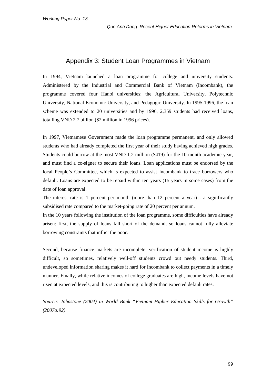### Appendix 3: Student Loan Programmes in Vietnam

In 1994, Vietnam launched a loan programme for college and university students. Administered by the Industrial and Commercial Bank of Vietnam (Incombank), the programme covered four Hanoi universities: the Agricultural University, Polytechnic University, National Economic University, and Pedagogic University. In 1995-1996, the loan scheme was extended to 20 universities and by 1996, 2,359 students had received loans, totalling VND 2.7 billion (\$2 million in 1996 prices).

In 1997, Vietnamese Government made the loan programme permanent, and only allowed students who had already completed the first year of their study having achieved high grades. Students could borrow at the most VND 1.2 million (\$419) for the 10-month academic year, and must find a co-signer to secure their loans. Loan applications must be endorsed by the local People's Committee, which is expected to assist Incombank to trace borrowers who default. Loans are expected to be repaid within ten years (15 years in some cases) from the date of loan approval.

The interest rate is 1 percent per month (more than 12 percent a year) - a significantly subsidised rate compared to the market-going rate of 20 percent per annum.

In the 10 years following the institution of the loan programme, some difficulties have already arisen: first, the supply of loans fall short of the demand, so loans cannot fully alleviate borrowing constraints that inflict the poor.

Second, because finance markets are incomplete, verification of student income is highly difficult, so sometimes, relatively well-off students crowd out needy students. Third, undeveloped information sharing makes it hard for Incombank to collect payments in a timely manner. Finally, while relative incomes of college graduates are high, income levels have not risen at expected levels, and this is contributing to higher than expected default rates.

*Source: Johnstone (2004) in World Bank "Vietnam Higher Education Skills for Growth" (2007a:92)*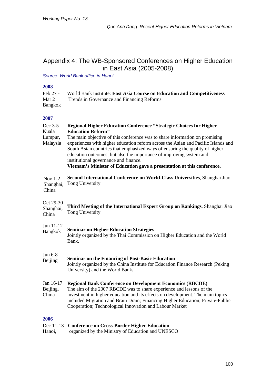# Appendix 4: The WB-Sponsored Conferences on Higher Education in East Asia (2005-2008)

*Source: World Bank office in Hanoi*

| Feb 27 - | World Bank Institute: East Asia Course on Education and Competitiveness |
|----------|-------------------------------------------------------------------------|
| Mar 2    | Trends in Governance and Financing Reforms                              |
| Bangkok  |                                                                         |

#### **2007**

| Dec 3-5<br>Kuala                | <b>Regional Higher Education Conference "Strategic Choices for Higher</b><br><b>Education Reform"</b>                                                                                                                                                                                                                                                                                                                                       |
|---------------------------------|---------------------------------------------------------------------------------------------------------------------------------------------------------------------------------------------------------------------------------------------------------------------------------------------------------------------------------------------------------------------------------------------------------------------------------------------|
| Lumpur,<br>Malaysia             | The main objective of this conference was to share information on promising<br>experiences with higher education reform across the Asian and Pacific Islands and<br>South Asian countries that emphasized ways of ensuring the quality of higher<br>education outcomes, but also the importance of improving system and<br>institutional governance and finance.<br>Vietnam's Minister of Education gave a presentation at this conference. |
| Nov 1-2<br>Shanghai,<br>China   | Second International Conference on World-Class Universities, Shanghai Jiao<br>Tong University                                                                                                                                                                                                                                                                                                                                               |
| Oct 29-30<br>Shanghai,<br>China | Third Meeting of the International Expert Group on Rankings, Shanghai Jiao<br>Tong University                                                                                                                                                                                                                                                                                                                                               |
| Jun 11-12<br>Bangkok            | <b>Seminar on Higher Education Strategies</b><br>Jointly organized by the Thai Commission on Higher Education and the World<br>Bank.                                                                                                                                                                                                                                                                                                        |
| Jun 6-8<br>Beijing              | <b>Seminar on the Financing of Post-Basic Education</b><br>Jointly organized by the China Institute for Education Finance Research (Peking<br>University) and the World Bank.                                                                                                                                                                                                                                                               |
| Jan 16-17<br>Beijing,<br>China  | <b>Regional Bank Conference on Development Economics (RBCDE)</b><br>The aim of the 2007 RBCDE was to share experience and lessons of the<br>investment in higher education and its effects on development. The main topics<br>included Migration and Brain Drain; Financing Higher Education; Private-Public<br>Cooperation; Technological Innovation and Labour Market                                                                     |
| 2006                            |                                                                                                                                                                                                                                                                                                                                                                                                                                             |
|                                 | Dec 11-13 Conference on Cross-Border Higher Education                                                                                                                                                                                                                                                                                                                                                                                       |

Hanoi, organized by the Ministry of Education and UNESCO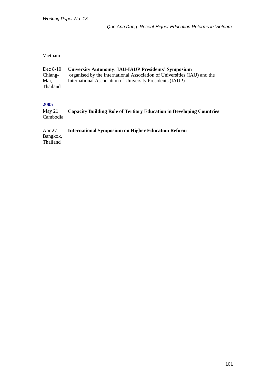#### Vietnam

| Dec $8-10$      | <b>University Autonomy: IAU-IAUP Presidents' Symposium</b>               |
|-----------------|--------------------------------------------------------------------------|
| Chiang-         | organised by the International Association of Universities (IAU) and the |
| Mai.            | International Association of University Presidents (IAUP)                |
| <b>Thailand</b> |                                                                          |

#### **2005**

May 21 Cambodia **Capacity Building Role of Tertiary Education in Developing Countries** 

Apr 27 Bangkok, Thailand **International Symposium on Higher Education Reform**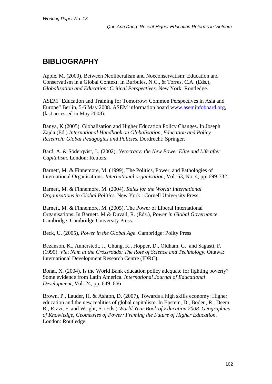# **BIBLIOGRAPHY**

Apple, M. (2000), Between Neoliberalism and Noeconservatism: Education and Conservatism in a Global Context. In Burbules, N.C., & Torres, C.A. (Eds.), *Globalisation and Education: Critical Perspectives*. New York: Routledge.

ASEM "Education and Training for Tomorrow: Common Perspectives in Asia and Europe" Berlin, 5-6 May 2008. ASEM information board [www.aseminfoboard.org,](http://www.aseminfoboard.org/) (last accessed in May 2008).

Banya, K (2005). Globalisation and Higher Education Policy Changes. In Joseph Zajda (Ed.) *International Handbook on Globalisation, Education and Policy Research: Global Pedagogies and Policies.* Dordrecht: Springer.

Bard, A. & Söderqvist, J., (2002), *Netocracy: the New Power Elite and Life after Capitalism*. London: Reuters.

Barnett, M. & Finnemore, M. (1999), The Politics, Power, and Pathologies of International Organisations. *International organisation*, Vol. 53, No. 4, pp. 699-732.

Barnett, M. & Finnemore, M. (2004), *Rules for the World: International Organisations in Global Politics*. New York : Cornell University Press.

Barnett, M. & Finnemore, M. (2005), The Power of Liberal International Organisations. In Barnett. M & Duvall, R. (Eds.), *Power in Global Governance*. Cambridge: Cambridge University Press.

Beck, U. (2005), *Power in the Global Age*. Cambridge: Polity Press

Bezanson, K., Annerstedt, J., Chung, K., Hopper, D., Oldham, G. and Sagasti, F. (1999). *Viet Nam at the Crossroads: The Role of Science and Technology*. Ottawa: International Development Research Centre (IDRC).

Bonal, X. (2004), Is the World Bank education policy adequate for fighting poverty? Some evidence from Latin America. *International Journal of Educational Development*, Vol. 24, pp. 649–666

Brown, P., Lauder, H. & Ashton, D. (2007), Towards a high skills economy: Higher education and the new realities of global capitalism. In Epstein, D., Boden, R., Deem, R., Rizvi, F. and Wright, S. (Eds.) *World Year Book of Education 2008. Geographies of Knowledge, Geometries of Power: Framing the Future of Higher Education*. London: Routledge.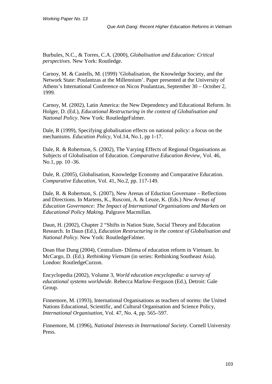Burbules, N.C., & Torres, C.A. (2000), *Globalisation and Education: Critical perspectives*. New York: Routledge.

Carnoy, M. & Castells, M. (1999) 'Globalisation, the Knowledge Society, and the Network State: Poulantzas at the Millennium'. Paper presented at the University of Athens's International Conference on Nicos Poulantzas, September 30 – October 2, 1999.

Carnoy, M. (2002), Latin America: the New Dependency and Educational Reform. In Holger, D. (Ed.), *Educational Restructuring in the context of Globalisation and National Policy*. New York: RoutledgeFalmer.

Dale, R (1999), Specifying globalisation effects on national policy: a focus on the mechanisms. *Education Policy*, Vol.14, No.1, pp 1-17.

Dale, R. & Robertson, S. (2002), The Varying Effects of Regional Organisations as Subjects of Globalisation of Education. *Comparative Education Review*, Vol. 46, No.1, pp. 10 -36.

Dale, R. (2005), Globalisation, Knowledge Economy and Comparative Education. *Comparative Education*, Vol. 41, No.2, pp. 117-149.

Dale, R. & Robertson, S. (2007), New Arenas of Eduction Governane – Reflections and Directions. In Martens, K., Rusconi, A. & Leuze, K. (Eds.) *New Arenas of Education Governance: The Impact of International Organisations and Markets on Educational Policy Making*. Palgrave Macmillan.

Daun, H. (2002), Chapter 2 "Shifts in Nation State, Social Theory and Education Research. In Daun (Ed.), *Education Restructuring in the context of Globalisation and National Policy*. New York: RoutledgeFalmer.

Doan Hue Dung (2004), Centralism- Dilema of education reform in Vietnam. In McCargo, D. (Ed.). *Rethinking Vietnam* (in series: Rethinking Southeast Asia). London: RoutledgeCurzon.

Encyclopedia (2002), Volume 3, *World education encyclopedia: a survey of educational systems worldwide.* Rebecca Marlow-Ferguson (Ed.), Detroit: Gale Group.

Finnemore, M. (1993), International Organisations as teachers of norms: the United Nations Educational, Scientific, and Cultural Organisation and Science Policy, *International Organisation*, Vol. 47, No. 4, pp. 565–597.

Finnemore, M. (1996), *National Interests in International Society*. Cornell University Press.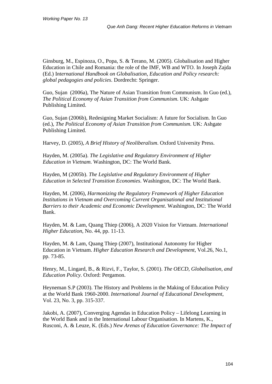Ginsburg, M., Espinoza, O., Popa, S. & Terano, M. (2005). Globalisation and Higher Education in Chile and Romania: the role of the IMF, WB and WTO. In Joseph Zajda (Ed.) I*nternational Handbook on Globalisation, Education and Policy research: global pedagogies and policies*. Dordrecht: Springer.

Guo, Sujan (2006a), The Nature of Asian Transition from Communism. In Guo (ed.), *The Political Economy of Asian Transition from Communism*. UK: Ashgate Publishing Limited.

Guo, Sujan (2006b), Redesigning Market Socialism: A future for Socialism. In Guo (ed.), *The Political Economy of Asian Transition from Communism*. UK: Ashgate Publishing Limited.

Harvey, D. (2005), *A Brief History of Neoliberalism*. Oxford University Press.

Hayden, M. (2005a). *The Legislative and Regulatory Environment of Higher Education in Vietnam*. Washington, DC: The World Bank.

Hayden, M (2005b). *The Legislative and Regulatory Environment of Higher Education in Selected Transition Economies*. Washington, DC: The World Bank.

Hayden, M. (2006), *Harmonizing the Regulatory Framework of Higher Education Institutions in Vietnam and Overcoming Current Organisational and Institutional Barriers to their Academic and Economic Development*. Washington, DC: The World Bank.

Hayden, M. & Lam, Quang Thiep (2006), A 2020 Vision for Vietnam. *International Higher Education*, No. 44, pp. 11-13.

Hayden, M. & Lam, Quang Thiep (2007), Institutional Autonomy for Higher Education in Vietnam. *Higher Education Research and Development*, Vol.26, No.1, pp. 73-85.

Henry, M., Lingard, B., & Rizvi, F., Taylor, S. (2001). *The OECD, Globalisation, and Education Policy*. Oxford: Pergamon.

Heyneman S.P (2003). The History and Problems in the Making of Education Policy at the World Bank 1960-2000. *International Journal of Educational Development*, Vol. 23, No. 3, pp. 315-337.

Jakobi, A. (2007), Converging Agendas in Education Policy – Lifelong Learning in the World Bank and in the International Labour Organisation. In Martens, K., Rusconi, A. & Leuze, K. (Eds.) *New Arenas of Education Governance: The Impact of*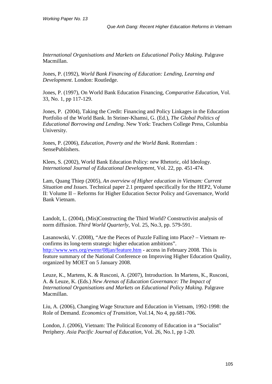*International Organisations and Markets on Educational Policy Making*. Palgrave Macmillan.

Jones, P. (1992), *World Bank Financing of Education: Lending, Learning and Development*. London: Routledge.

Jones, P. (1997), On World Bank Education Financing, *Comparative Education*, Vol. 33, No. 1, pp 117-129.

Jones, P. (2004), Taking the Credit: Financing and Policy Linkages in the Education Portfolio of the World Bank. In Steiner-Khamsi, G. (Ed.), *The Global Politics of Educational Borrowing and Lending*. New York: Teachers College Press, Columbia University.

[Jones, P.](javascript:continueSearch() (2006), *Education, Poverty and the World Bank*. Rotterdam : SensePublishers.

Klees, S. (2002), World Bank Education Policy: new Rhetoric, old Ideology. *International Journal of Educational Development*, Vol. 22, pp. 451-474.

Lam, Quang Thiep (2005), *An overview of Higher education in Vietnam: Current Situation and Issues*. Technical paper 2.1 prepared specifically for the HEP2, Volume II: Volume II – Reforms for Higher Education Sector Policy and Governance, World Bank Vietnam.

Landolt, L. (2004), (Mis)Constructing the Third World? Constructivist analysis of norm diffusion. *Third World Quarterly*, Vol. 25, No.3, pp. 579-591.

Lasanowski, V. (2008), "Are the Pieces of Puzzle Falling into Place? – Vietnam reconfirms its long-term strategic higher education ambitions". [http://www.wes.org/ewenr/08jan/feature.htm](http://www.wes.org/ewenr/08jan/feature.htm%20%20access%20February%202008) - access in February 2008. This is feature summary of the National Conference on Improving Higher Education Quality, organized by MOET on 5 January 2008.

Leuze, K., Martens, K. & Rusconi, A. (2007), Introduction. In Martens, K., Rusconi, A. & Leuze, K. (Eds.) *New Arenas of Education Governance: The Impact of International Organisations and Markets on Educational Policy Making*. Palgrave Macmillan.

Liu, A. (2006), Changing Wage Structure and Education in Vietnam, 1992-1998: the Role of Demand. *Economics of Transition*, Vol.14, No 4, pp.681-706.

London, J. (2006), Vietnam: The Political Economy of Education in a "Socialist" Periphery. *Asia Pacific Journal of Education*, Vol. 26, No.1, pp 1-20.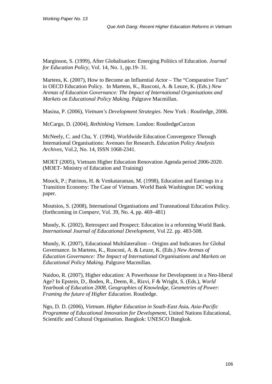Marginson, S. (1999), After Globalisation: Emerging Politics of Education. *Journal for Education Policy*, Vol. 14, No. 1, pp.19- 31.

Martens, K. (2007), How to Become an Influential Actor – The "Comparative Turn" in OECD Education Policy. In Martens, K., Rusconi, A. & Leuze, K. (Eds.) *New Arenas of Education Governance: The Impact of International Organisations and Markets on Educational Policy Making*. Palgrave Macmillan.

Masina, P. (2006), *Vietnam's Development Strategies*. New York : Routledge, 2006.

McCargo, D. (2004), *Rethinking Vietnam*. London: RoutledgeCurzon

McNeely, C. and Cha, Y. (1994), Worldwide Education Convergence Through International Organisations: Avenues for Research. *Education Policy Analysis Archives*, Vol.2, No. 14, ISSN 1068-2341.

MOET (2005), Vietnam Higher Education Renovation Agenda period 2006-2020. (MOET- Ministry of Education and Training)

Moock, P.; Patrinos, H. & Venkataraman, M. (1998), Education and Earnings in a Transition Economy: The Case of Vietnam. World Bank Washington DC working paper.

Moutsios, S. (2008), International Organisations and Transnational Education Policy. (forthcoming in *Compare,* Vol. 39, No. 4, pp. 469–481)

Mundy, K. (2002), Retrospect and Prospect: Education in a reforming World Bank. *International Journal of Educational Development*, Vol 22. pp. 483-508.

Mundy, K. (2007), Educational Multilateralism – Origins and Indicators for Global Governance. In Martens, K., Rusconi, A. & Leuze, K. (Eds.) *New Arenas of Education Governance: The Impact of International Organisations and Markets on Educational Policy Making*. Palgrave Macmillan.

Naidoo, R. (2007), Higher education: A Powerhouse for Development in a Neo-liberal Age? In Epstein, D., Boden, R., Deem, R., Rizvi, F & Wright, S. (Eds.), *World Yearbook of Education 2008, Geographies of Knowledge, Geometries of Power: Framing the future of Higher Education*. Routledge.

Ngo, D. D. (2006), *Vietnam. Higher Education in South-East Asia. Asia-Pacific Programme of Educational Innovation for Development*, United Nations Educational, Scientific and Cultural Organisation. Bangkok: UNESCO Bangkok.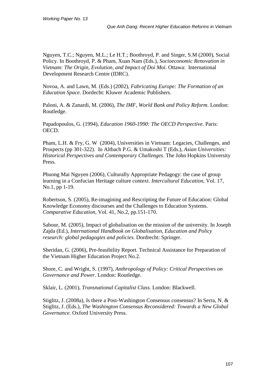Nguyen, T.C.; Nguyen, M.L.; Le H.T.; Boothroyd, P. and Singer, S.M (2000), Social Policy. In Boothroyd, P. & Pham, Xuan Nam (Eds.), *Socioeconomic Renovation in Vietnam: The Origin, Evolution, and Impact of Doi Moi*. Ottawa: International Development Research Centre (IDRC).

Novoa, A. and Lawn, M. (Eds.) (2002), *Fabricating Europe: The Formation of an Education Space*. Dordecht: Kluwer Academic Publishers.

Paloni, A. & Zanardi, M. (2006), *The IMF, World Bank and Policy Reform*. London: Routledge.

Papadopoulos, G. (1994), *Education 1960-1990: The OECD Perspective*. Paris: OECD.

Pham, L.H. & Fry, G. W (2004), Universities in Vietnam: Legacies, Challenges, and Prospects (pp 301-322). In Altbach P.G. & Umakoshi T (Eds.), *Asian Universities: Historical Perspectives and Contemporary Challenges*. The John Hopkins University Press.

Phuong Mai Nguyen (2006), Culturally Appropriate Pedagogy: the case of group learning in a Confucian Heritage culture context. *Intercultural Education*, Vol. 17, No.1, pp 1-19.

Robertson, S. (2005), Re-imagining and Rescripting the Future of Education: Global Knowledge Economy discourses and the Challenges to Education Systems. *Comparative Education*, Vol. 41, No.2, pp.151-170.

Sabour, M. (2005), Impact of globalisation on the mission of the university. In Joseph Zajda (Ed.), *International Handbook on Globalisation, Education and Policy research: global pedagogies and policies*. Dordrecht: Springer.

Sheridan, G. (2006), Pre-feasibility Report. Technical Assistance for Preparation of the Vietnam Higher Education Project No.2.

Shore, C. and Wright, S. (1997), *Anthropology of Policy: Critical Perspectives on Governance and Power*. London: Routledge.

Sklair, L. (2001), *Transnational Capitalist Class*. London: Blackwell.

Stiglitz, J. (2008a), Is there a Post-Washington Consensus consensus? In Serra, N. & Stiglitz, J. (Eds.), *The Washington Consensus Reconsidered: Towards a New Global Governance*. Oxford University Press.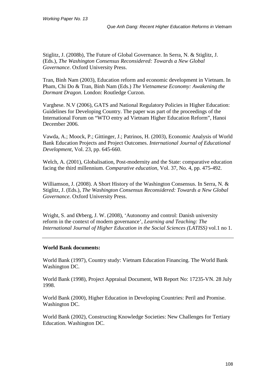Stiglitz, J. (2008b), The Future of Global Governance. In Serra, N. & Stiglitz, J. (Eds.), *The Washington Consensus Reconsidered: Towards a New Global Governance*. Oxford University Press.

Tran, Binh Nam (2003), Education reform and economic development in Vietnam. In Pham, Chi Do & Tran, Binh Nam (Eds.) *The Vietnamese Economy: Awakening the Dormant Dragon*. London: Routledge Curzon.

Varghese. N.V (2006), GATS and National Regulatory Policies in Higher Education: Guidelines for Developing Country. The paper was part of the proceedings of the International Forum on "WTO entry ad Vietnam Higher Education Reform", Hanoi December 2006.

Vawda, A.; Moock, P.; Gittinger, J.; Patrinos, H. (2003), Economic Analysis of World Bank Education Projects and Project Outcomes. *International Journal of Educational Development*, Vol. 23, pp. 645-660.

Welch, A. (2001), Globalisation, Post-modernity and the State: comparative education facing the third millennium. *Comparative education*, Vol. 37, No. 4, pp. 475-492.

Williamson, J. (2008). A Short History of the Washington Consensus. In Serra, N. & Stiglitz, J. (Eds.), *The Washington Consensus Reconsidered: Towards a New Global Governance*. Oxford University Press.

Wright, S. and Ørberg, J. W. (2008), 'Autonomy and control: Danish university reform in the context of modern governance', *Learning and Teaching: The International Journal of Higher Education in the Social Sciences (LATISS)* vol.1 no 1.

## **World Bank documents:**

World Bank (1997), Country study: Vietnam Education Financing. The World Bank Washington DC.

World Bank (1998), Project Appraisal Document, WB Report No: 17235-VN. 28 July 1998.

World Bank (2000), Higher Education in Developing Countries: Peril and Promise. Washington DC.

World Bank (2002), Constructing Knowledge Societies: New Challenges for Tertiary Education. Washington DC.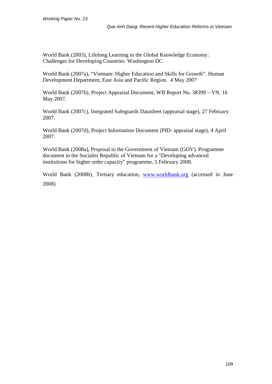World Bank (2003), Lifelong Learning in the Global Knowledge Economy: Challenges for Developing Countries. Washington DC.

World Bank (2007a), "Vietnam: Higher Education and Skills for Growth". Human Development Department, East Asia and Pacific Region. 4 May 2007

World Bank (2007b), Project Appraisal Document, WB Report No. 38399 – VN. 16 May 2007.

World Bank (2007c), Integrated Safeguards Datasheet (appraisal stage), 27 February 2007.

World Bank (2007d), Project Information Document (PID- appraisal stage), 4 April 2007.

World Bank (2008a), Proposal to the Government of Vietnam (GOV). Programme document to the Socialist Republic of Vietnam for a "Developing advanced institutions for higher order capacity" programme, 5 February 2008.

World Bank (2008b), Tertiary education, [www.worldbank.org](http://www.worldbank.org/) (accessed in June 2008)